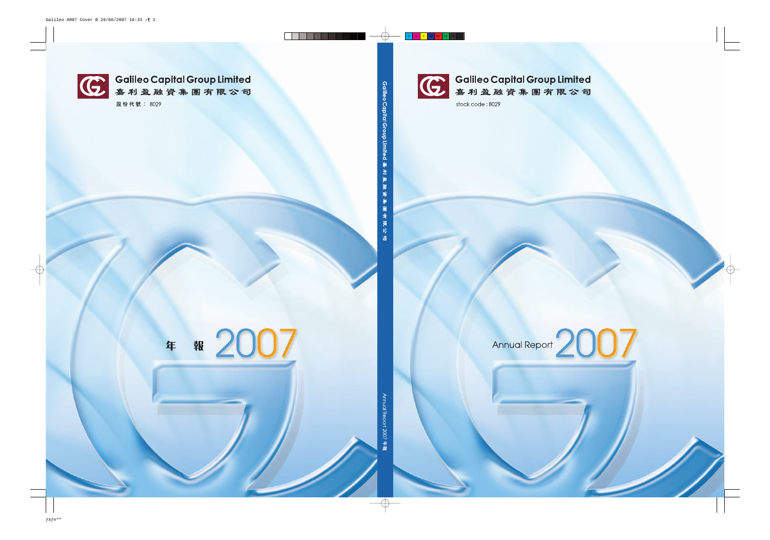

(C) Galileo Capital Group Limited<br>嘉利盈融資集團有限公司

stock code: 8029

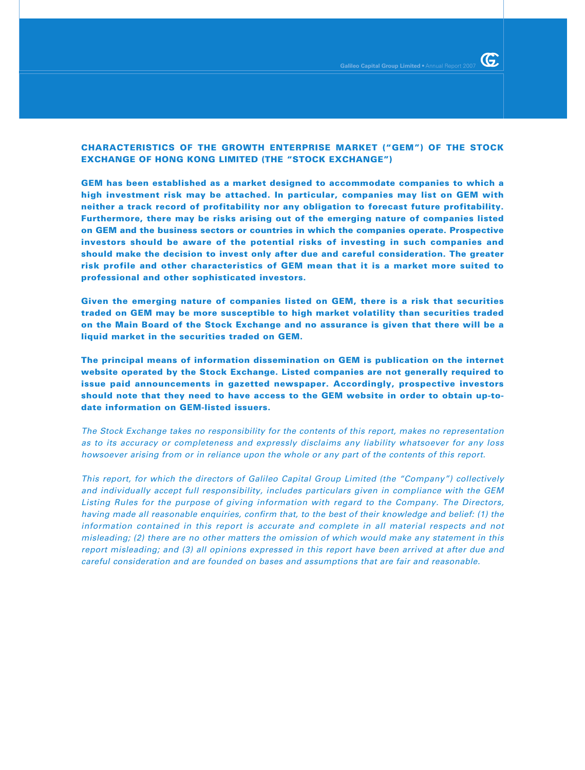**GEM has been established as a market designed to accommodate companies to which a high investment risk may be attached. In particular, companies may list on GEM with neither a track record of profitability nor any obligation to forecast future profitability. Furthermore, there may be risks arising out of the emerging nature of companies listed on GEM and the business sectors or countries in which the companies operate. Prospective investors should be aware of the potential risks of investing in such companies and should make the decision to invest only after due and careful consideration. The greater risk profile and other characteristics of GEM mean that it is a market more suited to professional and other sophisticated investors.**

**Given the emerging nature of companies listed on GEM, there is a risk that securities traded on GEM may be more susceptible to high market volatility than securities traded on the Main Board of the Stock Exchange and no assurance is given that there will be a liquid market in the securities traded on GEM.**

**The principal means of information dissemination on GEM is publication on the internet website operated by the Stock Exchange. Listed companies are not generally required to issue paid announcements in gazetted newspaper. Accordingly, prospective investors should note that they need to have access to the GEM website in order to obtain up-todate information on GEM-listed issuers.**

The Stock Exchange takes no responsibility for the contents of this report, makes no representation as to its accuracy or completeness and expressly disclaims any liability whatsoever for any loss howsoever arising from or in reliance upon the whole or any part of the contents of this report.

This report, for which the directors of Galileo Capital Group Limited (the "Company") collectively and individually accept full responsibility, includes particulars given in compliance with the GEM Listing Rules for the purpose of giving information with regard to the Company. The Directors, having made all reasonable enquiries, confirm that, to the best of their knowledge and belief: (1) the information contained in this report is accurate and complete in all material respects and not misleading; (2) there are no other matters the omission of which would make any statement in this report misleading; and (3) all opinions expressed in this report have been arrived at after due and careful consideration and are founded on bases and assumptions that are fair and reasonable.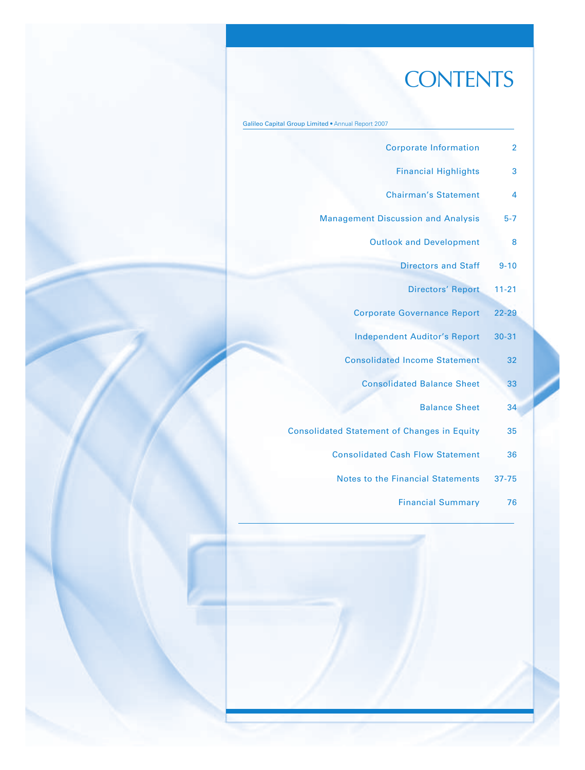# **CONTENTS**

|  |  |  |  |  | Galileo Capital Group Limited . Annual Report 2007 |
|--|--|--|--|--|----------------------------------------------------|
|--|--|--|--|--|----------------------------------------------------|

| <b>Corporate Information</b>                       | $\overline{2}$ |
|----------------------------------------------------|----------------|
| <b>Financial Highlights</b>                        | 3              |
| <b>Chairman's Statement</b>                        | 4              |
| <b>Management Discussion and Analysis</b>          | $5 - 7$        |
| <b>Outlook and Development</b>                     | 8              |
| <b>Directors and Staff</b>                         | $9 - 10$       |
| <b>Directors' Report</b>                           | $11 - 21$      |
| <b>Corporate Governance Report</b>                 | $22 - 29$      |
| <b>Independent Auditor's Report</b>                | $30 - 31$      |
| <b>Consolidated Income Statement</b>               | 32             |
| <b>Consolidated Balance Sheet</b>                  | 33             |
| <b>Balance Sheet</b>                               | 34             |
| <b>Consolidated Statement of Changes in Equity</b> | 35             |
| <b>Consolidated Cash Flow Statement</b>            | 36             |
| <b>Notes to the Financial Statements</b>           | $37 - 75$      |
| <b>Financial Summary</b>                           | 76             |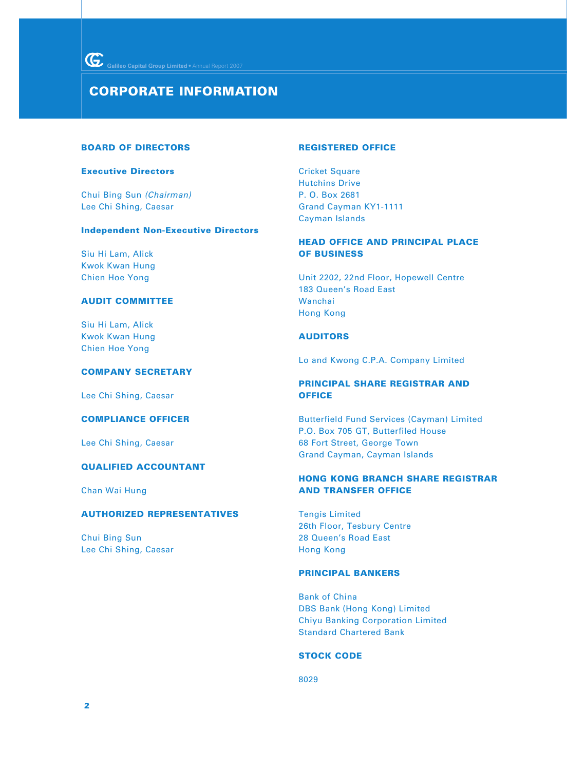### **CORPORATE INFORMATION**

#### **BOARD OF DIRECTORS**

#### **Executive Directors**

Chui Bing Sun (Chairman) Lee Chi Shing, Caesar

### **Independent Non-Executive Directors**

Siu Hi Lam, Alick Kwok Kwan Hung Chien Hoe Yong

### **AUDIT COMMITTEE**

Siu Hi Lam, Alick Kwok Kwan Hung Chien Hoe Yong

### **COMPANY SECRETARY**

Lee Chi Shing, Caesar

### **COMPLIANCE OFFICER**

Lee Chi Shing, Caesar

### **QUALIFIED ACCOUNTANT**

Chan Wai Hung

### **AUTHORIZED REPRESENTATIVES**

Chui Bing Sun Lee Chi Shing, Caesar

#### **REGISTERED OFFICE**

Cricket Square Hutchins Drive P. O. Box 2681 Grand Cayman KY1-1111 Cayman Islands

### **HEAD OFFICE AND PRINCIPAL PLACE OF BUSINESS**

Unit 2202, 22nd Floor, Hopewell Centre 183 Queen's Road East Wanchai Hong Kong

### **AUDITORS**

Lo and Kwong C.P.A. Company Limited

### **PRINCIPAL SHARE REGISTRAR AND OFFICE**

Butterfield Fund Services (Cayman) Limited P.O. Box 705 GT, Butterfiled House 68 Fort Street, George Town Grand Cayman, Cayman Islands

### **HONG KONG BRANCH SHARE REGISTRAR AND TRANSFER OFFICE**

Tengis Limited 26th Floor, Tesbury Centre 28 Queen's Road East Hong Kong

### **PRINCIPAL BANKERS**

Bank of China DBS Bank (Hong Kong) Limited Chiyu Banking Corporation Limited Standard Chartered Bank

#### **STOCK CODE**

8029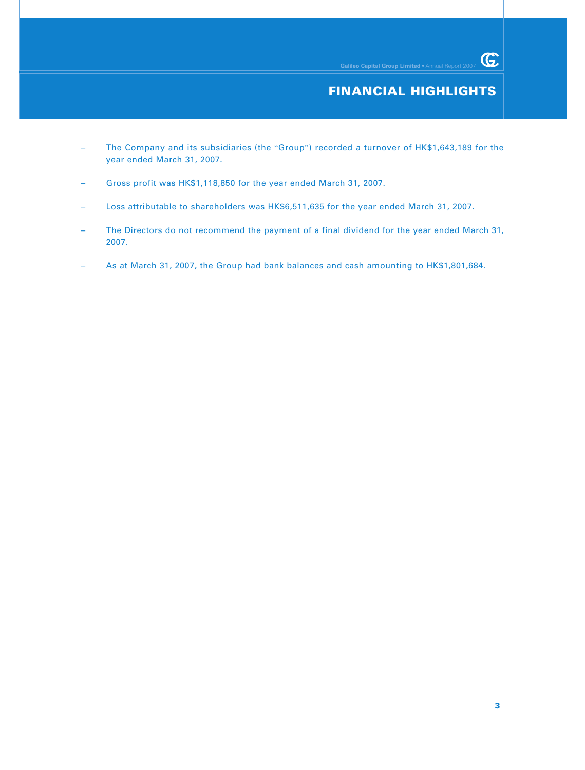### **FINANCIAL HIGHLIGHTS**

- The Company and its subsidiaries (the "Group") recorded a turnover of HK\$1,643,189 for the year ended March 31, 2007.
- Gross profit was HK\$1,118,850 for the year ended March 31, 2007.
- Loss attributable to shareholders was HK\$6,511,635 for the year ended March 31, 2007.
- The Directors do not recommend the payment of a final dividend for the year ended March 31, 2007.
- As at March 31, 2007, the Group had bank balances and cash amounting to HK\$1,801,684.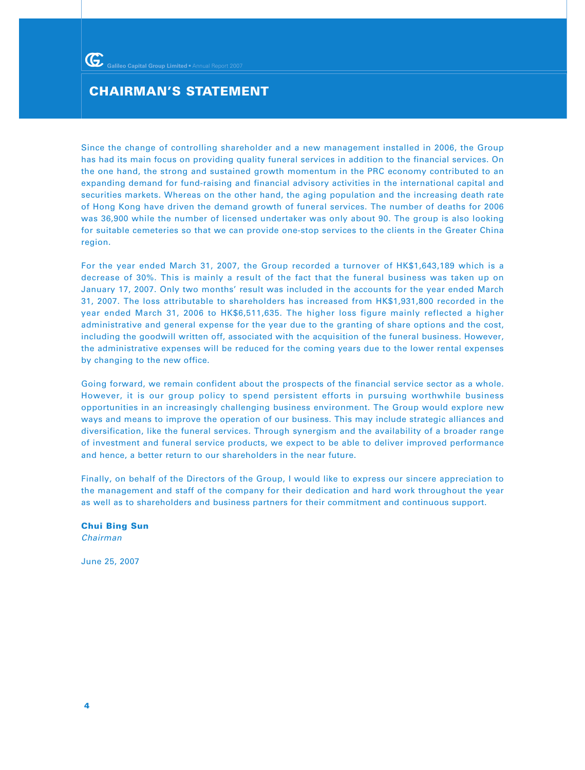### **CHAIRMAN'S STATEMENT**

Since the change of controlling shareholder and a new management installed in 2006, the Group has had its main focus on providing quality funeral services in addition to the financial services. On the one hand, the strong and sustained growth momentum in the PRC economy contributed to an expanding demand for fund-raising and financial advisory activities in the international capital and securities markets. Whereas on the other hand, the aging population and the increasing death rate of Hong Kong have driven the demand growth of funeral services. The number of deaths for 2006 was 36,900 while the number of licensed undertaker was only about 90. The group is also looking for suitable cemeteries so that we can provide one-stop services to the clients in the Greater China region.

For the year ended March 31, 2007, the Group recorded a turnover of HK\$1,643,189 which is a decrease of 30%. This is mainly a result of the fact that the funeral business was taken up on January 17, 2007. Only two months' result was included in the accounts for the year ended March 31, 2007. The loss attributable to shareholders has increased from HK\$1,931,800 recorded in the year ended March 31, 2006 to HK\$6,511,635. The higher loss figure mainly reflected a higher administrative and general expense for the year due to the granting of share options and the cost, including the goodwill written off, associated with the acquisition of the funeral business. However, the administrative expenses will be reduced for the coming years due to the lower rental expenses by changing to the new office.

Going forward, we remain confident about the prospects of the financial service sector as a whole. However, it is our group policy to spend persistent efforts in pursuing worthwhile business opportunities in an increasingly challenging business environment. The Group would explore new ways and means to improve the operation of our business. This may include strategic alliances and diversification, like the funeral services. Through synergism and the availability of a broader range of investment and funeral service products, we expect to be able to deliver improved performance and hence, a better return to our shareholders in the near future.

Finally, on behalf of the Directors of the Group, I would like to express our sincere appreciation to the management and staff of the company for their dedication and hard work throughout the year as well as to shareholders and business partners for their commitment and continuous support.

**Chui Bing Sun** Chairman

June 25, 2007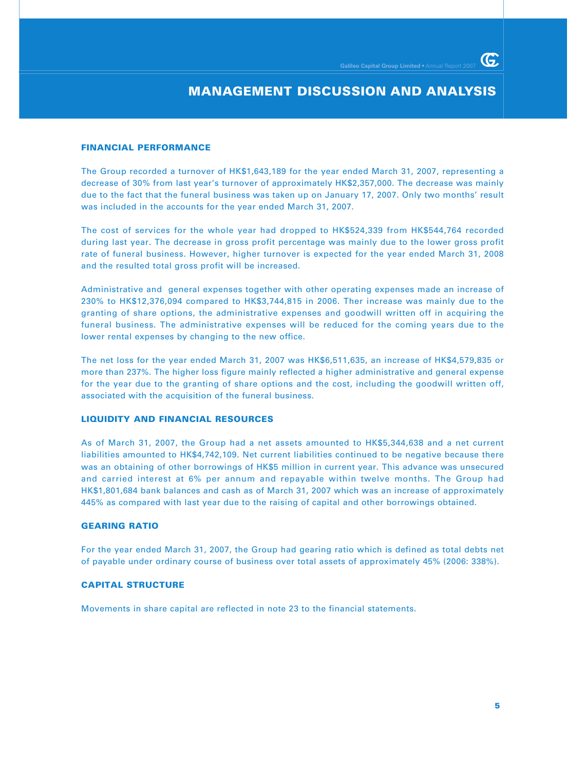G.

### **MANAGEMENT DISCUSSION AND ANALYSIS**

#### **FINANCIAL PERFORMANCE**

The Group recorded a turnover of HK\$1,643,189 for the year ended March 31, 2007, representing a decrease of 30% from last year's turnover of approximately HK\$2,357,000. The decrease was mainly due to the fact that the funeral business was taken up on January 17, 2007. Only two months' result was included in the accounts for the year ended March 31, 2007.

The cost of services for the whole year had dropped to HK\$524,339 from HK\$544,764 recorded during last year. The decrease in gross profit percentage was mainly due to the lower gross profit rate of funeral business. However, higher turnover is expected for the year ended March 31, 2008 and the resulted total gross profit will be increased.

Administrative and general expenses together with other operating expenses made an increase of 230% to HK\$12,376,094 compared to HK\$3,744,815 in 2006. Ther increase was mainly due to the granting of share options, the administrative expenses and goodwill written off in acquiring the funeral business. The administrative expenses will be reduced for the coming years due to the lower rental expenses by changing to the new office.

The net loss for the year ended March 31, 2007 was HK\$6,511,635, an increase of HK\$4,579,835 or more than 237%. The higher loss figure mainly reflected a higher administrative and general expense for the year due to the granting of share options and the cost, including the goodwill written off, associated with the acquisition of the funeral business.

### **LIQUIDITY AND FINANCIAL RESOURCES**

As of March 31, 2007, the Group had a net assets amounted to HK\$5,344,638 and a net current liabilities amounted to HK\$4,742,109. Net current liabilities continued to be negative because there was an obtaining of other borrowings of HK\$5 million in current year. This advance was unsecured and carried interest at 6% per annum and repayable within twelve months. The Group had HK\$1,801,684 bank balances and cash as of March 31, 2007 which was an increase of approximately 445% as compared with last year due to the raising of capital and other borrowings obtained.

### **GEARING RATIO**

For the year ended March 31, 2007, the Group had gearing ratio which is defined as total debts net of payable under ordinary course of business over total assets of approximately 45% (2006: 338%).

### **CAPITAL STRUCTURE**

Movements in share capital are reflected in note 23 to the financial statements.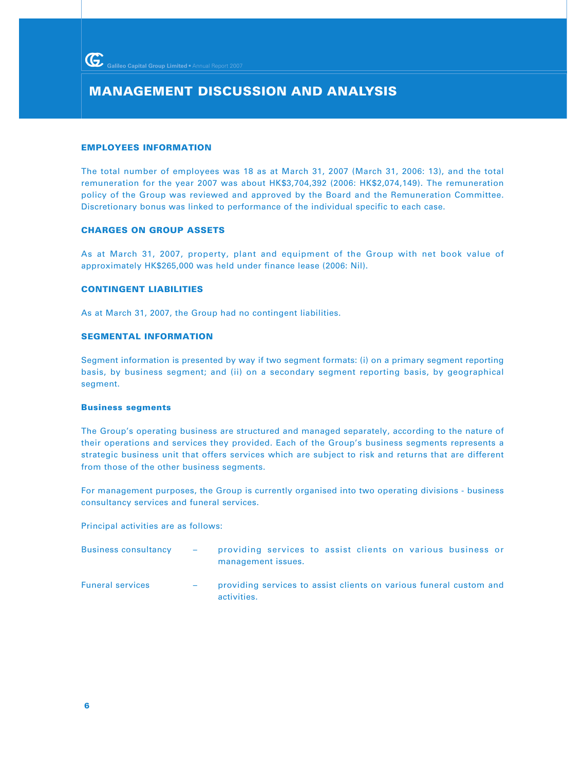### **MANAGEMENT DISCUSSION AND ANALYSIS**

#### **EMPLOYEES INFORMATION**

The total number of employees was 18 as at March 31, 2007 (March 31, 2006: 13), and the total remuneration for the year 2007 was about HK\$3,704,392 (2006: HK\$2,074,149). The remuneration policy of the Group was reviewed and approved by the Board and the Remuneration Committee. Discretionary bonus was linked to performance of the individual specific to each case.

#### **CHARGES ON GROUP ASSETS**

As at March 31, 2007, property, plant and equipment of the Group with net book value of approximately HK\$265,000 was held under finance lease (2006: Nil).

### **CONTINGENT LIABILITIES**

As at March 31, 2007, the Group had no contingent liabilities.

#### **SEGMENTAL INFORMATION**

Segment information is presented by way if two segment formats: (i) on a primary segment reporting basis, by business segment; and (ii) on a secondary segment reporting basis, by geographical segment.

#### **Business segments**

The Group's operating business are structured and managed separately, according to the nature of their operations and services they provided. Each of the Group's business segments represents a strategic business unit that offers services which are subject to risk and returns that are different from those of the other business segments.

For management purposes, the Group is currently organised into two operating divisions - business consultancy services and funeral services.

Principal activities are as follows:

| <b>Business consultancy</b> | <b>Contract Contract</b> | providing services to assist clients on various business or<br>management issues. |
|-----------------------------|--------------------------|-----------------------------------------------------------------------------------|
| <b>Funeral services</b>     |                          | providing services to assist clients on various funeral custom and                |

activities.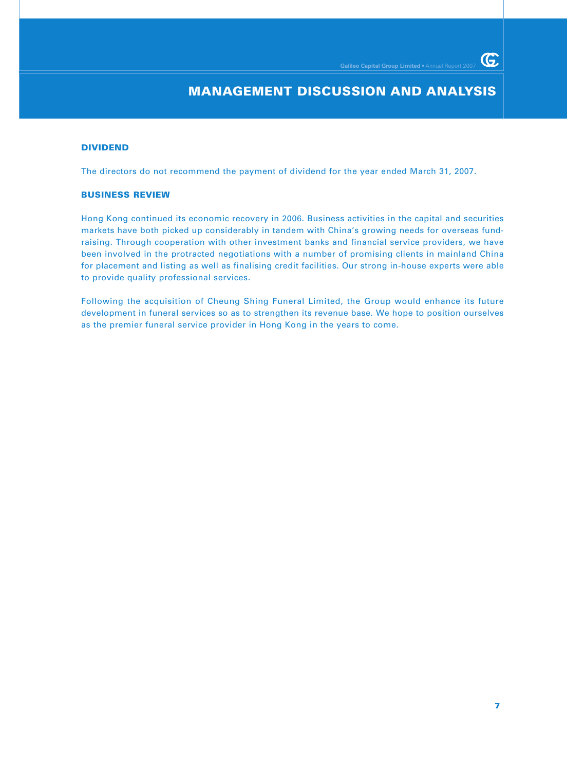G.

### **MANAGEMENT DISCUSSION AND ANALYSIS**

### **DIVIDEND**

The directors do not recommend the payment of dividend for the year ended March 31, 2007.

#### **BUSINESS REVIEW**

Hong Kong continued its economic recovery in 2006. Business activities in the capital and securities markets have both picked up considerably in tandem with China's growing needs for overseas fundraising. Through cooperation with other investment banks and financial service providers, we have been involved in the protracted negotiations with a number of promising clients in mainland China for placement and listing as well as finalising credit facilities. Our strong in-house experts were able to provide quality professional services.

Following the acquisition of Cheung Shing Funeral Limited, the Group would enhance its future development in funeral services so as to strengthen its revenue base. We hope to position ourselves as the premier funeral service provider in Hong Kong in the years to come.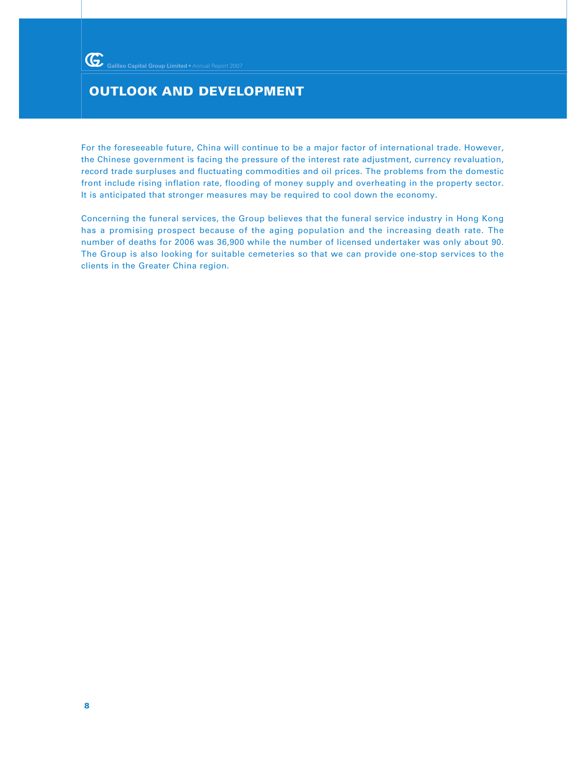### **OUTLOOK AND DEVELOPMENT**

For the foreseeable future, China will continue to be a major factor of international trade. However, the Chinese government is facing the pressure of the interest rate adjustment, currency revaluation, record trade surpluses and fluctuating commodities and oil prices. The problems from the domestic front include rising inflation rate, flooding of money supply and overheating in the property sector. It is anticipated that stronger measures may be required to cool down the economy.

Concerning the funeral services, the Group believes that the funeral service industry in Hong Kong has a promising prospect because of the aging population and the increasing death rate. The number of deaths for 2006 was 36,900 while the number of licensed undertaker was only about 90. The Group is also looking for suitable cemeteries so that we can provide one-stop services to the clients in the Greater China region.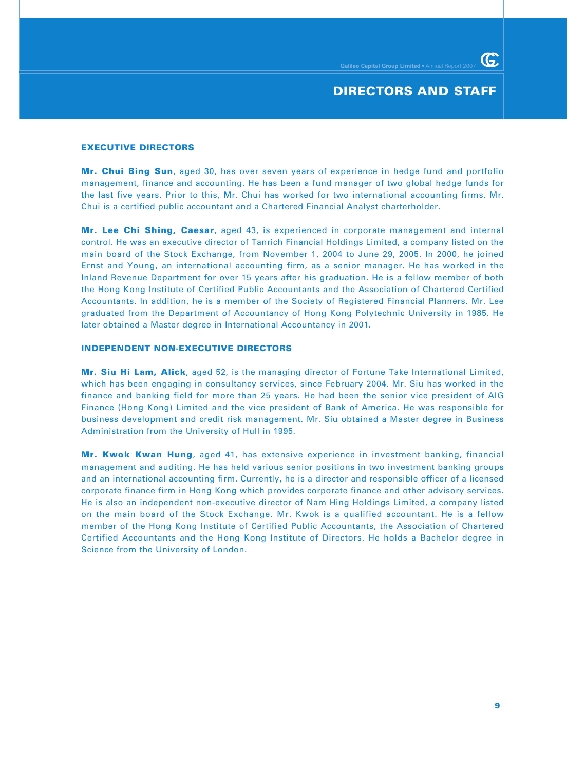### **DIRECTORS AND STAFF**

G

#### **EXECUTIVE DIRECTORS**

**Mr. Chui Bing Sun**, aged 30, has over seven years of experience in hedge fund and portfolio management, finance and accounting. He has been a fund manager of two global hedge funds for the last five years. Prior to this, Mr. Chui has worked for two international accounting firms. Mr. Chui is a certified public accountant and a Chartered Financial Analyst charterholder.

**Mr. Lee Chi Shing, Caesar**, aged 43, is experienced in corporate management and internal control. He was an executive director of Tanrich Financial Holdings Limited, a company listed on the main board of the Stock Exchange, from November 1, 2004 to June 29, 2005. In 2000, he joined Ernst and Young, an international accounting firm, as a senior manager. He has worked in the Inland Revenue Department for over 15 years after his graduation. He is a fellow member of both the Hong Kong Institute of Certified Public Accountants and the Association of Chartered Certified Accountants. In addition, he is a member of the Society of Registered Financial Planners. Mr. Lee graduated from the Department of Accountancy of Hong Kong Polytechnic University in 1985. He later obtained a Master degree in International Accountancy in 2001.

#### **INDEPENDENT NON-EXECUTIVE DIRECTORS**

**Mr. Siu Hi Lam, Alick**, aged 52, is the managing director of Fortune Take International Limited, which has been engaging in consultancy services, since February 2004. Mr. Siu has worked in the finance and banking field for more than 25 years. He had been the senior vice president of AIG Finance (Hong Kong) Limited and the vice president of Bank of America. He was responsible for business development and credit risk management. Mr. Siu obtained a Master degree in Business Administration from the University of Hull in 1995.

**Mr. Kwok Kwan Hung**, aged 41, has extensive experience in investment banking, financial management and auditing. He has held various senior positions in two investment banking groups and an international accounting firm. Currently, he is a director and responsible officer of a licensed corporate finance firm in Hong Kong which provides corporate finance and other advisory services. He is also an independent non-executive director of Nam Hing Holdings Limited, a company listed on the main board of the Stock Exchange. Mr. Kwok is a qualified accountant. He is a fellow member of the Hong Kong Institute of Certified Public Accountants, the Association of Chartered Certified Accountants and the Hong Kong Institute of Directors. He holds a Bachelor degree in Science from the University of London.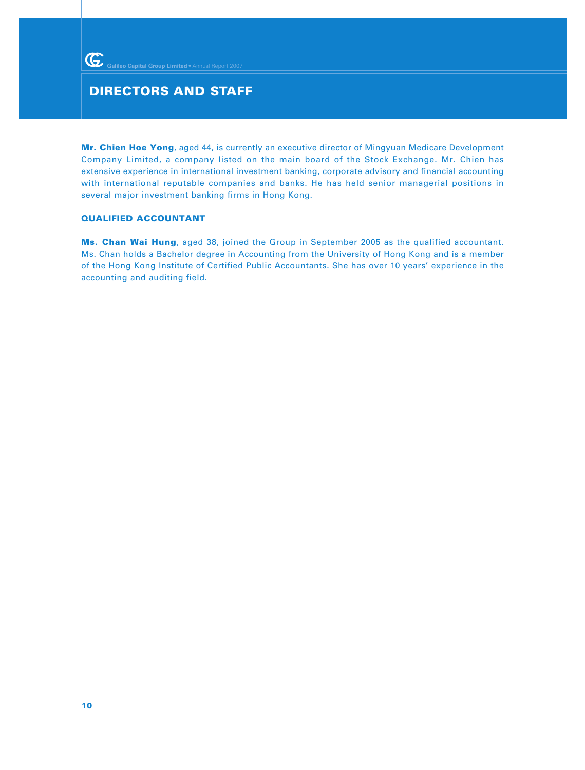### **DIRECTORS AND STAFF**

**Mr. Chien Hoe Yong**, aged 44, is currently an executive director of Mingyuan Medicare Development Company Limited, a company listed on the main board of the Stock Exchange. Mr. Chien has extensive experience in international investment banking, corporate advisory and financial accounting with international reputable companies and banks. He has held senior managerial positions in several major investment banking firms in Hong Kong.

### **QUALIFIED ACCOUNTANT**

**Ms. Chan Wai Hung**, aged 38, joined the Group in September 2005 as the qualified accountant. Ms. Chan holds a Bachelor degree in Accounting from the University of Hong Kong and is a member of the Hong Kong Institute of Certified Public Accountants. She has over 10 years' experience in the accounting and auditing field.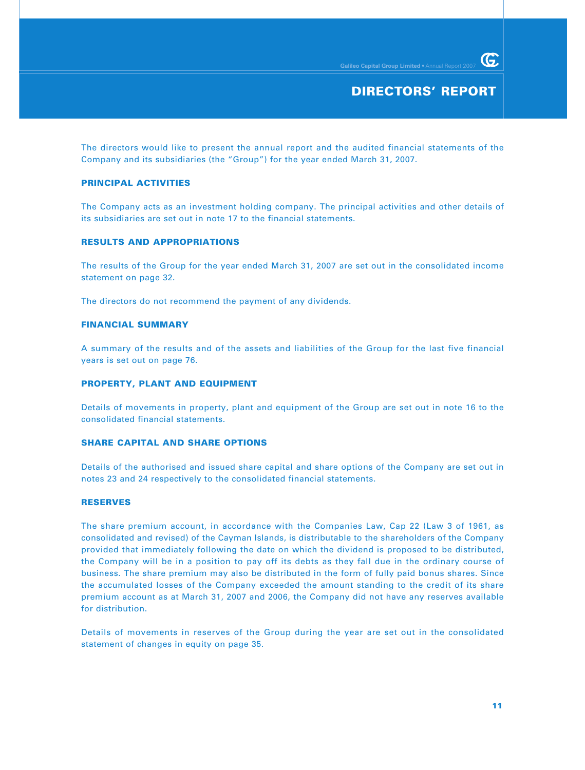The directors would like to present the annual report and the audited financial statements of the Company and its subsidiaries (the "Group") for the year ended March 31, 2007.

### **PRINCIPAL ACTIVITIES**

The Company acts as an investment holding company. The principal activities and other details of its subsidiaries are set out in note 17 to the financial statements.

### **RESULTS AND APPROPRIATIONS**

The results of the Group for the year ended March 31, 2007 are set out in the consolidated income statement on page 32.

The directors do not recommend the payment of any dividends.

### **FINANCIAL SUMMARY**

A summary of the results and of the assets and liabilities of the Group for the last five financial years is set out on page 76.

### **PROPERTY, PLANT AND EQUIPMENT**

Details of movements in property, plant and equipment of the Group are set out in note 16 to the consolidated financial statements.

### **SHARE CAPITAL AND SHARE OPTIONS**

Details of the authorised and issued share capital and share options of the Company are set out in notes 23 and 24 respectively to the consolidated financial statements.

### **RESERVES**

The share premium account, in accordance with the Companies Law, Cap 22 (Law 3 of 1961, as consolidated and revised) of the Cayman Islands, is distributable to the shareholders of the Company provided that immediately following the date on which the dividend is proposed to be distributed, the Company will be in a position to pay off its debts as they fall due in the ordinary course of business. The share premium may also be distributed in the form of fully paid bonus shares. Since the accumulated losses of the Company exceeded the amount standing to the credit of its share premium account as at March 31, 2007 and 2006, the Company did not have any reserves available for distribution.

Details of movements in reserves of the Group during the year are set out in the consolidated statement of changes in equity on page 35.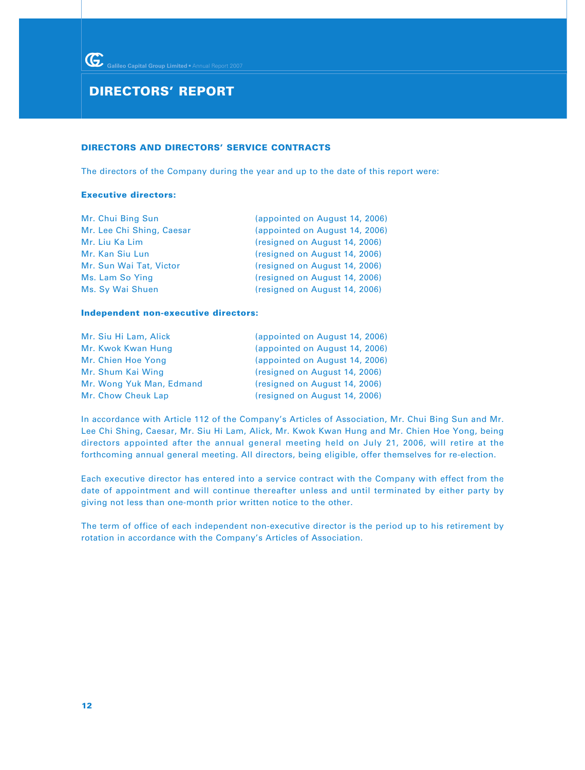### **DIRECTORS AND DIRECTORS' SERVICE CONTRACTS**

The directors of the Company during the year and up to the date of this report were:

#### **Executive directors:**

| (appointed on August 14, 2006) |
|--------------------------------|
| (appointed on August 14, 2006) |
| (resigned on August 14, 2006)  |
| (resigned on August 14, 2006)  |
| (resigned on August 14, 2006)  |
| (resigned on August 14, 2006)  |
| (resigned on August 14, 2006)  |
|                                |

#### **Independent non-executive directors:**

| Mr. Siu Hi Lam, Alick    | (appointed on August 14, 2006) |
|--------------------------|--------------------------------|
| Mr. Kwok Kwan Hung       | (appointed on August 14, 2006) |
| Mr. Chien Hoe Yong       | (appointed on August 14, 2006) |
| Mr. Shum Kai Wing        | (resigned on August 14, 2006)  |
| Mr. Wong Yuk Man, Edmand | (resigned on August 14, 2006)  |
| Mr. Chow Cheuk Lap       | (resigned on August 14, 2006)  |

In accordance with Article 112 of the Company's Articles of Association, Mr. Chui Bing Sun and Mr. Lee Chi Shing, Caesar, Mr. Siu Hi Lam, Alick, Mr. Kwok Kwan Hung and Mr. Chien Hoe Yong, being directors appointed after the annual general meeting held on July 21, 2006, will retire at the forthcoming annual general meeting. All directors, being eligible, offer themselves for re-election.

Each executive director has entered into a service contract with the Company with effect from the date of appointment and will continue thereafter unless and until terminated by either party by giving not less than one-month prior written notice to the other.

The term of office of each independent non-executive director is the period up to his retirement by rotation in accordance with the Company's Articles of Association.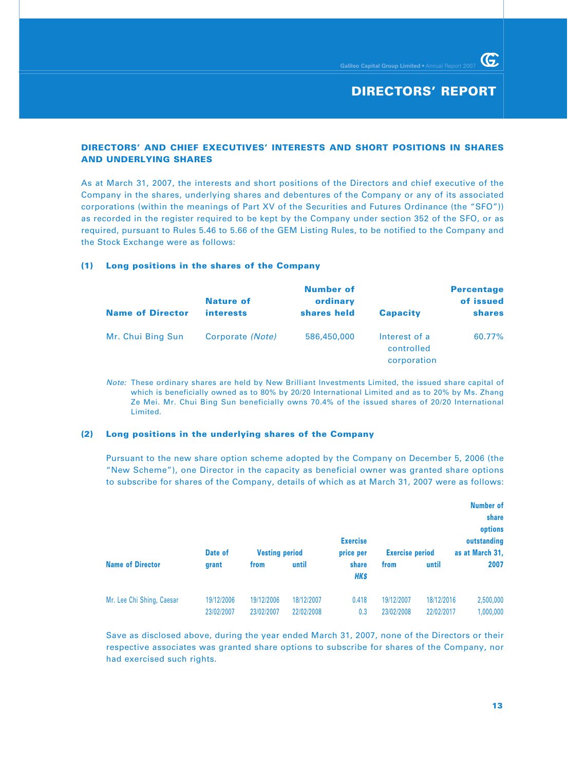G.

### **DIRECTORS' AND CHIEF EXECUTIVES' INTERESTS AND SHORT POSITIONS IN SHARES AND UNDERLYING SHARES**

As at March 31, 2007, the interests and short positions of the Directors and chief executive of the Company in the shares, underlying shares and debentures of the Company or any of its associated corporations (within the meanings of Part XV of the Securities and Futures Ordinance (the "SFO")) as recorded in the register required to be kept by the Company under section 352 of the SFO, or as required, pursuant to Rules 5.46 to 5.66 of the GEM Listing Rules, to be notified to the Company and the Stock Exchange were as follows:

### **(1) Long positions in the shares of the Company**

| <b>Name of Director</b> | <b>Nature of</b><br><i>interests</i> | <b>Number of</b><br>ordinary<br>shares held | <b>Capacity</b>                            | <b>Percentage</b><br>of issued<br><b>shares</b> |
|-------------------------|--------------------------------------|---------------------------------------------|--------------------------------------------|-------------------------------------------------|
| Mr. Chui Bing Sun       | Corporate (Note)                     | 586,450,000                                 | Interest of a<br>controlled<br>corporation | 60.77%                                          |

Note: These ordinary shares are held by New Brilliant Investments Limited, the issued share capital of which is beneficially owned as to 80% by 20/20 International Limited and as to 20% by Ms. Zhang Ze Mei. Mr. Chui Bing Sun beneficially owns 70.4% of the issued shares of 20/20 International Limited.

### **(2) Long positions in the underlying shares of the Company**

Pursuant to the new share option scheme adopted by the Company on December 5, 2006 (the "New Scheme"), one Director in the capacity as beneficial owner was granted share options to subscribe for shares of the Company, details of which as at March 31, 2007 were as follows:

|                           | Date of    | <b>Vesting period</b> |            | <b>Exercise</b><br>price per | <b>Exercise period</b> |            | <b>Number of</b><br>share<br>options<br>outstanding<br>as at March 31, |
|---------------------------|------------|-----------------------|------------|------------------------------|------------------------|------------|------------------------------------------------------------------------|
| <b>Name of Director</b>   | grant      | from                  | until      | share<br><b>HK\$</b>         | from                   | until      | 2007                                                                   |
| Mr. Lee Chi Shing, Caesar | 19/12/2006 | 19/12/2006            | 18/12/2007 | 0.418                        | 19/12/2007             | 18/12/2016 | 2,500,000                                                              |
|                           | 23/02/2007 | 23/02/2007            | 22/02/2008 | 0.3                          | 23/02/2008             | 22/02/2017 | 1,000,000                                                              |

Save as disclosed above, during the year ended March 31, 2007, none of the Directors or their respective associates was granted share options to subscribe for shares of the Company, nor had exercised such rights.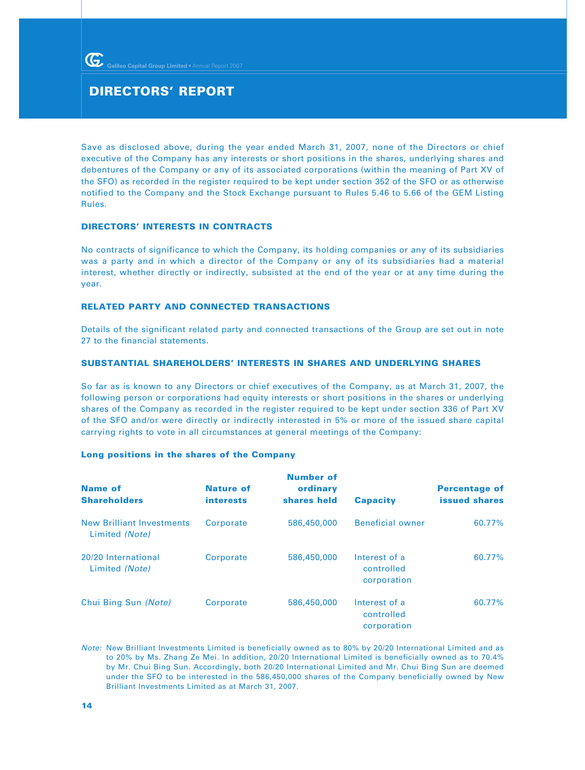Save as disclosed above, during the year ended March 31, 2007, none of the Directors or chief executive of the Company has any interests or short positions in the shares, underlying shares and debentures of the Company or any of its associated corporations (within the meaning of Part XV of the SFO) as recorded in the register required to be kept under section 352 of the SFO or as otherwise notified to the Company and the Stock Exchange pursuant to Rules 5.46 to 5.66 of the GEM Listing Rules.

### **DIRECTORS' INTERESTS IN CONTRACTS**

No contracts of significance to which the Company, its holding companies or any of its subsidiaries was a party and in which a director of the Company or any of its subsidiaries had a material interest, whether directly or indirectly, subsisted at the end of the year or at any time during the year.

### **RELATED PARTY AND CONNECTED TRANSACTIONS**

Details of the significant related party and connected transactions of the Group are set out in note 27 to the financial statements.

### **SUBSTANTIAL SHAREHOLDERS' INTERESTS IN SHARES AND UNDERLYING SHARES**

So far as is known to any Directors or chief executives of the Company, as at March 31, 2007, the following person or corporations had equity interests or short positions in the shares or underlying shares of the Company as recorded in the register required to be kept under section 336 of Part XV of the SFO and/or were directly or indirectly interested in 5% or more of the issued share capital carrying rights to vote in all circumstances at general meetings of the Company:

### **Long positions in the shares of the Company**

| <b>Name of</b><br><b>Shareholders</b>              | <b>Nature of</b><br><i>interests</i> | <b>Number of</b><br>ordinary<br>shares held | <b>Capacity</b>                            | <b>Percentage of</b><br><b>issued shares</b> |
|----------------------------------------------------|--------------------------------------|---------------------------------------------|--------------------------------------------|----------------------------------------------|
| <b>New Brilliant Investments</b><br>Limited (Note) | Corporate                            | 586,450,000                                 | <b>Beneficial owner</b>                    | 60.77%                                       |
| 20/20 International<br>Limited (Note)              | Corporate                            | 586,450,000                                 | Interest of a<br>controlled<br>corporation | 60.77%                                       |
| Chui Bing Sun (Note)                               | Corporate                            | 586,450,000                                 | Interest of a<br>controlled<br>corporation | 60.77%                                       |

Note: New Brilliant Investments Limited is beneficially owned as to 80% by 20/20 International Limited and as to 20% by Ms. Zhang Ze Mei. In addition, 20/20 International Limited is beneficially owned as to 70.4% by Mr. Chui Bing Sun. Accordingly, both 20/20 International Limited and Mr. Chui Bing Sun are deemed under the SFO to be interested in the 586,450,000 shares of the Company beneficially owned by New Brilliant Investments Limited as at March 31, 2007.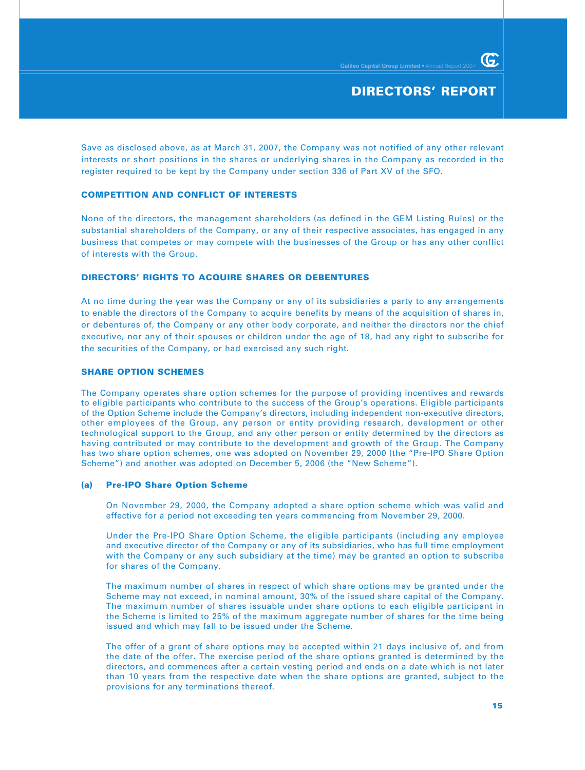Save as disclosed above, as at March 31, 2007, the Company was not notified of any other relevant interests or short positions in the shares or underlying shares in the Company as recorded in the register required to be kept by the Company under section 336 of Part XV of the SFO.

### **COMPETITION AND CONFLICT OF INTERESTS**

None of the directors, the management shareholders (as defined in the GEM Listing Rules) or the substantial shareholders of the Company, or any of their respective associates, has engaged in any business that competes or may compete with the businesses of the Group or has any other conflict of interests with the Group.

### **DIRECTORS' RIGHTS TO ACQUIRE SHARES OR DEBENTURES**

At no time during the year was the Company or any of its subsidiaries a party to any arrangements to enable the directors of the Company to acquire benefits by means of the acquisition of shares in, or debentures of, the Company or any other body corporate, and neither the directors nor the chief executive, nor any of their spouses or children under the age of 18, had any right to subscribe for the securities of the Company, or had exercised any such right.

### **SHARE OPTION SCHEMES**

The Company operates share option schemes for the purpose of providing incentives and rewards to eligible participants who contribute to the success of the Group's operations. Eligible participants of the Option Scheme include the Company's directors, including independent non-executive directors, other employees of the Group, any person or entity providing research, development or other technological support to the Group, and any other person or entity determined by the directors as having contributed or may contribute to the development and growth of the Group. The Company has two share option schemes, one was adopted on November 29, 2000 (the "Pre-IPO Share Option Scheme") and another was adopted on December 5, 2006 (the "New Scheme").

### **(a) Pre-IPO Share Option Scheme**

On November 29, 2000, the Company adopted a share option scheme which was valid and effective for a period not exceeding ten years commencing from November 29, 2000.

Under the Pre-IPO Share Option Scheme, the eligible participants (including any employee and executive director of the Company or any of its subsidiaries, who has full time employment with the Company or any such subsidiary at the time) may be granted an option to subscribe for shares of the Company.

The maximum number of shares in respect of which share options may be granted under the Scheme may not exceed, in nominal amount, 30% of the issued share capital of the Company. The maximum number of shares issuable under share options to each eligible participant in the Scheme is limited to 25% of the maximum aggregate number of shares for the time being issued and which may fall to be issued under the Scheme.

The offer of a grant of share options may be accepted within 21 days inclusive of, and from the date of the offer. The exercise period of the share options granted is determined by the directors, and commences after a certain vesting period and ends on a date which is not later than 10 years from the respective date when the share options are granted, subject to the provisions for any terminations thereof.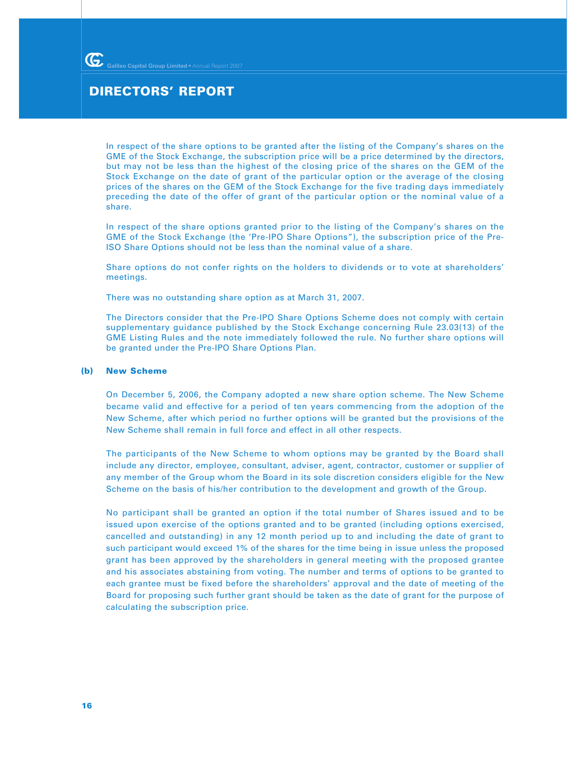In respect of the share options to be granted after the listing of the Company's shares on the GME of the Stock Exchange, the subscription price will be a price determined by the directors, but may not be less than the highest of the closing price of the shares on the GEM of the Stock Exchange on the date of grant of the particular option or the average of the closing prices of the shares on the GEM of the Stock Exchange for the five trading days immediately preceding the date of the offer of grant of the particular option or the nominal value of a share.

In respect of the share options granted prior to the listing of the Company's shares on the GME of the Stock Exchange (the 'Pre-IPO Share Options"), the subscription price of the Pre-ISO Share Options should not be less than the nominal value of a share.

Share options do not confer rights on the holders to dividends or to vote at shareholders' meetings.

There was no outstanding share option as at March 31, 2007.

The Directors consider that the Pre-IPO Share Options Scheme does not comply with certain supplementary guidance published by the Stock Exchange concerning Rule 23.03(13) of the GME Listing Rules and the note immediately followed the rule. No further share options will be granted under the Pre-IPO Share Options Plan.

#### **(b) New Scheme**

On December 5, 2006, the Company adopted a new share option scheme. The New Scheme became valid and effective for a period of ten years commencing from the adoption of the New Scheme, after which period no further options will be granted but the provisions of the New Scheme shall remain in full force and effect in all other respects.

The participants of the New Scheme to whom options may be granted by the Board shall include any director, employee, consultant, adviser, agent, contractor, customer or supplier of any member of the Group whom the Board in its sole discretion considers eligible for the New Scheme on the basis of his/her contribution to the development and growth of the Group.

No participant shall be granted an option if the total number of Shares issued and to be issued upon exercise of the options granted and to be granted (including options exercised, cancelled and outstanding) in any 12 month period up to and including the date of grant to such participant would exceed 1% of the shares for the time being in issue unless the proposed grant has been approved by the shareholders in general meeting with the proposed grantee and his associates abstaining from voting. The number and terms of options to be granted to each grantee must be fixed before the shareholders' approval and the date of meeting of the Board for proposing such further grant should be taken as the date of grant for the purpose of calculating the subscription price.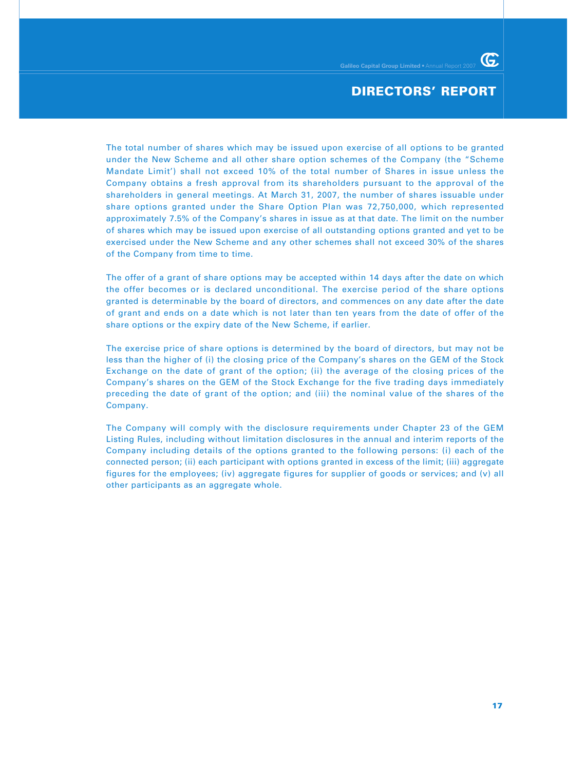The total number of shares which may be issued upon exercise of all options to be granted under the New Scheme and all other share option schemes of the Company (the "Scheme Mandate Limit') shall not exceed 10% of the total number of Shares in issue unless the Company obtains a fresh approval from its shareholders pursuant to the approval of the shareholders in general meetings. At March 31, 2007, the number of shares issuable under share options granted under the Share Option Plan was 72,750,000, which represented approximately 7.5% of the Company's shares in issue as at that date. The limit on the number of shares which may be issued upon exercise of all outstanding options granted and yet to be exercised under the New Scheme and any other schemes shall not exceed 30% of the shares of the Company from time to time.

The offer of a grant of share options may be accepted within 14 days after the date on which the offer becomes or is declared unconditional. The exercise period of the share options granted is determinable by the board of directors, and commences on any date after the date of grant and ends on a date which is not later than ten years from the date of offer of the share options or the expiry date of the New Scheme, if earlier.

The exercise price of share options is determined by the board of directors, but may not be less than the higher of (i) the closing price of the Company's shares on the GEM of the Stock Exchange on the date of grant of the option; (ii) the average of the closing prices of the Company's shares on the GEM of the Stock Exchange for the five trading days immediately preceding the date of grant of the option; and (iii) the nominal value of the shares of the Company.

The Company will comply with the disclosure requirements under Chapter 23 of the GEM Listing Rules, including without limitation disclosures in the annual and interim reports of the Company including details of the options granted to the following persons: (i) each of the connected person; (ii) each participant with options granted in excess of the limit; (iii) aggregate figures for the employees; (iv) aggregate figures for supplier of goods or services; and (v) all other participants as an aggregate whole.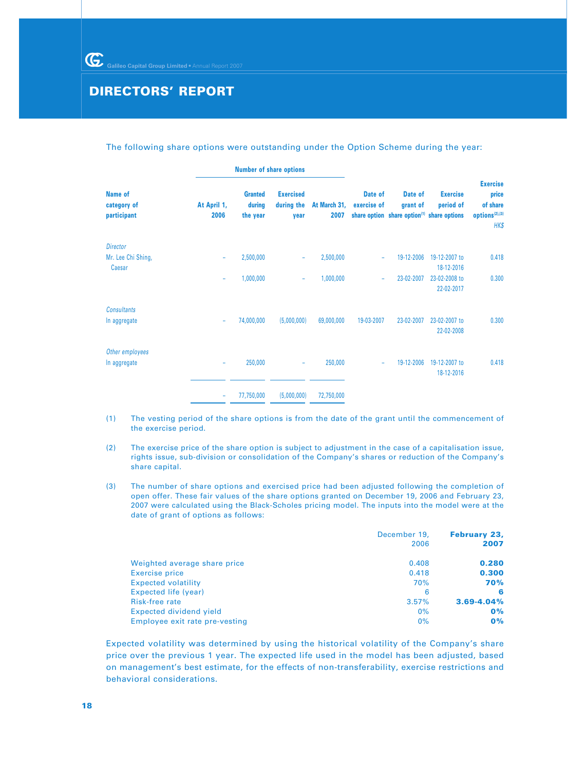#### The following share options were outstanding under the Option Scheme during the year:

|                                       |                     | <b>Number of share options</b>       |                                        |                      |                                                                                  |                     |                              |                                                                            |
|---------------------------------------|---------------------|--------------------------------------|----------------------------------------|----------------------|----------------------------------------------------------------------------------|---------------------|------------------------------|----------------------------------------------------------------------------|
| Name of<br>category of<br>participant | At April 1,<br>2006 | <b>Granted</b><br>during<br>the year | <b>Exercised</b><br>during the<br>vear | At March 31,<br>2007 | Date of<br>exercise of<br>share option share option <sup>(1)</sup> share options | Date of<br>grant of | <b>Exercise</b><br>period of | <b>Exercise</b><br>price<br>of share<br>options <sup>(2),(3)</sup><br>HK\$ |
| <b>Director</b><br>Mr. Lee Chi Shing, | ۰                   | 2,500,000                            | ۰                                      | 2,500,000            | ۰                                                                                | 19-12-2006          | 19-12-2007 to<br>18-12-2016  | 0.418                                                                      |
| Caesar                                | ۰                   | 1,000,000                            | ۰                                      | 1,000,000            | ÷                                                                                | 23-02-2007          | 23-02-2008 to<br>22-02-2017  | 0.300                                                                      |
| <b>Consultants</b><br>In aggregate    | -                   | 74,000,000                           | (5,000,000)                            | 69,000,000           | 19-03-2007                                                                       | 23-02-2007          | 23-02-2007 to<br>22-02-2008  | 0.300                                                                      |
| Other employees<br>In aggregate       |                     | 250,000                              | ۰                                      | 250,000              | ۰                                                                                | 19-12-2006          | 19-12-2007 to<br>18-12-2016  | 0.418                                                                      |
|                                       | ۰                   | 77,750,000                           | (5,000,000)                            | 72,750,000           |                                                                                  |                     |                              |                                                                            |

- (1) The vesting period of the share options is from the date of the grant until the commencement of the exercise period.
- (2) The exercise price of the share option is subject to adjustment in the case of a capitalisation issue, rights issue, sub-division or consolidation of the Company's shares or reduction of the Company's share capital.
- (3) The number of share options and exercised price had been adjusted following the completion of open offer. These fair values of the share options granted on December 19, 2006 and February 23, 2007 were calculated using the Black-Scholes pricing model. The inputs into the model were at the date of grant of options as follows:

|                                | December 19,<br>2006 | <b>February 23,</b><br>2007 |
|--------------------------------|----------------------|-----------------------------|
| Weighted average share price   | 0.408                | 0.280                       |
| Exercise price                 | 0.418                | 0.300                       |
| <b>Expected volatility</b>     | 70%                  | 70%                         |
| Expected life (year)           | 6                    | 6                           |
| Risk-free rate                 | 3.57%                | $3.69 - 4.04%$              |
| Expected dividend yield        | 0%                   | O%                          |
| Employee exit rate pre-vesting | 0%                   | $0\%$                       |

Expected volatility was determined by using the historical volatility of the Company's share price over the previous 1 year. The expected life used in the model has been adjusted, based on management's best estimate, for the effects of non-transferability, exercise restrictions and behavioral considerations.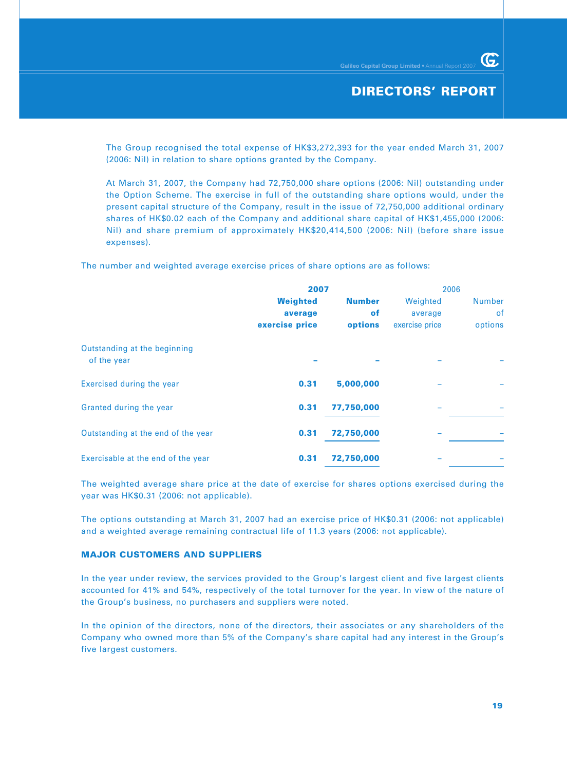The Group recognised the total expense of HK\$3,272,393 for the year ended March 31, 2007 (2006: Nil) in relation to share options granted by the Company.

At March 31, 2007, the Company had 72,750,000 share options (2006: Nil) outstanding under the Option Scheme. The exercise in full of the outstanding share options would, under the present capital structure of the Company, result in the issue of 72,750,000 additional ordinary shares of HK\$0.02 each of the Company and additional share capital of HK\$1,455,000 (2006: Nil) and share premium of approximately HK\$20,414,500 (2006: Nil) (before share issue expenses).

The number and weighted average exercise prices of share options are as follows:

|                                             | 2007            |               | 2006           |               |
|---------------------------------------------|-----------------|---------------|----------------|---------------|
|                                             | <b>Weighted</b> | <b>Number</b> | Weighted       | <b>Number</b> |
|                                             | average         | <b>of</b>     | average        | 0f            |
|                                             | exercise price  | options       | exercise price | options       |
| Outstanding at the beginning<br>of the year |                 |               |                |               |
| Exercised during the year                   | 0.31            | 5,000,000     |                |               |
| Granted during the year                     | 0.31            | 77,750,000    |                |               |
| Outstanding at the end of the year          | 0.31            | 72,750,000    |                |               |
| Exercisable at the end of the year          | 0.31            | 72,750,000    |                |               |

The weighted average share price at the date of exercise for shares options exercised during the year was HK\$0.31 (2006: not applicable).

The options outstanding at March 31, 2007 had an exercise price of HK\$0.31 (2006: not applicable) and a weighted average remaining contractual life of 11.3 years (2006: not applicable).

### **MAJOR CUSTOMERS AND SUPPLIERS**

In the year under review, the services provided to the Group's largest client and five largest clients accounted for 41% and 54%, respectively of the total turnover for the year. In view of the nature of the Group's business, no purchasers and suppliers were noted.

In the opinion of the directors, none of the directors, their associates or any shareholders of the Company who owned more than 5% of the Company's share capital had any interest in the Group's five largest customers.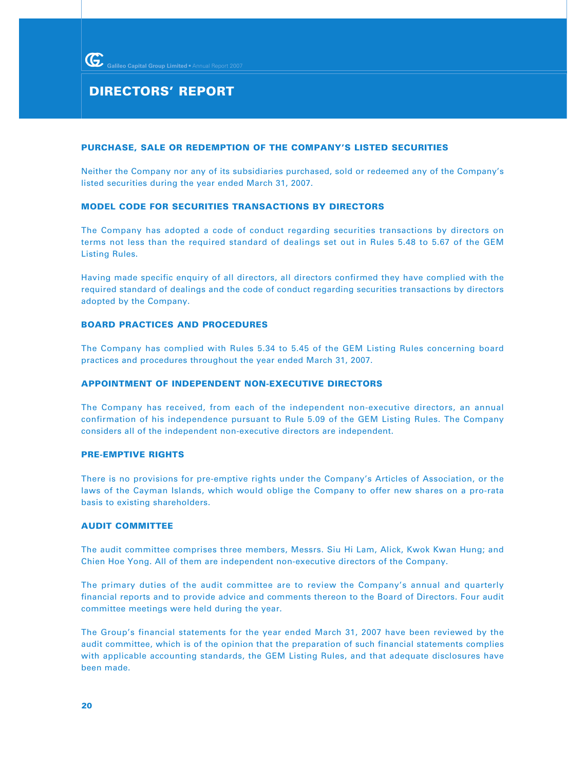### **PURCHASE, SALE OR REDEMPTION OF THE COMPANY'S LISTED SECURITIES**

Neither the Company nor any of its subsidiaries purchased, sold or redeemed any of the Company's listed securities during the year ended March 31, 2007.

### **MODEL CODE FOR SECURITIES TRANSACTIONS BY DIRECTORS**

The Company has adopted a code of conduct regarding securities transactions by directors on terms not less than the required standard of dealings set out in Rules 5.48 to 5.67 of the GEM Listing Rules.

Having made specific enquiry of all directors, all directors confirmed they have complied with the required standard of dealings and the code of conduct regarding securities transactions by directors adopted by the Company.

### **BOARD PRACTICES AND PROCEDURES**

The Company has complied with Rules 5.34 to 5.45 of the GEM Listing Rules concerning board practices and procedures throughout the year ended March 31, 2007.

### **APPOINTMENT OF INDEPENDENT NON-EXECUTIVE DIRECTORS**

The Company has received, from each of the independent non-executive directors, an annual confirmation of his independence pursuant to Rule 5.09 of the GEM Listing Rules. The Company considers all of the independent non-executive directors are independent.

### **PRE-EMPTIVE RIGHTS**

There is no provisions for pre-emptive rights under the Company's Articles of Association, or the laws of the Cayman Islands, which would oblige the Company to offer new shares on a pro-rata basis to existing shareholders.

### **AUDIT COMMITTEE**

The audit committee comprises three members, Messrs. Siu Hi Lam, Alick, Kwok Kwan Hung; and Chien Hoe Yong. All of them are independent non-executive directors of the Company.

The primary duties of the audit committee are to review the Company's annual and quarterly financial reports and to provide advice and comments thereon to the Board of Directors. Four audit committee meetings were held during the year.

The Group's financial statements for the year ended March 31, 2007 have been reviewed by the audit committee, which is of the opinion that the preparation of such financial statements complies with applicable accounting standards, the GEM Listing Rules, and that adequate disclosures have been made.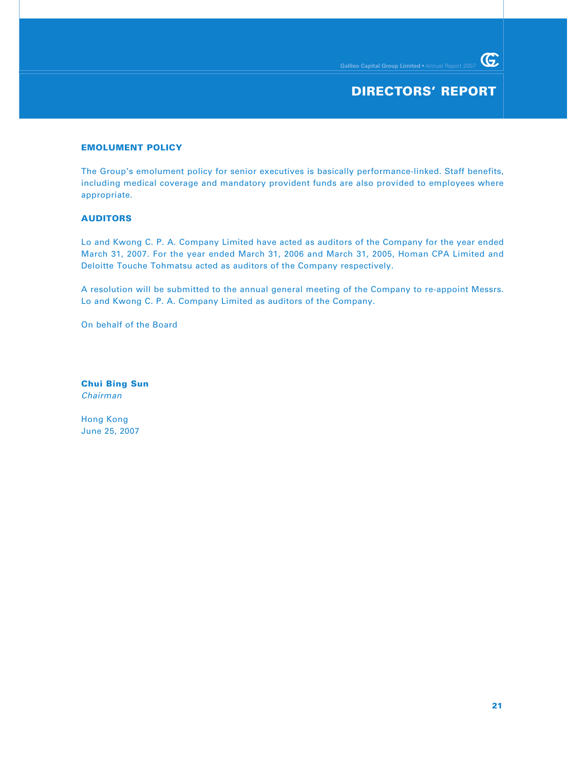### **DIRECTORS' REPORT**

#### **EMOLUMENT POLICY**

The Group's emolument policy for senior executives is basically performance-linked. Staff benefits, including medical coverage and mandatory provident funds are also provided to employees where appropriate.

### **AUDITORS**

Lo and Kwong C. P. A. Company Limited have acted as auditors of the Company for the year ended March 31, 2007. For the year ended March 31, 2006 and March 31, 2005, Homan CPA Limited and Deloitte Touche Tohmatsu acted as auditors of the Company respectively.

A resolution will be submitted to the annual general meeting of the Company to re-appoint Messrs. Lo and Kwong C. P. A. Company Limited as auditors of the Company.

On behalf of the Board

**Chui Bing Sun** Chairman

Hong Kong June 25, 2007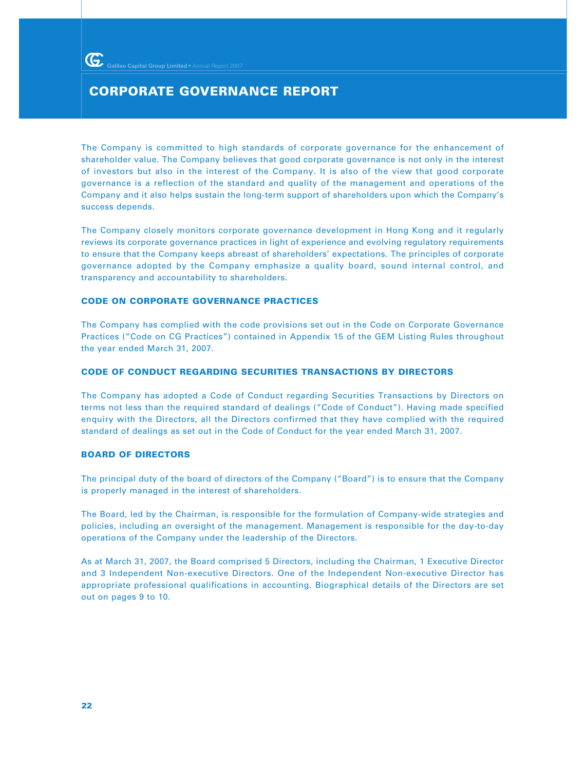### **CORPORATE GOVERNANCE REPORT**

The Company is committed to high standards of corporate governance for the enhancement of shareholder value. The Company believes that good corporate governance is not only in the interest of investors but also in the interest of the Company. It is also of the view that good corporate governance is a reflection of the standard and quality of the management and operations of the Company and it also helps sustain the long-term support of shareholders upon which the Company's success depends.

The Company closely monitors corporate governance development in Hong Kong and it regularly reviews its corporate governance practices in light of experience and evolving regulatory requirements to ensure that the Company keeps abreast of shareholders' expectations. The principles of corporate governance adopted by the Company emphasize a quality board, sound internal control, and transparency and accountability to shareholders.

### **CODE ON CORPORATE GOVERNANCE PRACTICES**

The Company has complied with the code provisions set out in the Code on Corporate Governance Practices ("Code on CG Practices") contained in Appendix 15 of the GEM Listing Rules throughout the year ended March 31, 2007.

### **CODE OF CONDUCT REGARDING SECURITIES TRANSACTIONS BY DIRECTORS**

The Company has adopted a Code of Conduct regarding Securities Transactions by Directors on terms not less than the required standard of dealings ("Code of Conduct"). Having made specified enquiry with the Directors, all the Directors confirmed that they have complied with the required standard of dealings as set out in the Code of Conduct for the year ended March 31, 2007.

### **BOARD OF DIRECTORS**

The principal duty of the board of directors of the Company ("Board") is to ensure that the Company is properly managed in the interest of shareholders.

The Board, led by the Chairman, is responsible for the formulation of Company-wide strategies and policies, including an oversight of the management. Management is responsible for the day-to-day operations of the Company under the leadership of the Directors.

As at March 31, 2007, the Board comprised 5 Directors, including the Chairman, 1 Executive Director and 3 Independent Non-executive Directors. One of the Independent Non-executive Director has appropriate professional qualifications in accounting. Biographical details of the Directors are set out on pages 9 to 10.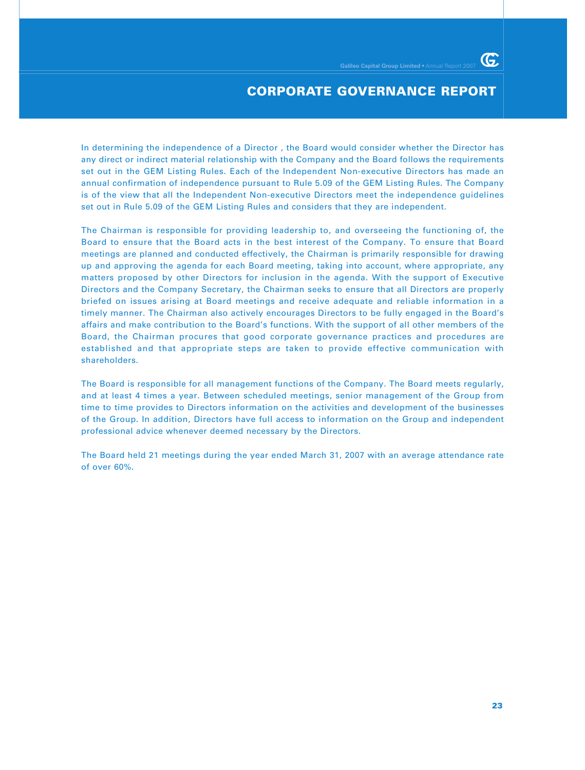In determining the independence of a Director , the Board would consider whether the Director has any direct or indirect material relationship with the Company and the Board follows the requirements set out in the GEM Listing Rules. Each of the Independent Non-executive Directors has made an annual confirmation of independence pursuant to Rule 5.09 of the GEM Listing Rules. The Company is of the view that all the Independent Non-executive Directors meet the independence guidelines set out in Rule 5.09 of the GEM Listing Rules and considers that they are independent.

The Chairman is responsible for providing leadership to, and overseeing the functioning of, the Board to ensure that the Board acts in the best interest of the Company. To ensure that Board meetings are planned and conducted effectively, the Chairman is primarily responsible for drawing up and approving the agenda for each Board meeting, taking into account, where appropriate, any matters proposed by other Directors for inclusion in the agenda. With the support of Executive Directors and the Company Secretary, the Chairman seeks to ensure that all Directors are properly briefed on issues arising at Board meetings and receive adequate and reliable information in a timely manner. The Chairman also actively encourages Directors to be fully engaged in the Board's affairs and make contribution to the Board's functions. With the support of all other members of the Board, the Chairman procures that good corporate governance practices and procedures are established and that appropriate steps are taken to provide effective communication with shareholders.

The Board is responsible for all management functions of the Company. The Board meets regularly, and at least 4 times a year. Between scheduled meetings, senior management of the Group from time to time provides to Directors information on the activities and development of the businesses of the Group. In addition, Directors have full access to information on the Group and independent professional advice whenever deemed necessary by the Directors.

The Board held 21 meetings during the year ended March 31, 2007 with an average attendance rate of over 60%.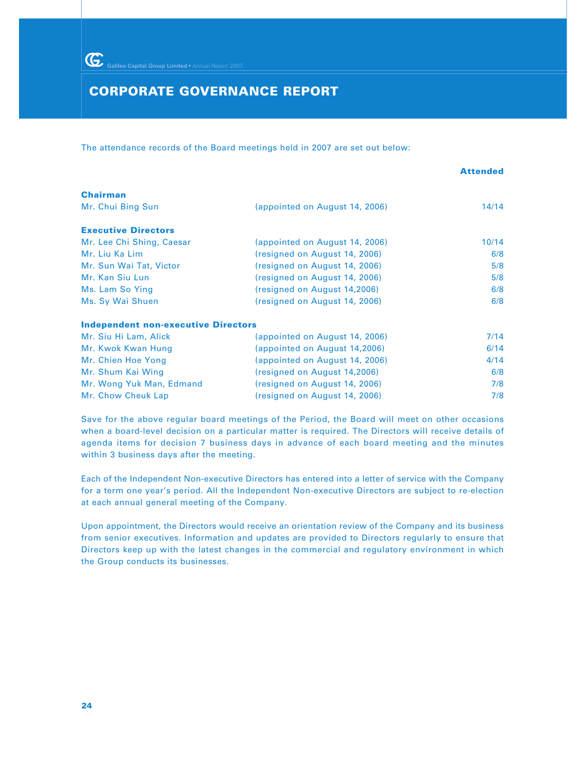### **CORPORATE GOVERNANCE REPORT**

The attendance records of the Board meetings held in 2007 are set out below:

|                                            |                                | <b>Attended</b> |
|--------------------------------------------|--------------------------------|-----------------|
| <b>Chairman</b>                            |                                |                 |
| Mr. Chui Bing Sun                          | (appointed on August 14, 2006) | 14/14           |
| <b>Executive Directors</b>                 |                                |                 |
| Mr. Lee Chi Shing, Caesar                  | (appointed on August 14, 2006) | 10/14           |
| Mr. Liu Ka Lim                             | (resigned on August 14, 2006)  | 6/8             |
| Mr. Sun Wai Tat, Victor                    | (resigned on August 14, 2006)  | 5/8             |
| Mr. Kan Siu Lun                            | (resigned on August 14, 2006)  | 5/8             |
| Ms. Lam So Ying                            | (resigned on August 14,2006)   | 6/8             |
| Ms. Sy Wai Shuen                           | (resigned on August 14, 2006)  | 6/8             |
| <b>Independent non-executive Directors</b> |                                |                 |
| Mr. Siu Hi Lam, Alick                      | (appointed on August 14, 2006) | 7/14            |
| Mr. Kwok Kwan Hung                         | (appointed on August 14,2006)  | 6/14            |
| Mr. Chien Hoe Yong                         | (appointed on August 14, 2006) | 4/14            |
| Mr. Shum Kai Wing                          | (resigned on August 14,2006)   | 6/8             |
| Mr. Wong Yuk Man, Edmand                   | (resigned on August 14, 2006)  | 7/8             |
| Mr. Chow Cheuk Lap                         | (resigned on August 14, 2006)  | 7/8             |

Save for the above regular board meetings of the Period, the Board will meet on other occasions when a board-level decision on a particular matter is required. The Directors will receive details of agenda items for decision 7 business days in advance of each board meeting and the minutes within 3 business days after the meeting.

Each of the Independent Non-executive Directors has entered into a letter of service with the Company for a term one year's period. All the Independent Non-executive Directors are subject to re-election at each annual general meeting of the Company.

Upon appointment, the Directors would receive an orientation review of the Company and its business from senior executives. Information and updates are provided to Directors regularly to ensure that Directors keep up with the latest changes in the commercial and regulatory environment in which the Group conducts its businesses.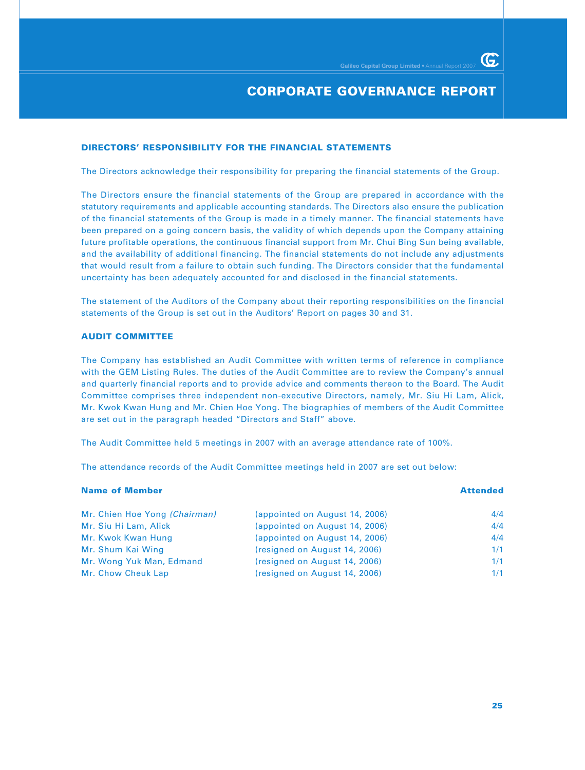### **CORPORATE GOVERNANCE REPORT**

#### **DIRECTORS' RESPONSIBILITY FOR THE FINANCIAL STATEMENTS**

The Directors acknowledge their responsibility for preparing the financial statements of the Group.

The Directors ensure the financial statements of the Group are prepared in accordance with the statutory requirements and applicable accounting standards. The Directors also ensure the publication of the financial statements of the Group is made in a timely manner. The financial statements have been prepared on a going concern basis, the validity of which depends upon the Company attaining future profitable operations, the continuous financial support from Mr. Chui Bing Sun being available, and the availability of additional financing. The financial statements do not include any adjustments that would result from a failure to obtain such funding. The Directors consider that the fundamental uncertainty has been adequately accounted for and disclosed in the financial statements.

The statement of the Auditors of the Company about their reporting responsibilities on the financial statements of the Group is set out in the Auditors' Report on pages 30 and 31.

#### **AUDIT COMMITTEE**

The Company has established an Audit Committee with written terms of reference in compliance with the GEM Listing Rules. The duties of the Audit Committee are to review the Company's annual and quarterly financial reports and to provide advice and comments thereon to the Board. The Audit Committee comprises three independent non-executive Directors, namely, Mr. Siu Hi Lam, Alick, Mr. Kwok Kwan Hung and Mr. Chien Hoe Yong. The biographies of members of the Audit Committee are set out in the paragraph headed "Directors and Staff" above.

The Audit Committee held 5 meetings in 2007 with an average attendance rate of 100%.

The attendance records of the Audit Committee meetings held in 2007 are set out below:

| <b>Name of Member</b>         |                                | <b>Attended</b> |
|-------------------------------|--------------------------------|-----------------|
| Mr. Chien Hoe Yong (Chairman) | (appointed on August 14, 2006) | 4/4             |
| Mr. Siu Hi Lam, Alick         | (appointed on August 14, 2006) | 4/4             |
| Mr. Kwok Kwan Hung            | (appointed on August 14, 2006) | 4/4             |
| Mr. Shum Kai Wing             | (resigned on August 14, 2006)  | 1/1             |
| Mr. Wong Yuk Man, Edmand      | (resigned on August 14, 2006)  | 1/1             |
| Mr. Chow Cheuk Lap            | (resigned on August 14, 2006)  | 1/1             |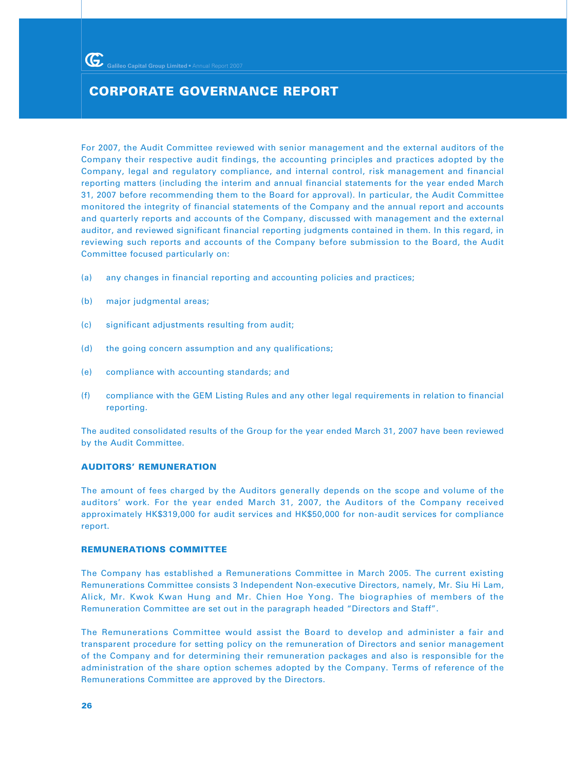### **CORPORATE GOVERNANCE REPORT**

For 2007, the Audit Committee reviewed with senior management and the external auditors of the Company their respective audit findings, the accounting principles and practices adopted by the Company, legal and regulatory compliance, and internal control, risk management and financial reporting matters (including the interim and annual financial statements for the year ended March 31, 2007 before recommending them to the Board for approval). In particular, the Audit Committee monitored the integrity of financial statements of the Company and the annual report and accounts and quarterly reports and accounts of the Company, discussed with management and the external auditor, and reviewed significant financial reporting judgments contained in them. In this regard, in reviewing such reports and accounts of the Company before submission to the Board, the Audit Committee focused particularly on:

- (a) any changes in financial reporting and accounting policies and practices;
- (b) major judgmental areas;
- (c) significant adjustments resulting from audit;
- (d) the going concern assumption and any qualifications;
- (e) compliance with accounting standards; and
- (f) compliance with the GEM Listing Rules and any other legal requirements in relation to financial reporting.

The audited consolidated results of the Group for the year ended March 31, 2007 have been reviewed by the Audit Committee.

### **AUDITORS' REMUNERATION**

The amount of fees charged by the Auditors generally depends on the scope and volume of the auditors' work. For the year ended March 31, 2007, the Auditors of the Company received approximately HK\$319,000 for audit services and HK\$50,000 for non-audit services for compliance report.

#### **REMUNERATIONS COMMITTEE**

The Company has established a Remunerations Committee in March 2005. The current existing Remunerations Committee consists 3 Independent Non-executive Directors, namely, Mr. Siu Hi Lam, Alick, Mr. Kwok Kwan Hung and Mr. Chien Hoe Yong. The biographies of members of the Remuneration Committee are set out in the paragraph headed "Directors and Staff".

The Remunerations Committee would assist the Board to develop and administer a fair and transparent procedure for setting policy on the remuneration of Directors and senior management of the Company and for determining their remuneration packages and also is responsible for the administration of the share option schemes adopted by the Company. Terms of reference of the Remunerations Committee are approved by the Directors.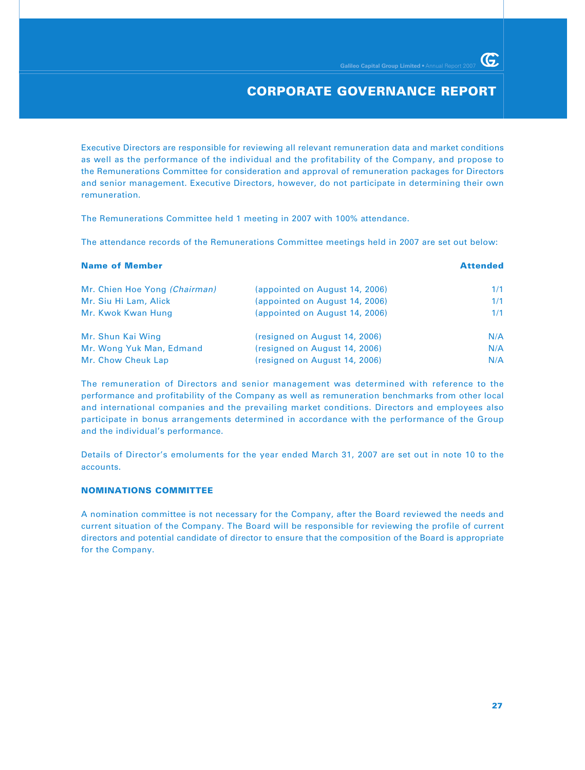G.

Executive Directors are responsible for reviewing all relevant remuneration data and market conditions as well as the performance of the individual and the profitability of the Company, and propose to the Remunerations Committee for consideration and approval of remuneration packages for Directors and senior management. Executive Directors, however, do not participate in determining their own remuneration.

The Remunerations Committee held 1 meeting in 2007 with 100% attendance.

The attendance records of the Remunerations Committee meetings held in 2007 are set out below:

| <b>Name of Member</b>         |                                | <b>Attended</b> |
|-------------------------------|--------------------------------|-----------------|
| Mr. Chien Hoe Yong (Chairman) | (appointed on August 14, 2006) | 1/1             |
| Mr. Siu Hi Lam, Alick         | (appointed on August 14, 2006) | 1/1             |
| Mr. Kwok Kwan Hung            | (appointed on August 14, 2006) | 1/1             |
| Mr. Shun Kai Wing             | (resigned on August 14, 2006)  | N/A             |
| Mr. Wong Yuk Man, Edmand      | (resigned on August 14, 2006)  | N/A             |
| Mr. Chow Cheuk Lap            | (resigned on August 14, 2006)  | N/A             |

The remuneration of Directors and senior management was determined with reference to the performance and profitability of the Company as well as remuneration benchmarks from other local and international companies and the prevailing market conditions. Directors and employees also participate in bonus arrangements determined in accordance with the performance of the Group and the individual's performance.

Details of Director's emoluments for the year ended March 31, 2007 are set out in note 10 to the accounts.

### **NOMINATIONS COMMITTEE**

A nomination committee is not necessary for the Company, after the Board reviewed the needs and current situation of the Company. The Board will be responsible for reviewing the profile of current directors and potential candidate of director to ensure that the composition of the Board is appropriate for the Company.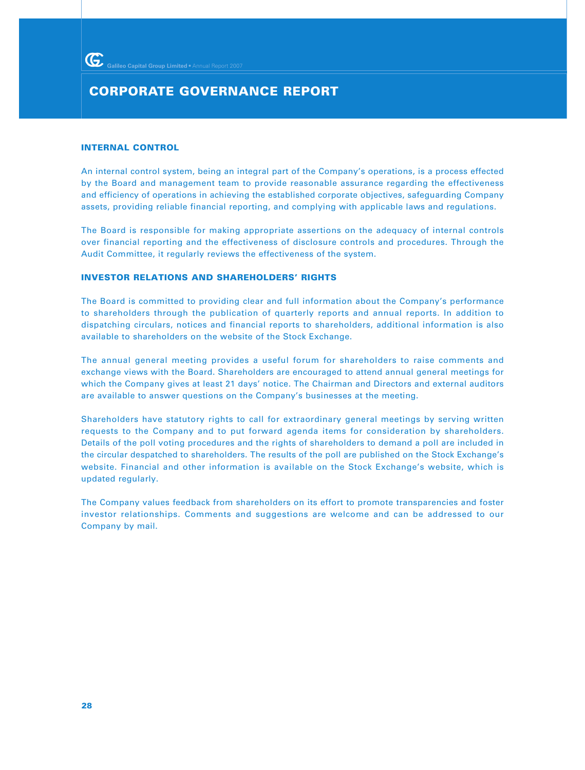### **CORPORATE GOVERNANCE REPORT**

#### **INTERNAL CONTROL**

An internal control system, being an integral part of the Company's operations, is a process effected by the Board and management team to provide reasonable assurance regarding the effectiveness and efficiency of operations in achieving the established corporate objectives, safeguarding Company assets, providing reliable financial reporting, and complying with applicable laws and regulations.

The Board is responsible for making appropriate assertions on the adequacy of internal controls over financial reporting and the effectiveness of disclosure controls and procedures. Through the Audit Committee, it regularly reviews the effectiveness of the system.

### **INVESTOR RELATIONS AND SHAREHOLDERS' RIGHTS**

The Board is committed to providing clear and full information about the Company's performance to shareholders through the publication of quarterly reports and annual reports. In addition to dispatching circulars, notices and financial reports to shareholders, additional information is also available to shareholders on the website of the Stock Exchange.

The annual general meeting provides a useful forum for shareholders to raise comments and exchange views with the Board. Shareholders are encouraged to attend annual general meetings for which the Company gives at least 21 days' notice. The Chairman and Directors and external auditors are available to answer questions on the Company's businesses at the meeting.

Shareholders have statutory rights to call for extraordinary general meetings by serving written requests to the Company and to put forward agenda items for consideration by shareholders. Details of the poll voting procedures and the rights of shareholders to demand a poll are included in the circular despatched to shareholders. The results of the poll are published on the Stock Exchange's website. Financial and other information is available on the Stock Exchange's website, which is updated regularly.

The Company values feedback from shareholders on its effort to promote transparencies and foster investor relationships. Comments and suggestions are welcome and can be addressed to our Company by mail.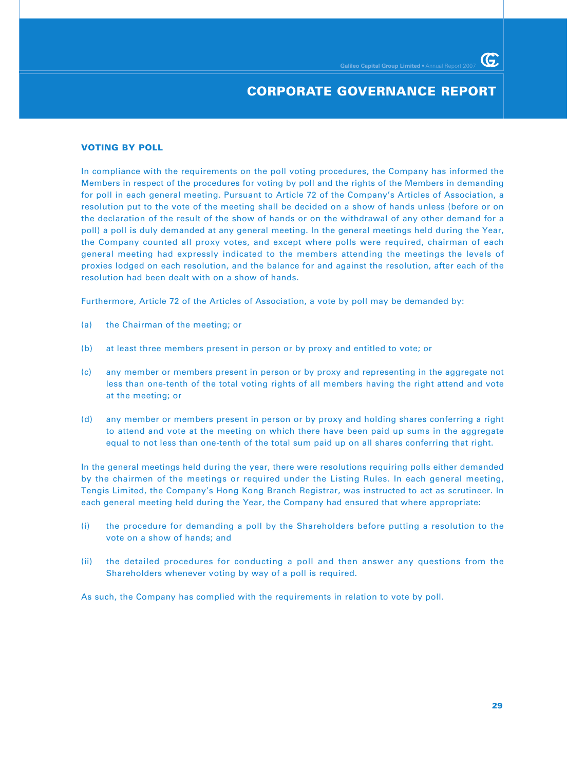### **CORPORATE GOVERNANCE REPORT**

#### **VOTING BY POLL**

In compliance with the requirements on the poll voting procedures, the Company has informed the Members in respect of the procedures for voting by poll and the rights of the Members in demanding for poll in each general meeting. Pursuant to Article 72 of the Company's Articles of Association, a resolution put to the vote of the meeting shall be decided on a show of hands unless (before or on the declaration of the result of the show of hands or on the withdrawal of any other demand for a poll) a poll is duly demanded at any general meeting. In the general meetings held during the Year, the Company counted all proxy votes, and except where polls were required, chairman of each general meeting had expressly indicated to the members attending the meetings the levels of proxies lodged on each resolution, and the balance for and against the resolution, after each of the resolution had been dealt with on a show of hands.

Furthermore, Article 72 of the Articles of Association, a vote by poll may be demanded by:

- (a) the Chairman of the meeting; or
- (b) at least three members present in person or by proxy and entitled to vote; or
- (c) any member or members present in person or by proxy and representing in the aggregate not less than one-tenth of the total voting rights of all members having the right attend and vote at the meeting; or
- (d) any member or members present in person or by proxy and holding shares conferring a right to attend and vote at the meeting on which there have been paid up sums in the aggregate equal to not less than one-tenth of the total sum paid up on all shares conferring that right.

In the general meetings held during the year, there were resolutions requiring polls either demanded by the chairmen of the meetings or required under the Listing Rules. In each general meeting, Tengis Limited, the Company's Hong Kong Branch Registrar, was instructed to act as scrutineer. In each general meeting held during the Year, the Company had ensured that where appropriate:

- (i) the procedure for demanding a poll by the Shareholders before putting a resolution to the vote on a show of hands; and
- (ii) the detailed procedures for conducting a poll and then answer any questions from the Shareholders whenever voting by way of a poll is required.

As such, the Company has complied with the requirements in relation to vote by poll.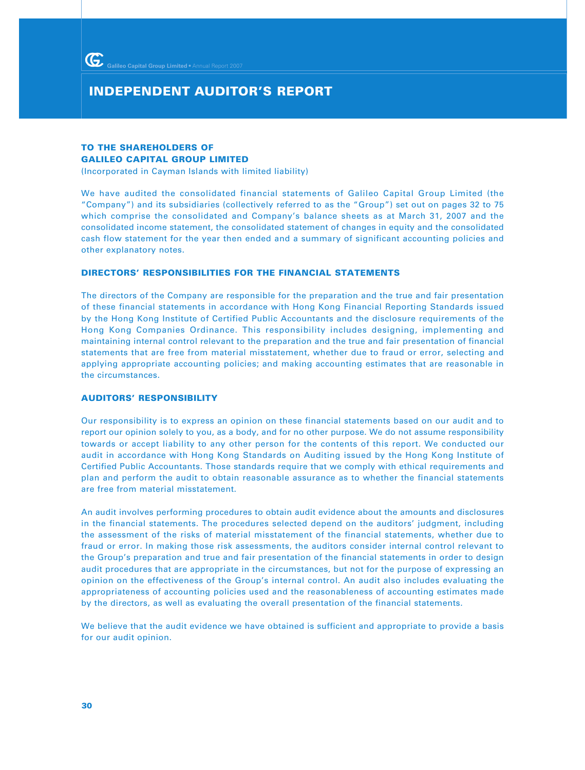### **INDEPENDENT AUDITOR'S REPORT**

### **TO THE SHAREHOLDERS OF GALILEO CAPITAL GROUP LIMITED**

(Incorporated in Cayman Islands with limited liability)

We have audited the consolidated financial statements of Galileo Capital Group Limited (the "Company") and its subsidiaries (collectively referred to as the "Group") set out on pages 32 to 75 which comprise the consolidated and Company's balance sheets as at March 31, 2007 and the consolidated income statement, the consolidated statement of changes in equity and the consolidated cash flow statement for the year then ended and a summary of significant accounting policies and other explanatory notes.

#### **DIRECTORS' RESPONSIBILITIES FOR THE FINANCIAL STATEMENTS**

The directors of the Company are responsible for the preparation and the true and fair presentation of these financial statements in accordance with Hong Kong Financial Reporting Standards issued by the Hong Kong Institute of Certified Public Accountants and the disclosure requirements of the Hong Kong Companies Ordinance. This responsibility includes designing, implementing and maintaining internal control relevant to the preparation and the true and fair presentation of financial statements that are free from material misstatement, whether due to fraud or error, selecting and applying appropriate accounting policies; and making accounting estimates that are reasonable in the circumstances.

#### **AUDITORS' RESPONSIBILITY**

Our responsibility is to express an opinion on these financial statements based on our audit and to report our opinion solely to you, as a body, and for no other purpose. We do not assume responsibility towards or accept liability to any other person for the contents of this report. We conducted our audit in accordance with Hong Kong Standards on Auditing issued by the Hong Kong Institute of Certified Public Accountants. Those standards require that we comply with ethical requirements and plan and perform the audit to obtain reasonable assurance as to whether the financial statements are free from material misstatement.

An audit involves performing procedures to obtain audit evidence about the amounts and disclosures in the financial statements. The procedures selected depend on the auditors' judgment, including the assessment of the risks of material misstatement of the financial statements, whether due to fraud or error. In making those risk assessments, the auditors consider internal control relevant to the Group's preparation and true and fair presentation of the financial statements in order to design audit procedures that are appropriate in the circumstances, but not for the purpose of expressing an opinion on the effectiveness of the Group's internal control. An audit also includes evaluating the appropriateness of accounting policies used and the reasonableness of accounting estimates made by the directors, as well as evaluating the overall presentation of the financial statements.

We believe that the audit evidence we have obtained is sufficient and appropriate to provide a basis for our audit opinion.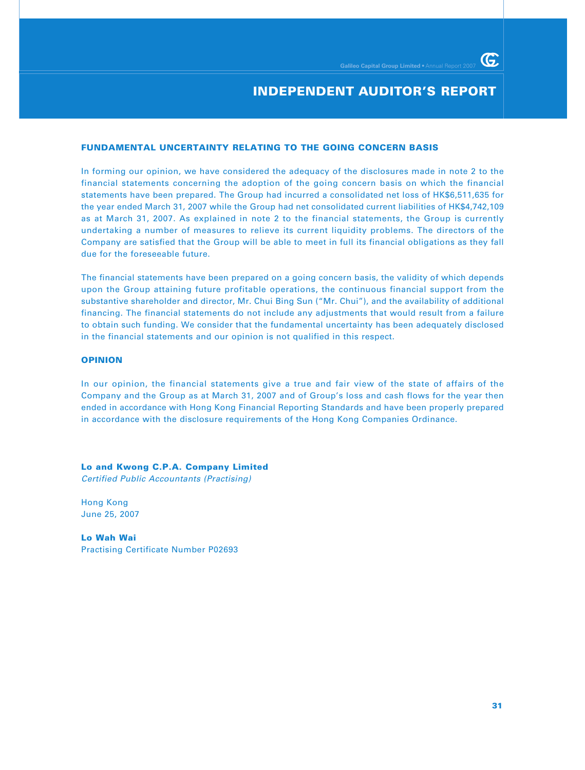### **INDEPENDENT AUDITOR'S REPORT**

#### **FUNDAMENTAL UNCERTAINTY RELATING TO THE GOING CONCERN BASIS**

In forming our opinion, we have considered the adequacy of the disclosures made in note 2 to the financial statements concerning the adoption of the going concern basis on which the financial statements have been prepared. The Group had incurred a consolidated net loss of HK\$6,511,635 for the year ended March 31, 2007 while the Group had net consolidated current liabilities of HK\$4,742,109 as at March 31, 2007. As explained in note 2 to the financial statements, the Group is currently undertaking a number of measures to relieve its current liquidity problems. The directors of the Company are satisfied that the Group will be able to meet in full its financial obligations as they fall due for the foreseeable future.

The financial statements have been prepared on a going concern basis, the validity of which depends upon the Group attaining future profitable operations, the continuous financial support from the substantive shareholder and director, Mr. Chui Bing Sun ("Mr. Chui"), and the availability of additional financing. The financial statements do not include any adjustments that would result from a failure to obtain such funding. We consider that the fundamental uncertainty has been adequately disclosed in the financial statements and our opinion is not qualified in this respect.

#### **OPINION**

In our opinion, the financial statements give a true and fair view of the state of affairs of the Company and the Group as at March 31, 2007 and of Group's loss and cash flows for the year then ended in accordance with Hong Kong Financial Reporting Standards and have been properly prepared in accordance with the disclosure requirements of the Hong Kong Companies Ordinance.

**Lo and Kwong C.P.A. Company Limited**

Certified Public Accountants (Practising)

Hong Kong June 25, 2007

**Lo Wah Wai** Practising Certificate Number P02693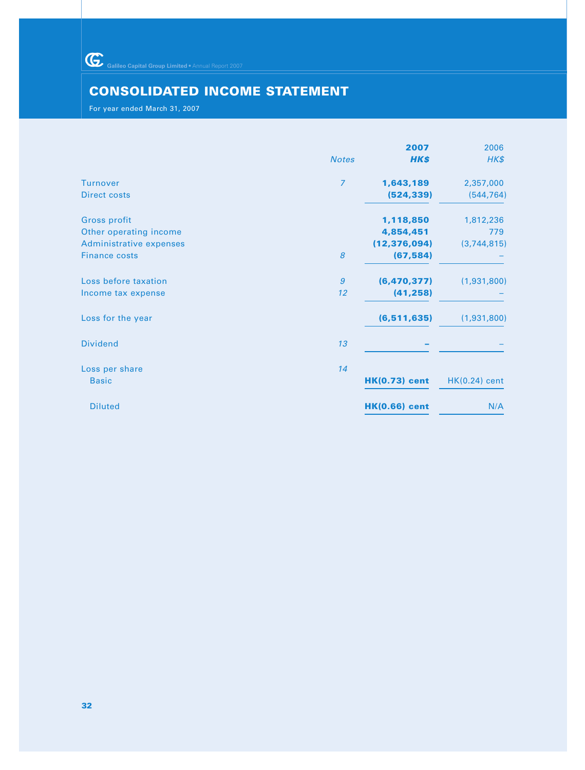Galileo Capital Group Limited • Annual Report 2007

# **CONSOLIDATED INCOME STATEMENT**

For year ended March 31, 2007

|                | 2007                 | 2006            |
|----------------|----------------------|-----------------|
| <b>Notes</b>   | HK\$                 | HK\$            |
| $\overline{7}$ | 1,643,189            | 2,357,000       |
|                | (524, 339)           | (544, 764)      |
|                | 1,118,850            | 1,812,236       |
|                | 4,854,451            | 779             |
|                | (12, 376, 094)       | (3,744,815)     |
| 8              | (67, 584)            |                 |
| $\mathfrak{g}$ |                      | (1,931,800)     |
| 12             | (41, 258)            |                 |
|                | (6, 511, 635)        | (1,931,800)     |
| 13             |                      |                 |
| 14             |                      |                 |
|                | <b>HK(0.73) cent</b> | $HK(0.24)$ cent |
|                | <b>HK(0.66)</b> cent | N/A             |
|                |                      | (6, 470, 377)   |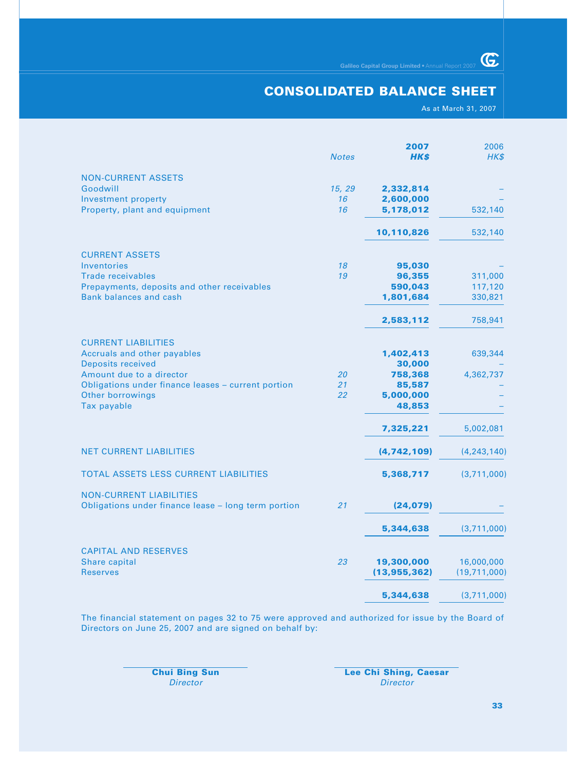### **CONSOLIDATED BALANCE SHEET**

As at March 31, 2007

 $G$ 

|                                                                                                                                                                                                            | <b>Notes</b>       | 2007<br><b>HK\$</b>                                             | 2006<br>HK\$                             |
|------------------------------------------------------------------------------------------------------------------------------------------------------------------------------------------------------------|--------------------|-----------------------------------------------------------------|------------------------------------------|
| <b>NON-CURRENT ASSETS</b><br>Goodwill<br>Investment property<br>Property, plant and equipment                                                                                                              | 15, 29<br>16<br>16 | 2,332,814<br>2,600,000<br>5,178,012                             | 532,140                                  |
|                                                                                                                                                                                                            |                    | 10,110,826                                                      | 532,140                                  |
| <b>CURRENT ASSETS</b><br>Inventories<br><b>Trade receivables</b><br>Prepayments, deposits and other receivables<br><b>Bank balances and cash</b>                                                           | 18<br>19           | 95,030<br>96,355<br>590,043<br>1,801,684<br>2,583,112           | 311,000<br>117,120<br>330,821<br>758,941 |
| <b>CURRENT LIABILITIES</b><br>Accruals and other payables<br><b>Deposits received</b><br>Amount due to a director<br>Obligations under finance leases - current portion<br>Other borrowings<br>Tax payable | 20<br>21<br>22     | 1,402,413<br>30,000<br>758,368<br>85,587<br>5,000,000<br>48,853 | 639,344<br>4,362,737                     |
| <b>NET CURRENT LIABILITIES</b>                                                                                                                                                                             |                    | 7,325,221<br>(4,742,109)                                        | 5,002,081<br>(4, 243, 140)               |
| TOTAL ASSETS LESS CURRENT LIABILITIES                                                                                                                                                                      |                    | 5,368,717                                                       | (3,711,000)                              |
| <b>NON-CURRENT LIABILITIES</b><br>Obligations under finance lease - long term portion                                                                                                                      | 21                 | (24, 079)                                                       |                                          |
|                                                                                                                                                                                                            |                    | 5,344,638                                                       | (3,711,000)                              |
| <b>CAPITAL AND RESERVES</b><br>Share capital<br><b>Reserves</b>                                                                                                                                            | 23                 | 19,300,000<br>(13, 955, 362)                                    | 16,000,000<br>(19,711,000)               |
|                                                                                                                                                                                                            |                    | 5,344,638                                                       | (3,711,000)                              |

The financial statement on pages 32 to 75 were approved and authorized for issue by the Board of Directors on June 25, 2007 and are signed on behalf by:

**Chui Bing Sun Lee Chi Shing, Caesar** Director Director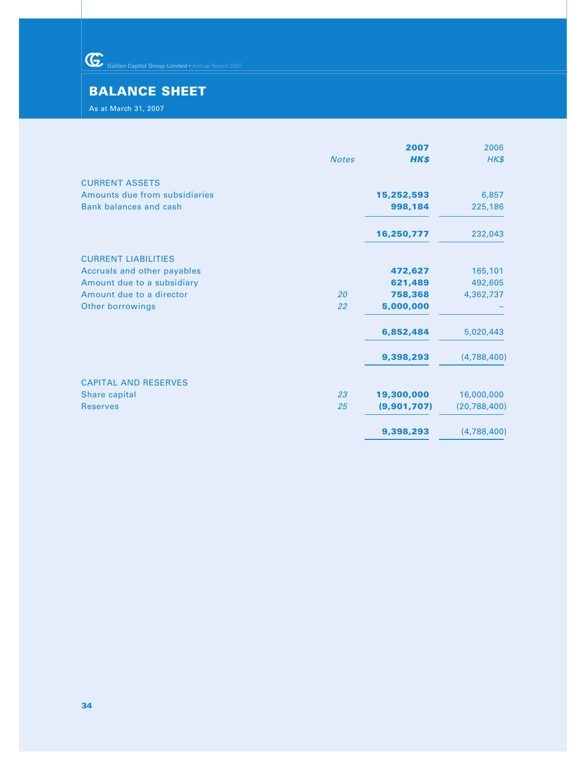Galileo Capital Group Limited • Annual Report 2007

## **BALANCE SHEET**

As at March 31, 2007

|                               |              | 2007        | 2006           |
|-------------------------------|--------------|-------------|----------------|
|                               | <b>Notes</b> | <b>HK\$</b> | $H K$ \$       |
| <b>CURRENT ASSETS</b>         |              |             |                |
| Amounts due from subsidiaries |              | 15,252,593  | 6,857          |
| <b>Bank balances and cash</b> |              | 998,184     | 225,186        |
|                               |              | 16,250,777  | 232,043        |
| <b>CURRENT LIABILITIES</b>    |              |             |                |
| Accruals and other payables   |              | 472,627     | 165,101        |
| Amount due to a subsidiary    |              | 621,489     | 492,605        |
| Amount due to a director      | 20           | 758,368     | 4,362,737      |
| <b>Other borrowings</b>       | 22           | 5,000,000   |                |
|                               |              | 6,852,484   | 5,020,443      |
|                               |              | 9,398,293   | (4,788,400)    |
| <b>CAPITAL AND RESERVES</b>   |              |             |                |
| Share capital                 | 23           | 19,300,000  | 16,000,000     |
| <b>Reserves</b>               | 25           | (9,901,707) | (20, 788, 400) |
|                               |              | 9,398,293   | (4,788,400)    |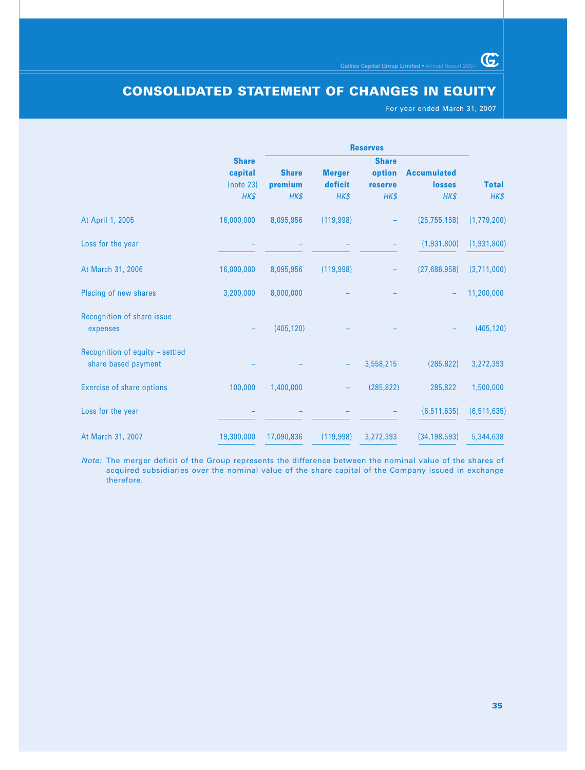# **CONSOLIDATED STATEMENT OF CHANGES IN EQUITY**

For year ended March 31, 2007

 $\overline{\mathbb{G}}$ 

|                                        |              |              |               | <b>Reserves</b> |                    |               |  |
|----------------------------------------|--------------|--------------|---------------|-----------------|--------------------|---------------|--|
|                                        | <b>Share</b> |              |               | <b>Share</b>    |                    |               |  |
|                                        | capital      | <b>Share</b> | <b>Merger</b> | option          | <b>Accumulated</b> |               |  |
|                                        | (note 23)    | premium      | deficit       | reserve         | <b>losses</b>      | <b>Total</b>  |  |
|                                        | HK\$         | HK\$         | HK\$          | HK\$            | HK\$               | HK\$          |  |
| At April 1, 2005                       | 16,000,000   | 8,095,956    | (119, 998)    |                 | (25, 755, 158)     | (1,779,200)   |  |
| Loss for the year                      |              |              |               |                 | (1,931,800)        | (1,931,800)   |  |
| At March 31, 2006                      | 16,000,000   | 8,095,956    | (119,998)     |                 | (27,686,958)       | (3,711,000)   |  |
| Placing of new shares                  | 3,200,000    | 8,000,000    |               |                 |                    | 11,200,000    |  |
| Recognition of share issue<br>expenses |              | (405, 120)   |               |                 |                    | (405, 120)    |  |
| Recognition of equity - settled        |              |              |               |                 |                    |               |  |
| share based payment                    |              |              |               | 3,558,215       | (285, 822)         | 3,272,393     |  |
| <b>Exercise of share options</b>       | 100,000      | 1,400,000    |               | (285, 822)      | 285,822            | 1,500,000     |  |
| Loss for the year                      |              |              |               |                 | (6, 511, 635)      | (6, 511, 635) |  |
| At March 31, 2007                      | 19,300,000   | 17,090,836   | (119,998)     | 3,272,393       | (34, 198, 593)     | 5,344,638     |  |

Note: The merger deficit of the Group represents the difference between the nominal value of the shares of acquired subsidiaries over the nominal value of the share capital of the Company issued in exchange therefore.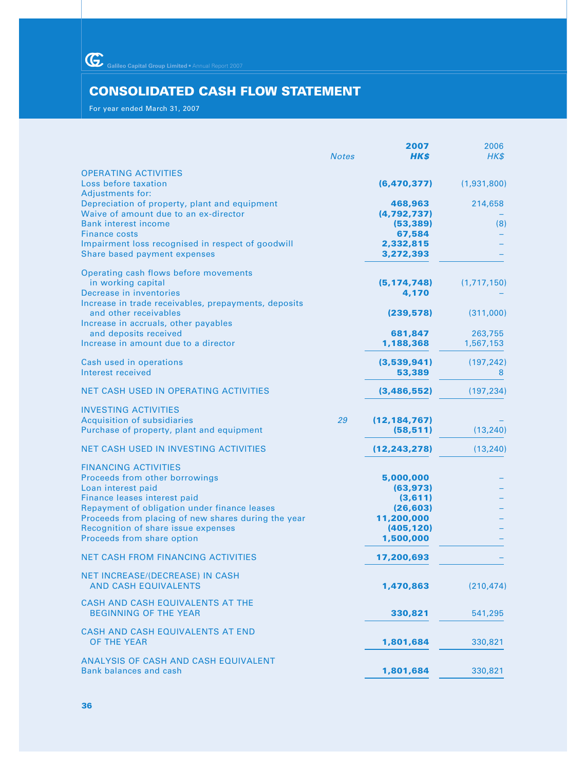Galileo Capital Group Limited • Annual Report 2007

# **CONSOLIDATED CASH FLOW STATEMENT**

For year ended March 31, 2007

|                                                                                                                                                                                                                                                                                                 | <b>Notes</b> | 2007<br>HK\$                                                                            | 2006<br>HK\$         |
|-------------------------------------------------------------------------------------------------------------------------------------------------------------------------------------------------------------------------------------------------------------------------------------------------|--------------|-----------------------------------------------------------------------------------------|----------------------|
| <b>OPERATING ACTIVITIES</b><br>Loss before taxation                                                                                                                                                                                                                                             |              | (6, 470, 377)                                                                           | (1,931,800)          |
| <b>Adjustments for:</b><br>Depreciation of property, plant and equipment<br>Waive of amount due to an ex-director<br><b>Bank interest income</b><br><b>Finance costs</b><br>Impairment loss recognised in respect of goodwill<br>Share based payment expenses                                   |              | 468,963<br>(4, 792, 737)<br>(53, 389)<br>67,584<br>2,332,815<br>3,272,393               | 214,658<br>(8)       |
| Operating cash flows before movements<br>in working capital<br>Decrease in inventories<br>Increase in trade receivables, prepayments, deposits                                                                                                                                                  |              | (5, 174, 748)<br>4,170                                                                  | (1,717,150)          |
| and other receivables<br>Increase in accruals, other payables                                                                                                                                                                                                                                   |              | (239, 578)                                                                              | (311,000)            |
| and deposits received<br>Increase in amount due to a director                                                                                                                                                                                                                                   |              | 681,847<br>1,188,368                                                                    | 263,755<br>1,567,153 |
| Cash used in operations<br>Interest received                                                                                                                                                                                                                                                    |              | (3,539,941)<br>53,389                                                                   | (197, 242)<br>8      |
| NET CASH USED IN OPERATING ACTIVITIES                                                                                                                                                                                                                                                           |              | (3,486,552)                                                                             | (197, 234)           |
| <b>INVESTING ACTIVITIES</b><br><b>Acquisition of subsidiaries</b><br>Purchase of property, plant and equipment                                                                                                                                                                                  | 29           | (12, 184, 767)<br>(58, 511)                                                             | (13, 240)            |
| <b>NET CASH USED IN INVESTING ACTIVITIES</b>                                                                                                                                                                                                                                                    |              | (12, 243, 278)                                                                          | (13, 240)            |
| <b>FINANCING ACTIVITIES</b><br>Proceeds from other borrowings<br>Loan interest paid<br>Finance leases interest paid<br>Repayment of obligation under finance leases<br>Proceeds from placing of new shares during the year<br>Recognition of share issue expenses<br>Proceeds from share option |              | 5,000,000<br>(63, 973)<br>(3,611)<br>(26, 603)<br>11,200,000<br>(405, 120)<br>1,500,000 |                      |
| <b>NET CASH FROM FINANCING ACTIVITIES</b>                                                                                                                                                                                                                                                       |              | 17,200,693                                                                              |                      |
| NET INCREASE/(DECREASE) IN CASH<br><b>AND CASH EQUIVALENTS</b>                                                                                                                                                                                                                                  |              | 1,470,863                                                                               | (210, 474)           |
| CASH AND CASH EQUIVALENTS AT THE<br><b>BEGINNING OF THE YEAR</b>                                                                                                                                                                                                                                |              | 330,821                                                                                 | 541,295              |
| CASH AND CASH EQUIVALENTS AT END<br>OF THE YEAR                                                                                                                                                                                                                                                 |              | 1,801,684                                                                               | 330,821              |
| ANALYSIS OF CASH AND CASH EQUIVALENT<br><b>Bank balances and cash</b>                                                                                                                                                                                                                           |              | 1,801,684                                                                               | 330,821              |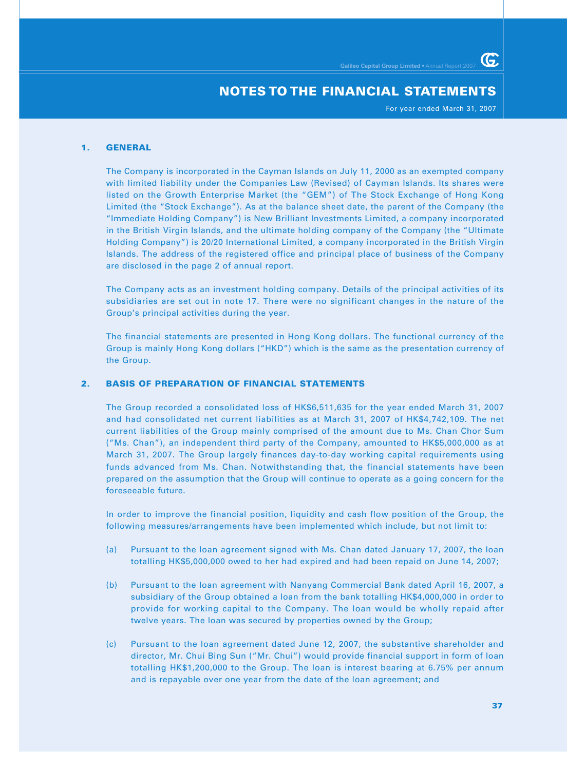For year ended March 31, 2007

G

## **1. GENERAL**

The Company is incorporated in the Cayman Islands on July 11, 2000 as an exempted company with limited liability under the Companies Law (Revised) of Cayman Islands. Its shares were listed on the Growth Enterprise Market (the "GEM") of The Stock Exchange of Hong Kong Limited (the "Stock Exchange"). As at the balance sheet date, the parent of the Company (the "Immediate Holding Company") is New Brilliant Investments Limited, a company incorporated in the British Virgin Islands, and the ultimate holding company of the Company (the "Ultimate Holding Company") is 20/20 International Limited, a company incorporated in the British Virgin Islands. The address of the registered office and principal place of business of the Company are disclosed in the page 2 of annual report.

The Company acts as an investment holding company. Details of the principal activities of its subsidiaries are set out in note 17. There were no significant changes in the nature of the Group's principal activities during the year.

The financial statements are presented in Hong Kong dollars. The functional currency of the Group is mainly Hong Kong dollars ("HKD") which is the same as the presentation currency of the Group.

# **2. BASIS OF PREPARATION OF FINANCIAL STATEMENTS**

The Group recorded a consolidated loss of HK\$6,511,635 for the year ended March 31, 2007 and had consolidated net current liabilities as at March 31, 2007 of HK\$4,742,109. The net current liabilities of the Group mainly comprised of the amount due to Ms. Chan Chor Sum ("Ms. Chan"), an independent third party of the Company, amounted to HK\$5,000,000 as at March 31, 2007. The Group largely finances day-to-day working capital requirements using funds advanced from Ms. Chan. Notwithstanding that, the financial statements have been prepared on the assumption that the Group will continue to operate as a going concern for the foreseeable future.

In order to improve the financial position, liquidity and cash flow position of the Group, the following measures/arrangements have been implemented which include, but not limit to:

- (a) Pursuant to the loan agreement signed with Ms. Chan dated January 17, 2007, the loan totalling HK\$5,000,000 owed to her had expired and had been repaid on June 14, 2007;
- (b) Pursuant to the loan agreement with Nanyang Commercial Bank dated April 16, 2007, a subsidiary of the Group obtained a loan from the bank totalling HK\$4,000,000 in order to provide for working capital to the Company. The loan would be wholly repaid after twelve years. The loan was secured by properties owned by the Group;
- (c) Pursuant to the loan agreement dated June 12, 2007, the substantive shareholder and director, Mr. Chui Bing Sun ("Mr. Chui") would provide financial support in form of loan totalling HK\$1,200,000 to the Group. The loan is interest bearing at 6.75% per annum and is repayable over one year from the date of the loan agreement; and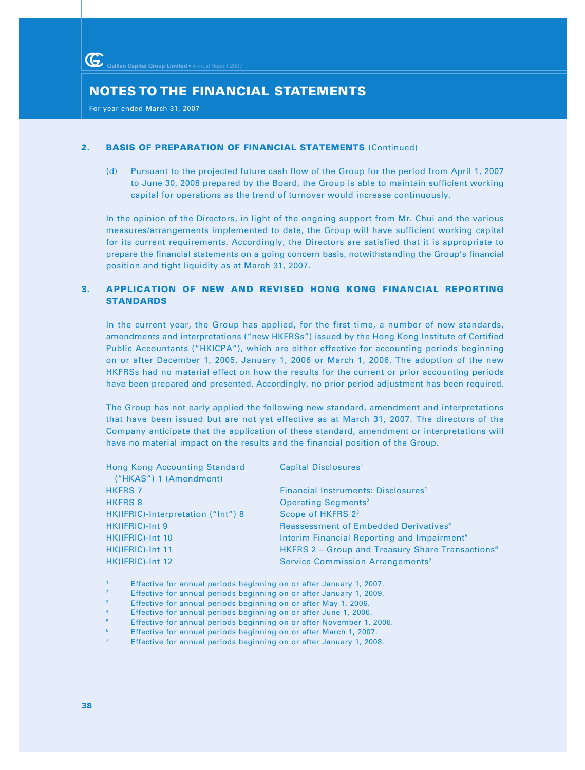For year ended March 31, 2007

## **2. BASIS OF PREPARATION OF FINANCIAL STATEMENTS** (Continued)

(d) Pursuant to the projected future cash flow of the Group for the period from April 1, 2007 to June 30, 2008 prepared by the Board, the Group is able to maintain sufficient working capital for operations as the trend of turnover would increase continuously.

In the opinion of the Directors, in light of the ongoing support from Mr. Chui and the various measures/arrangements implemented to date, the Group will have sufficient working capital for its current requirements. Accordingly, the Directors are satisfied that it is appropriate to prepare the financial statements on a going concern basis, notwithstanding the Group's financial position and tight liquidity as at March 31, 2007.

# **3. APPLICATION OF NEW AND REVISED HONG KONG FINANCIAL REPORTING STANDARDS**

In the current year, the Group has applied, for the first time, a number of new standards, amendments and interpretations ("new HKFRSs") issued by the Hong Kong Institute of Certified Public Accountants ("HKICPA"), which are either effective for accounting periods beginning on or after December 1, 2005, January 1, 2006 or March 1, 2006. The adoption of the new HKFRSs had no material effect on how the results for the current or prior accounting periods have been prepared and presented. Accordingly, no prior period adjustment has been required.

The Group has not early applied the following new standard, amendment and interpretations that have been issued but are not yet effective as at March 31, 2007. The directors of the Company anticipate that the application of these standard, amendment or interpretations will have no material impact on the results and the financial position of the Group.

| <b>Hong Kong Accounting Standard</b><br>("HKAS") 1 (Amendment) | Capital Disclosures <sup>1</sup>                             |
|----------------------------------------------------------------|--------------------------------------------------------------|
| <b>HKFRS 7</b>                                                 | Financial Instruments: Disclosures <sup>1</sup>              |
| <b>HKFRS 8</b>                                                 | <b>Operating Segments<sup>2</sup></b>                        |
| HK(IFRIC)-Interpretation ("Int") 8                             | Scope of HKFRS 2 <sup>3</sup>                                |
| HK(IFRIC)-Int 9                                                | Reassessment of Embedded Derivatives <sup>4</sup>            |
| HK(IFRIC)-Int 10                                               | Interim Financial Reporting and Impairment <sup>5</sup>      |
| HK(IFRIC)-Int 11                                               | HKFRS 2 - Group and Treasury Share Transactions <sup>6</sup> |
| HK(IFRIC)-Int 12                                               | Service Commission Arrangements <sup>7</sup>                 |

- <sup>1</sup> Effective for annual periods beginning on or after January 1, 2007.
- <sup>2</sup> Effective for annual periods beginning on or after January 1, 2009.
- <sup>3</sup> Effective for annual periods beginning on or after May 1, 2006.
- Effective for annual periods beginning on or after June 1, 2006.
- <sup>5</sup> Effective for annual periods beginning on or after November 1, 2006.
- <sup>6</sup> Effective for annual periods beginning on or after March 1, 2007.
- <sup>7</sup> Effective for annual periods beginning on or after January 1, 2008.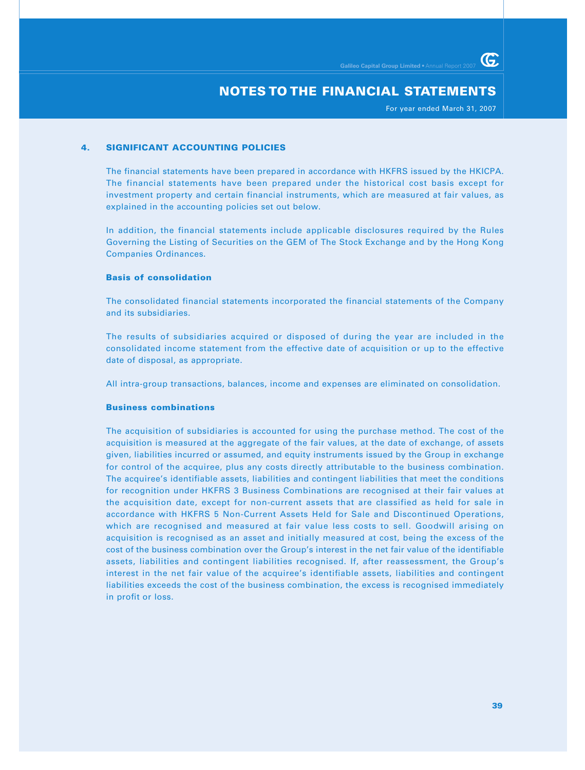For year ended March 31, 2007

G

## **4. SIGNIFICANT ACCOUNTING POLICIES**

The financial statements have been prepared in accordance with HKFRS issued by the HKICPA. The financial statements have been prepared under the historical cost basis except for investment property and certain financial instruments, which are measured at fair values, as explained in the accounting policies set out below.

In addition, the financial statements include applicable disclosures required by the Rules Governing the Listing of Securities on the GEM of The Stock Exchange and by the Hong Kong Companies Ordinances.

#### **Basis of consolidation**

The consolidated financial statements incorporated the financial statements of the Company and its subsidiaries.

The results of subsidiaries acquired or disposed of during the year are included in the consolidated income statement from the effective date of acquisition or up to the effective date of disposal, as appropriate.

All intra-group transactions, balances, income and expenses are eliminated on consolidation.

#### **Business combinations**

The acquisition of subsidiaries is accounted for using the purchase method. The cost of the acquisition is measured at the aggregate of the fair values, at the date of exchange, of assets given, liabilities incurred or assumed, and equity instruments issued by the Group in exchange for control of the acquiree, plus any costs directly attributable to the business combination. The acquiree's identifiable assets, liabilities and contingent liabilities that meet the conditions for recognition under HKFRS 3 Business Combinations are recognised at their fair values at the acquisition date, except for non-current assets that are classified as held for sale in accordance with HKFRS 5 Non-Current Assets Held for Sale and Discontinued Operations, which are recognised and measured at fair value less costs to sell. Goodwill arising on acquisition is recognised as an asset and initially measured at cost, being the excess of the cost of the business combination over the Group's interest in the net fair value of the identifiable assets, liabilities and contingent liabilities recognised. If, after reassessment, the Group's interest in the net fair value of the acquiree's identifiable assets, liabilities and contingent liabilities exceeds the cost of the business combination, the excess is recognised immediately in profit or loss.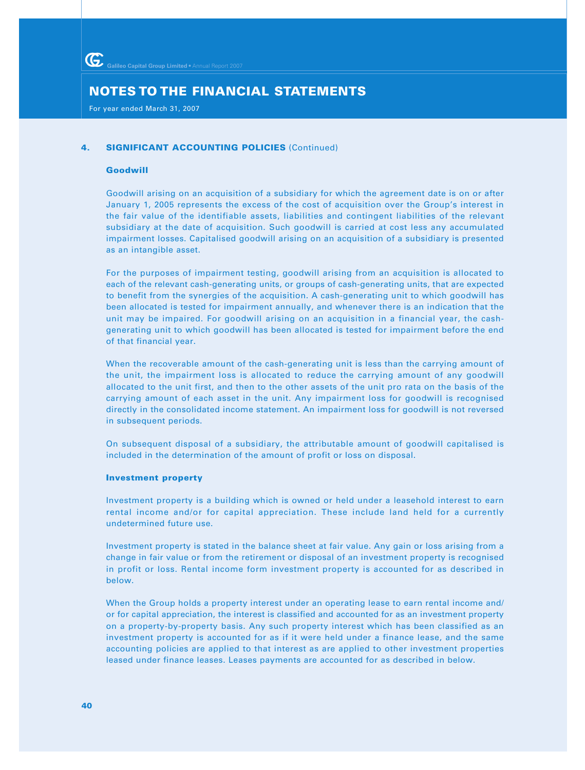For year ended March 31, 2007

## **4. SIGNIFICANT ACCOUNTING POLICIES (Continued)**

#### **Goodwill**

Goodwill arising on an acquisition of a subsidiary for which the agreement date is on or after January 1, 2005 represents the excess of the cost of acquisition over the Group's interest in the fair value of the identifiable assets, liabilities and contingent liabilities of the relevant subsidiary at the date of acquisition. Such goodwill is carried at cost less any accumulated impairment losses. Capitalised goodwill arising on an acquisition of a subsidiary is presented as an intangible asset.

For the purposes of impairment testing, goodwill arising from an acquisition is allocated to each of the relevant cash-generating units, or groups of cash-generating units, that are expected to benefit from the synergies of the acquisition. A cash-generating unit to which goodwill has been allocated is tested for impairment annually, and whenever there is an indication that the unit may be impaired. For goodwill arising on an acquisition in a financial year, the cashgenerating unit to which goodwill has been allocated is tested for impairment before the end of that financial year.

When the recoverable amount of the cash-generating unit is less than the carrying amount of the unit, the impairment loss is allocated to reduce the carrying amount of any goodwill allocated to the unit first, and then to the other assets of the unit pro rata on the basis of the carrying amount of each asset in the unit. Any impairment loss for goodwill is recognised directly in the consolidated income statement. An impairment loss for goodwill is not reversed in subsequent periods.

On subsequent disposal of a subsidiary, the attributable amount of goodwill capitalised is included in the determination of the amount of profit or loss on disposal.

#### **Investment property**

Investment property is a building which is owned or held under a leasehold interest to earn rental income and/or for capital appreciation. These include land held for a currently undetermined future use.

Investment property is stated in the balance sheet at fair value. Any gain or loss arising from a change in fair value or from the retirement or disposal of an investment property is recognised in profit or loss. Rental income form investment property is accounted for as described in below.

When the Group holds a property interest under an operating lease to earn rental income and/ or for capital appreciation, the interest is classified and accounted for as an investment property on a property-by-property basis. Any such property interest which has been classified as an investment property is accounted for as if it were held under a finance lease, and the same accounting policies are applied to that interest as are applied to other investment properties leased under finance leases. Leases payments are accounted for as described in below.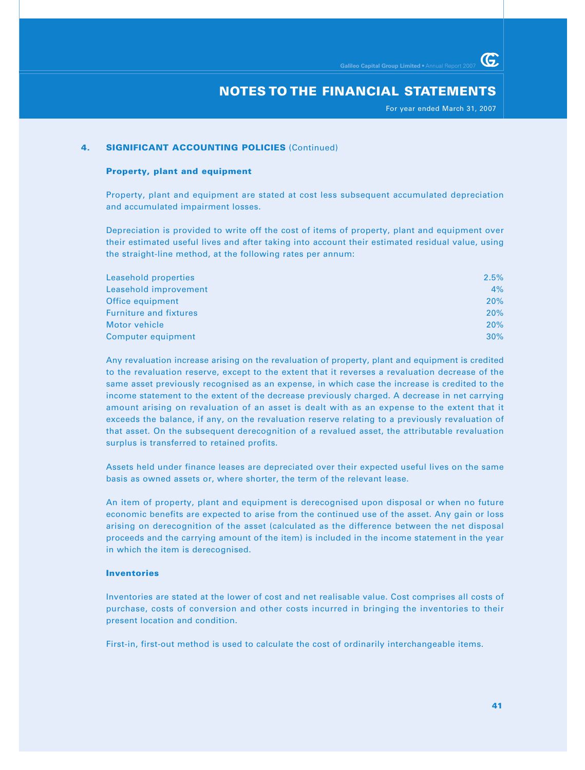For year ended March 31, 2007

G

## **4. SIGNIFICANT ACCOUNTING POLICIES (Continued)**

#### **Property, plant and equipment**

Property, plant and equipment are stated at cost less subsequent accumulated depreciation and accumulated impairment losses.

Depreciation is provided to write off the cost of items of property, plant and equipment over their estimated useful lives and after taking into account their estimated residual value, using the straight-line method, at the following rates per annum:

| Leasehold properties          | 2.5% |
|-------------------------------|------|
| Leasehold improvement         | 4%   |
| Office equipment              | 20%  |
| <b>Furniture and fixtures</b> | 20%  |
| Motor vehicle                 | 20%  |
| Computer equipment            | 30%  |

Any revaluation increase arising on the revaluation of property, plant and equipment is credited to the revaluation reserve, except to the extent that it reverses a revaluation decrease of the same asset previously recognised as an expense, in which case the increase is credited to the income statement to the extent of the decrease previously charged. A decrease in net carrying amount arising on revaluation of an asset is dealt with as an expense to the extent that it exceeds the balance, if any, on the revaluation reserve relating to a previously revaluation of that asset. On the subsequent derecognition of a revalued asset, the attributable revaluation surplus is transferred to retained profits.

Assets held under finance leases are depreciated over their expected useful lives on the same basis as owned assets or, where shorter, the term of the relevant lease.

An item of property, plant and equipment is derecognised upon disposal or when no future economic benefits are expected to arise from the continued use of the asset. Any gain or loss arising on derecognition of the asset (calculated as the difference between the net disposal proceeds and the carrying amount of the item) is included in the income statement in the year in which the item is derecognised.

## **Inventories**

Inventories are stated at the lower of cost and net realisable value. Cost comprises all costs of purchase, costs of conversion and other costs incurred in bringing the inventories to their present location and condition.

First-in, first-out method is used to calculate the cost of ordinarily interchangeable items.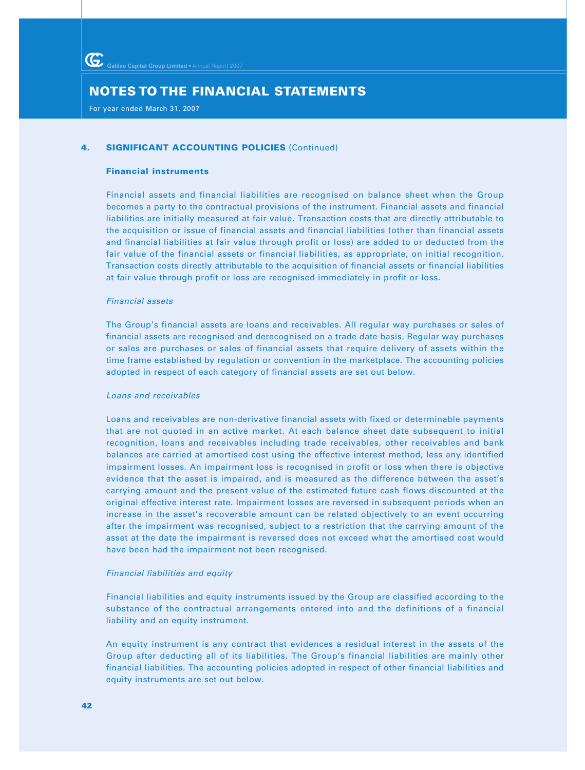For year ended March 31, 2007

## **4. SIGNIFICANT ACCOUNTING POLICIES (Continued)**

#### **Financial instruments**

Financial assets and financial liabilities are recognised on balance sheet when the Group becomes a party to the contractual provisions of the instrument. Financial assets and financial liabilities are initially measured at fair value. Transaction costs that are directly attributable to the acquisition or issue of financial assets and financial liabilities (other than financial assets and financial liabilities at fair value through profit or loss) are added to or deducted from the fair value of the financial assets or financial liabilities, as appropriate, on initial recognition. Transaction costs directly attributable to the acquisition of financial assets or financial liabilities at fair value through profit or loss are recognised immediately in profit or loss.

#### Financial assets

The Group's financial assets are loans and receivables. All regular way purchases or sales of financial assets are recognised and derecognised on a trade date basis. Regular way purchases or sales are purchases or sales of financial assets that require delivery of assets within the time frame established by regulation or convention in the marketplace. The accounting policies adopted in respect of each category of financial assets are set out below.

#### Loans and receivables

Loans and receivables are non-derivative financial assets with fixed or determinable payments that are not quoted in an active market. At each balance sheet date subsequent to initial recognition, loans and receivables including trade receivables, other receivables and bank balances are carried at amortised cost using the effective interest method, less any identified impairment losses. An impairment loss is recognised in profit or loss when there is objective evidence that the asset is impaired, and is measured as the difference between the asset's carrying amount and the present value of the estimated future cash flows discounted at the original effective interest rate. Impairment losses are reversed in subsequent periods when an increase in the asset's recoverable amount can be related objectively to an event occurring after the impairment was recognised, subject to a restriction that the carrying amount of the asset at the date the impairment is reversed does not exceed what the amortised cost would have been had the impairment not been recognised.

## Financial liabilities and equity

Financial liabilities and equity instruments issued by the Group are classified according to the substance of the contractual arrangements entered into and the definitions of a financial liability and an equity instrument.

An equity instrument is any contract that evidences a residual interest in the assets of the Group after deducting all of its liabilities. The Group's financial liabilities are mainly other financial liabilities. The accounting policies adopted in respect of other financial liabilities and equity instruments are set out below.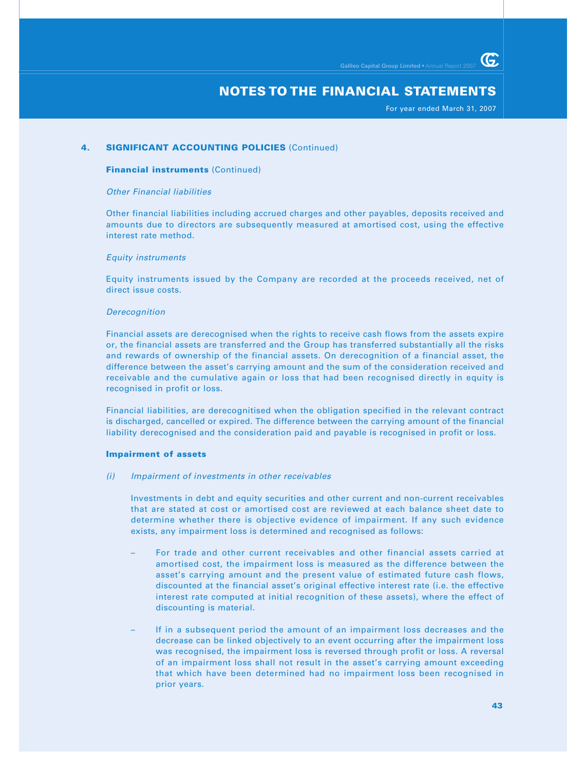For year ended March 31, 2007

G

## **4. SIGNIFICANT ACCOUNTING POLICIES (Continued)**

#### **Financial instruments** (Continued)

#### Other Financial liabilities

Other financial liabilities including accrued charges and other payables, deposits received and amounts due to directors are subsequently measured at amortised cost, using the effective interest rate method.

#### Equity instruments

Equity instruments issued by the Company are recorded at the proceeds received, net of direct issue costs.

#### **Derecognition**

Financial assets are derecognised when the rights to receive cash flows from the assets expire or, the financial assets are transferred and the Group has transferred substantially all the risks and rewards of ownership of the financial assets. On derecognition of a financial asset, the difference between the asset's carrying amount and the sum of the consideration received and receivable and the cumulative again or loss that had been recognised directly in equity is recognised in profit or loss.

Financial liabilities, are derecognitised when the obligation specified in the relevant contract is discharged, cancelled or expired. The difference between the carrying amount of the financial liability derecognised and the consideration paid and payable is recognised in profit or loss.

#### **Impairment of assets**

#### (i) Impairment of investments in other receivables

Investments in debt and equity securities and other current and non-current receivables that are stated at cost or amortised cost are reviewed at each balance sheet date to determine whether there is objective evidence of impairment. If any such evidence exists, any impairment loss is determined and recognised as follows:

- For trade and other current receivables and other financial assets carried at amortised cost, the impairment loss is measured as the difference between the asset's carrying amount and the present value of estimated future cash flows, discounted at the financial asset's original effective interest rate (i.e. the effective interest rate computed at initial recognition of these assets), where the effect of discounting is material.
- If in a subsequent period the amount of an impairment loss decreases and the decrease can be linked objectively to an event occurring after the impairment loss was recognised, the impairment loss is reversed through profit or loss. A reversal of an impairment loss shall not result in the asset's carrying amount exceeding that which have been determined had no impairment loss been recognised in prior years.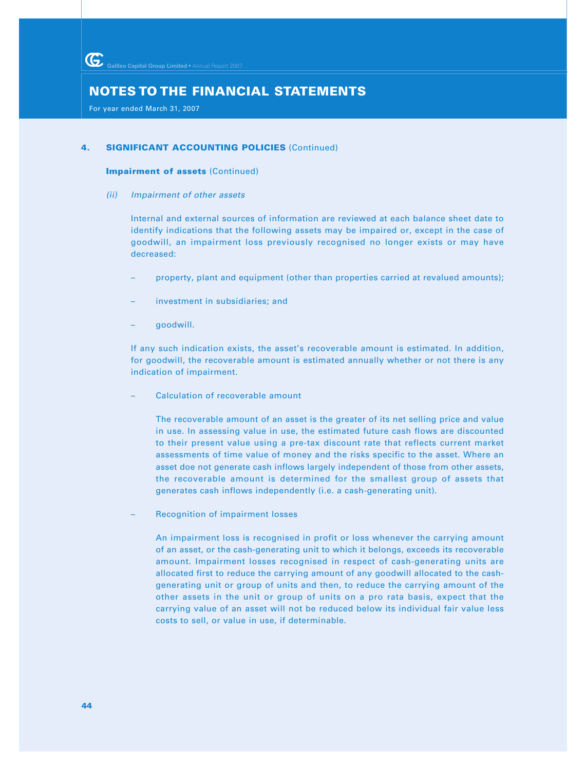For year ended March 31, 2007

# **4. SIGNIFICANT ACCOUNTING POLICIES (Continued)**

#### **Impairment of assets** (Continued)

(ii) Impairment of other assets

Internal and external sources of information are reviewed at each balance sheet date to identify indications that the following assets may be impaired or, except in the case of goodwill, an impairment loss previously recognised no longer exists or may have decreased:

- property, plant and equipment (other than properties carried at revalued amounts);
- investment in subsidiaries; and
- goodwill.

If any such indication exists, the asset's recoverable amount is estimated. In addition, for goodwill, the recoverable amount is estimated annually whether or not there is any indication of impairment.

– Calculation of recoverable amount

The recoverable amount of an asset is the greater of its net selling price and value in use. In assessing value in use, the estimated future cash flows are discounted to their present value using a pre-tax discount rate that reflects current market assessments of time value of money and the risks specific to the asset. Where an asset doe not generate cash inflows largely independent of those from other assets, the recoverable amount is determined for the smallest group of assets that generates cash inflows independently (i.e. a cash-generating unit).

– Recognition of impairment losses

An impairment loss is recognised in profit or loss whenever the carrying amount of an asset, or the cash-generating unit to which it belongs, exceeds its recoverable amount. Impairment losses recognised in respect of cash-generating units are allocated first to reduce the carrying amount of any goodwill allocated to the cashgenerating unit or group of units and then, to reduce the carrying amount of the other assets in the unit or group of units on a pro rata basis, expect that the carrying value of an asset will not be reduced below its individual fair value less costs to sell, or value in use, if determinable.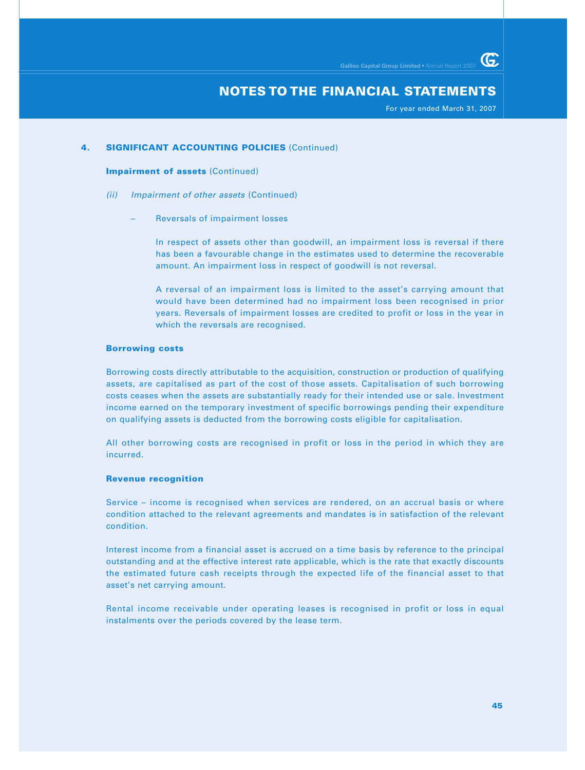For year ended March 31, 2007

G.

# **4. SIGNIFICANT ACCOUNTING POLICIES (Continued)**

#### **Impairment of assets** (Continued)

- (ii) Impairment of other assets (Continued)
	- Reversals of impairment losses

In respect of assets other than goodwill, an impairment loss is reversal if there has been a favourable change in the estimates used to determine the recoverable amount. An impairment loss in respect of goodwill is not reversal.

A reversal of an impairment loss is limited to the asset's carrying amount that would have been determined had no impairment loss been recognised in prior years. Reversals of impairment losses are credited to profit or loss in the year in which the reversals are recognised.

#### **Borrowing costs**

Borrowing costs directly attributable to the acquisition, construction or production of qualifying assets, are capitalised as part of the cost of those assets. Capitalisation of such borrowing costs ceases when the assets are substantially ready for their intended use or sale. Investment income earned on the temporary investment of specific borrowings pending their expenditure on qualifying assets is deducted from the borrowing costs eligible for capitalisation.

All other borrowing costs are recognised in profit or loss in the period in which they are incurred.

#### **Revenue recognition**

Service – income is recognised when services are rendered, on an accrual basis or where condition attached to the relevant agreements and mandates is in satisfaction of the relevant condition.

Interest income from a financial asset is accrued on a time basis by reference to the principal outstanding and at the effective interest rate applicable, which is the rate that exactly discounts the estimated future cash receipts through the expected life of the financial asset to that asset's net carrying amount.

Rental income receivable under operating leases is recognised in profit or loss in equal instalments over the periods covered by the lease term.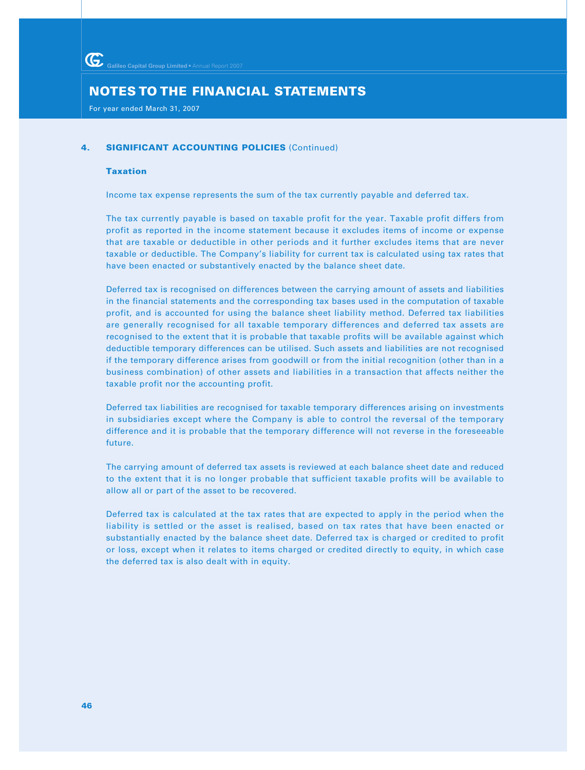For year ended March 31, 2007

## **4. SIGNIFICANT ACCOUNTING POLICIES (Continued)**

#### **Taxation**

Income tax expense represents the sum of the tax currently payable and deferred tax.

The tax currently payable is based on taxable profit for the year. Taxable profit differs from profit as reported in the income statement because it excludes items of income or expense that are taxable or deductible in other periods and it further excludes items that are never taxable or deductible. The Company's liability for current tax is calculated using tax rates that have been enacted or substantively enacted by the balance sheet date.

Deferred tax is recognised on differences between the carrying amount of assets and liabilities in the financial statements and the corresponding tax bases used in the computation of taxable profit, and is accounted for using the balance sheet liability method. Deferred tax liabilities are generally recognised for all taxable temporary differences and deferred tax assets are recognised to the extent that it is probable that taxable profits will be available against which deductible temporary differences can be utilised. Such assets and liabilities are not recognised if the temporary difference arises from goodwill or from the initial recognition (other than in a business combination) of other assets and liabilities in a transaction that affects neither the taxable profit nor the accounting profit.

Deferred tax liabilities are recognised for taxable temporary differences arising on investments in subsidiaries except where the Company is able to control the reversal of the temporary difference and it is probable that the temporary difference will not reverse in the foreseeable future.

The carrying amount of deferred tax assets is reviewed at each balance sheet date and reduced to the extent that it is no longer probable that sufficient taxable profits will be available to allow all or part of the asset to be recovered.

Deferred tax is calculated at the tax rates that are expected to apply in the period when the liability is settled or the asset is realised, based on tax rates that have been enacted or substantially enacted by the balance sheet date. Deferred tax is charged or credited to profit or loss, except when it relates to items charged or credited directly to equity, in which case the deferred tax is also dealt with in equity.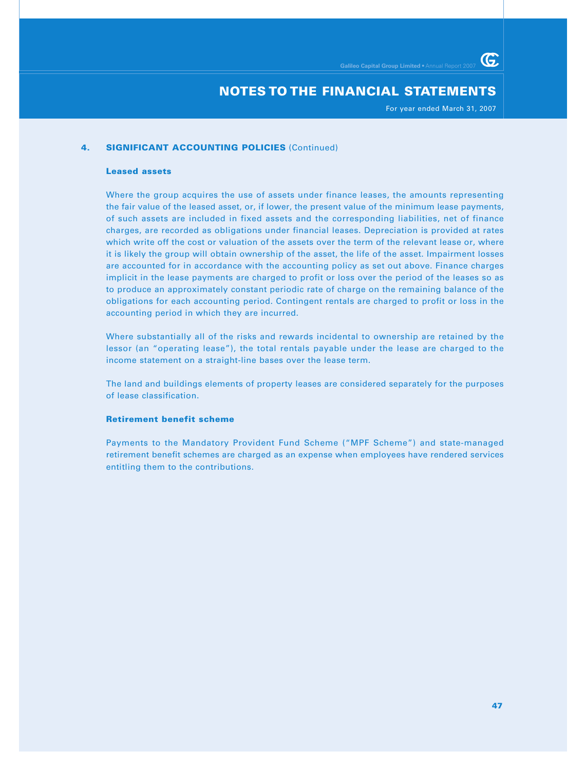For year ended March 31, 2007

G

## **4. SIGNIFICANT ACCOUNTING POLICIES (Continued)**

#### **Leased assets**

Where the group acquires the use of assets under finance leases, the amounts representing the fair value of the leased asset, or, if lower, the present value of the minimum lease payments, of such assets are included in fixed assets and the corresponding liabilities, net of finance charges, are recorded as obligations under financial leases. Depreciation is provided at rates which write off the cost or valuation of the assets over the term of the relevant lease or, where it is likely the group will obtain ownership of the asset, the life of the asset. Impairment losses are accounted for in accordance with the accounting policy as set out above. Finance charges implicit in the lease payments are charged to profit or loss over the period of the leases so as to produce an approximately constant periodic rate of charge on the remaining balance of the obligations for each accounting period. Contingent rentals are charged to profit or loss in the accounting period in which they are incurred.

Where substantially all of the risks and rewards incidental to ownership are retained by the lessor (an "operating lease"), the total rentals payable under the lease are charged to the income statement on a straight-line bases over the lease term.

The land and buildings elements of property leases are considered separately for the purposes of lease classification.

## **Retirement benefit scheme**

Payments to the Mandatory Provident Fund Scheme ("MPF Scheme") and state-managed retirement benefit schemes are charged as an expense when employees have rendered services entitling them to the contributions.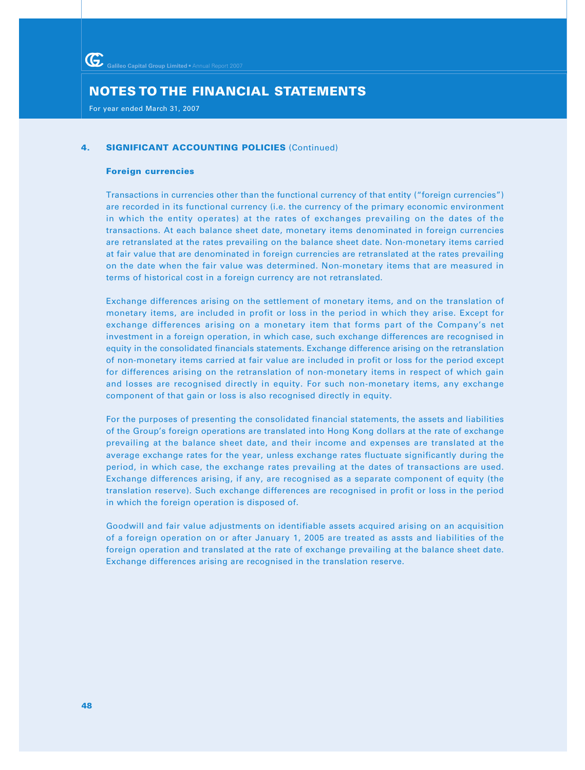For year ended March 31, 2007

## **4. SIGNIFICANT ACCOUNTING POLICIES (Continued)**

#### **Foreign currencies**

Transactions in currencies other than the functional currency of that entity ("foreign currencies") are recorded in its functional currency (i.e. the currency of the primary economic environment in which the entity operates) at the rates of exchanges prevailing on the dates of the transactions. At each balance sheet date, monetary items denominated in foreign currencies are retranslated at the rates prevailing on the balance sheet date. Non-monetary items carried at fair value that are denominated in foreign currencies are retranslated at the rates prevailing on the date when the fair value was determined. Non-monetary items that are measured in terms of historical cost in a foreign currency are not retranslated.

Exchange differences arising on the settlement of monetary items, and on the translation of monetary items, are included in profit or loss in the period in which they arise. Except for exchange differences arising on a monetary item that forms part of the Company's net investment in a foreign operation, in which case, such exchange differences are recognised in equity in the consolidated financials statements. Exchange difference arising on the retranslation of non-monetary items carried at fair value are included in profit or loss for the period except for differences arising on the retranslation of non-monetary items in respect of which gain and losses are recognised directly in equity. For such non-monetary items, any exchange component of that gain or loss is also recognised directly in equity.

For the purposes of presenting the consolidated financial statements, the assets and liabilities of the Group's foreign operations are translated into Hong Kong dollars at the rate of exchange prevailing at the balance sheet date, and their income and expenses are translated at the average exchange rates for the year, unless exchange rates fluctuate significantly during the period, in which case, the exchange rates prevailing at the dates of transactions are used. Exchange differences arising, if any, are recognised as a separate component of equity (the translation reserve). Such exchange differences are recognised in profit or loss in the period in which the foreign operation is disposed of.

Goodwill and fair value adjustments on identifiable assets acquired arising on an acquisition of a foreign operation on or after January 1, 2005 are treated as assts and liabilities of the foreign operation and translated at the rate of exchange prevailing at the balance sheet date. Exchange differences arising are recognised in the translation reserve.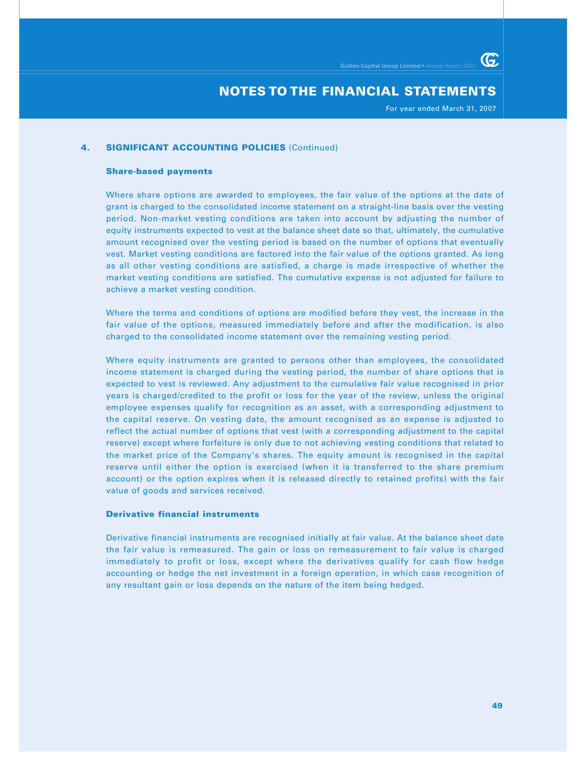For year ended March 31, 2007

G

## **4. SIGNIFICANT ACCOUNTING POLICIES (Continued)**

#### **Share-based payments**

Where share options are awarded to employees, the fair value of the options at the date of grant is charged to the consolidated income statement on a straight-line basis over the vesting period. Non-market vesting conditions are taken into account by adjusting the number of equity instruments expected to vest at the balance sheet date so that, ultimately, the cumulative amount recognised over the vesting period is based on the number of options that eventually vest. Market vesting conditions are factored into the fair value of the options granted. As long as all other vesting conditions are satisfied, a charge is made irrespective of whether the market vesting conditions are satisfied. The cumulative expense is not adjusted for failure to achieve a market vesting condition.

Where the terms and conditions of options are modified before they vest, the increase in the fair value of the options, measured immediately before and after the modification, is also charged to the consolidated income statement over the remaining vesting period.

Where equity instruments are granted to persons other than employees, the consolidated income statement is charged during the vesting period, the number of share options that is expected to vest is reviewed. Any adjustment to the cumulative fair value recognised in prior years is charged/credited to the profit or loss for the year of the review, unless the original employee expenses qualify for recognition as an asset, with a corresponding adjustment to the capital reserve. On vesting date, the amount recognised as an expense is adjusted to reflect the actual number of options that vest (with a corresponding adjustment to the capital reserve) except where forfeiture is only due to not achieving vesting conditions that related to the market price of the Company's shares. The equity amount is recognised in the capital reserve until either the option is exercised (when it is transferred to the share premium account) or the option expires when it is released directly to retained profits) with the fair value of goods and services received.

#### **Derivative financial instruments**

Derivative financial instruments are recognised initially at fair value. At the balance sheet date the fair value is remeasured. The gain or loss on remeasurement to fair value is charged immediately to profit or loss, except where the derivatives qualify for cash flow hedge accounting or hedge the net investment in a foreign operation, in which case recognition of any resultant gain or loss depends on the nature of the item being hedged.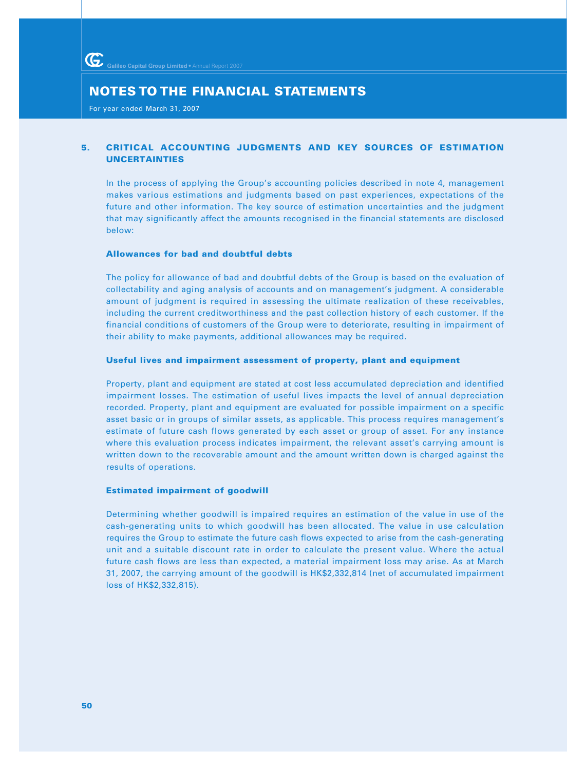For year ended March 31, 2007

# **5. CRITICAL ACCOUNTING JUDGMENTS AND KEY SOURCES OF ESTIMATION UNCERTAINTIES**

In the process of applying the Group's accounting policies described in note 4, management makes various estimations and judgments based on past experiences, expectations of the future and other information. The key source of estimation uncertainties and the judgment that may significantly affect the amounts recognised in the financial statements are disclosed below:

## **Allowances for bad and doubtful debts**

The policy for allowance of bad and doubtful debts of the Group is based on the evaluation of collectability and aging analysis of accounts and on management's judgment. A considerable amount of judgment is required in assessing the ultimate realization of these receivables, including the current creditworthiness and the past collection history of each customer. If the financial conditions of customers of the Group were to deteriorate, resulting in impairment of their ability to make payments, additional allowances may be required.

#### **Useful lives and impairment assessment of property, plant and equipment**

Property, plant and equipment are stated at cost less accumulated depreciation and identified impairment losses. The estimation of useful lives impacts the level of annual depreciation recorded. Property, plant and equipment are evaluated for possible impairment on a specific asset basic or in groups of similar assets, as applicable. This process requires management's estimate of future cash flows generated by each asset or group of asset. For any instance where this evaluation process indicates impairment, the relevant asset's carrying amount is written down to the recoverable amount and the amount written down is charged against the results of operations.

## **Estimated impairment of goodwill**

Determining whether goodwill is impaired requires an estimation of the value in use of the cash-generating units to which goodwill has been allocated. The value in use calculation requires the Group to estimate the future cash flows expected to arise from the cash-generating unit and a suitable discount rate in order to calculate the present value. Where the actual future cash flows are less than expected, a material impairment loss may arise. As at March 31, 2007, the carrying amount of the goodwill is HK\$2,332,814 (net of accumulated impairment loss of HK\$2,332,815).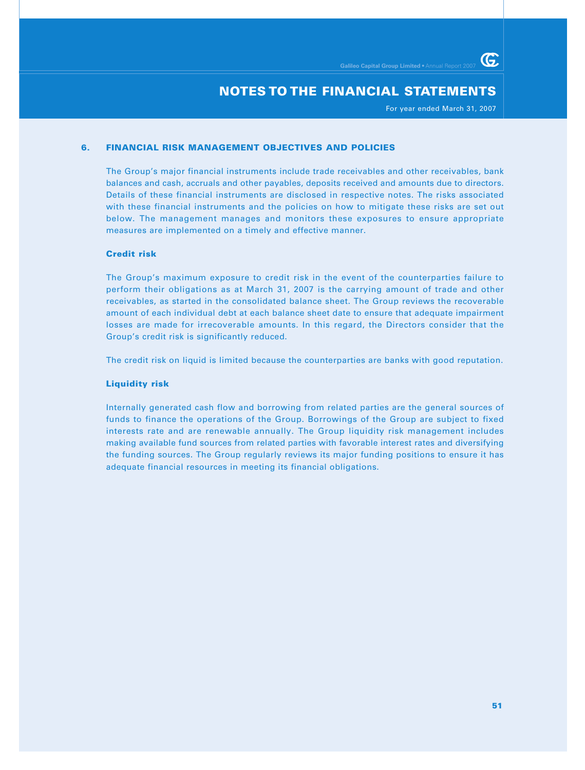For year ended March 31, 2007

G.

## **6. FINANCIAL RISK MANAGEMENT OBJECTIVES AND POLICIES**

The Group's major financial instruments include trade receivables and other receivables, bank balances and cash, accruals and other payables, deposits received and amounts due to directors. Details of these financial instruments are disclosed in respective notes. The risks associated with these financial instruments and the policies on how to mitigate these risks are set out below. The management manages and monitors these exposures to ensure appropriate measures are implemented on a timely and effective manner.

#### **Credit risk**

The Group's maximum exposure to credit risk in the event of the counterparties failure to perform their obligations as at March 31, 2007 is the carrying amount of trade and other receivables, as started in the consolidated balance sheet. The Group reviews the recoverable amount of each individual debt at each balance sheet date to ensure that adequate impairment losses are made for irrecoverable amounts. In this regard, the Directors consider that the Group's credit risk is significantly reduced.

The credit risk on liquid is limited because the counterparties are banks with good reputation.

#### **Liquidity risk**

Internally generated cash flow and borrowing from related parties are the general sources of funds to finance the operations of the Group. Borrowings of the Group are subject to fixed interests rate and are renewable annually. The Group liquidity risk management includes making available fund sources from related parties with favorable interest rates and diversifying the funding sources. The Group regularly reviews its major funding positions to ensure it has adequate financial resources in meeting its financial obligations.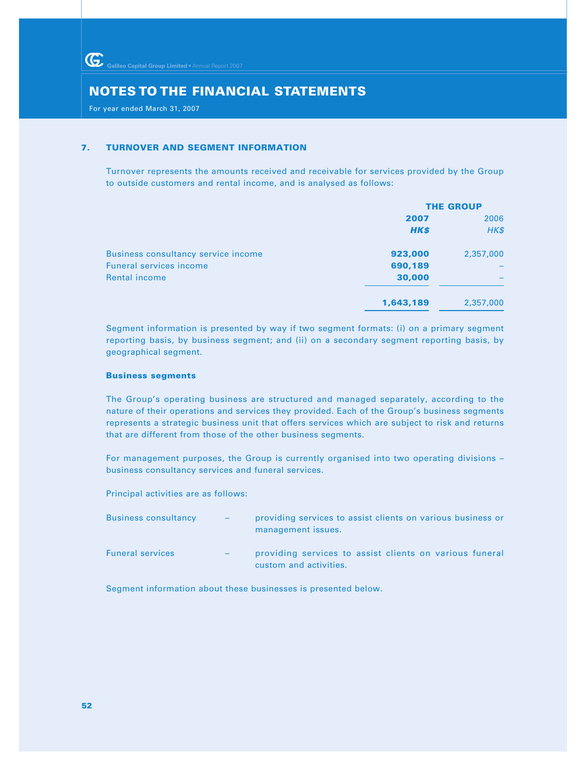For year ended March 31, 2007

## **7. TURNOVER AND SEGMENT INFORMATION**

Turnover represents the amounts received and receivable for services provided by the Group to outside customers and rental income, and is analysed as follows:

|                                     | <b>THE GROUP</b> |           |  |
|-------------------------------------|------------------|-----------|--|
|                                     | 2007             | 2006      |  |
|                                     | <b>HK\$</b>      | HK\$      |  |
| Business consultancy service income | 923,000          | 2,357,000 |  |
| <b>Funeral services income</b>      | 690,189          |           |  |
| <b>Rental income</b>                | 30,000           |           |  |
|                                     | 1,643,189        | 2,357,000 |  |

Segment information is presented by way if two segment formats: (i) on a primary segment reporting basis, by business segment; and (ii) on a secondary segment reporting basis, by geographical segment.

## **Business segments**

The Group's operating business are structured and managed separately, according to the nature of their operations and services they provided. Each of the Group's business segments represents a strategic business unit that offers services which are subject to risk and returns that are different from those of the other business segments.

For management purposes, the Group is currently organised into two operating divisions – business consultancy services and funeral services.

Principal activities are as follows:

| <b>Business consultancy</b> | $\sim$ 100 $\pm$  | providing services to assist clients on various business or<br>management issues. |
|-----------------------------|-------------------|-----------------------------------------------------------------------------------|
| <b>Funeral services</b>     | $\qquad \qquad -$ | providing services to assist clients on various funeral<br>custom and activities. |

Segment information about these businesses is presented below.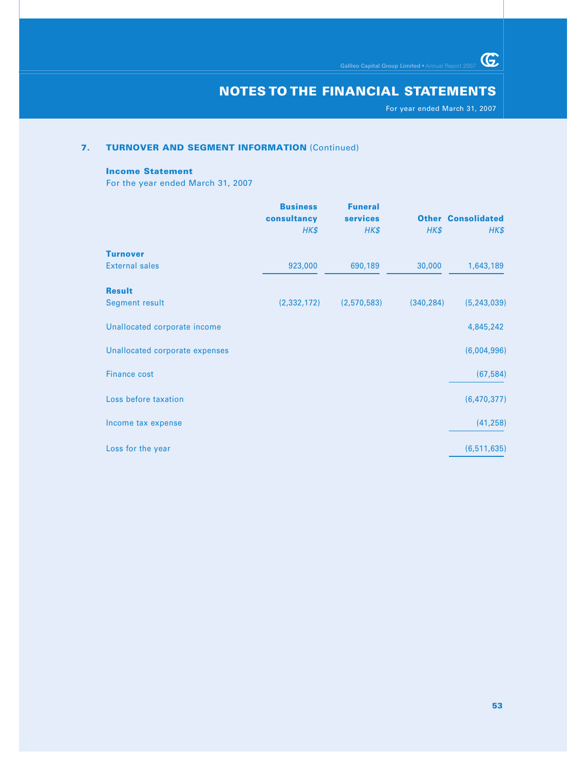For year ended March 31, 2007

 $\overline{\mathbb{G}}$ 

## **7. TURNOVER AND SEGMENT INFORMATION (Continued)**

#### **Income Statement**

For the year ended March 31, 2007

|                                | <b>Business</b><br>consultancy | <b>Funeral</b><br>services |            | <b>Other Consolidated</b> |
|--------------------------------|--------------------------------|----------------------------|------------|---------------------------|
|                                | HK\$                           | HK\$                       | HK\$       | HK\$                      |
| <b>Turnover</b>                |                                |                            |            |                           |
| <b>External sales</b>          | 923,000                        | 690,189                    | 30,000     | 1,643,189                 |
| <b>Result</b>                  |                                |                            |            |                           |
| <b>Segment result</b>          | (2, 332, 172)                  | (2,570,583)                | (340, 284) | (5, 243, 039)             |
| Unallocated corporate income   |                                |                            |            | 4,845,242                 |
| Unallocated corporate expenses |                                |                            |            | (6,004,996)               |
| <b>Finance cost</b>            |                                |                            |            | (67, 584)                 |
| Loss before taxation           |                                |                            |            | (6,470,377)               |
| Income tax expense             |                                |                            |            | (41, 258)                 |
| Loss for the year              |                                |                            |            | (6, 511, 635)             |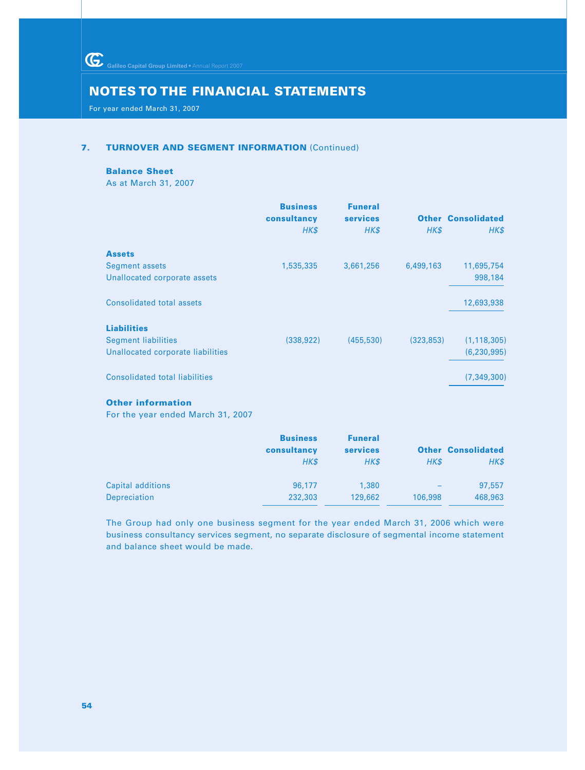Galileo Capital Group Limited • Annual Report 2007

# **NOTES TO THE FINANCIAL STATEMENTS**

For year ended March 31, 2007

## **7. TURNOVER AND SEGMENT INFORMATION (Continued)**

#### **Balance Sheet**

As at March 31, 2007

|                                       | <b>Business</b><br>consultancy<br>HK\$ | <b>Funeral</b><br><b>services</b><br>HK\$ | HK\$       | <b>Other Consolidated</b><br>HK\$ |
|---------------------------------------|----------------------------------------|-------------------------------------------|------------|-----------------------------------|
| <b>Assets</b>                         |                                        |                                           |            |                                   |
| <b>Segment assets</b>                 | 1,535,335                              | 3,661,256                                 | 6,499,163  | 11,695,754                        |
| Unallocated corporate assets          |                                        |                                           |            | 998,184                           |
| Consolidated total assets             |                                        |                                           |            | 12,693,938                        |
| <b>Liabilities</b>                    |                                        |                                           |            |                                   |
| <b>Segment liabilities</b>            | (338, 922)                             | (455, 530)                                | (323, 853) | (1, 118, 305)                     |
| Unallocated corporate liabilities     |                                        |                                           |            | (6, 230, 995)                     |
| <b>Consolidated total liabilities</b> |                                        |                                           |            | (7, 349, 300)                     |

# **Other information**

For the year ended March 31, 2007

|                   | <b>Business</b><br>consultancy<br>HK\$ | <b>Funeral</b><br><b>services</b><br>HK\$ | HK\$                     | <b>Other Consolidated</b><br>HK\$ |
|-------------------|----------------------------------------|-------------------------------------------|--------------------------|-----------------------------------|
| Capital additions | 96.177                                 | 1,380                                     | $\overline{\phantom{0}}$ | 97,557                            |
| Depreciation      | 232,303                                | 129,662                                   | 106,998                  | 468,963                           |

The Group had only one business segment for the year ended March 31, 2006 which were business consultancy services segment, no separate disclosure of segmental income statement and balance sheet would be made.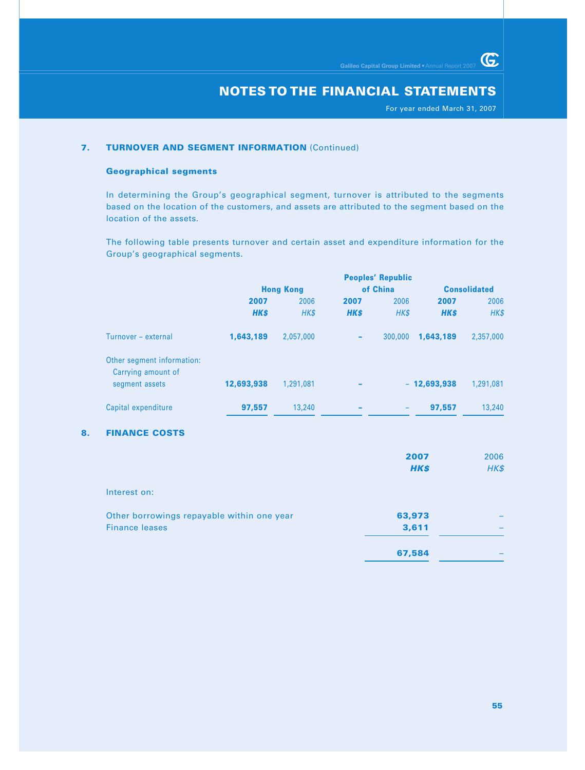For year ended March 31, 2007

 $G$ 

## **7. TURNOVER AND SEGMENT INFORMATION (Continued)**

#### **Geographical segments**

In determining the Group's geographical segment, turnover is attributed to the segments based on the location of the customers, and assets are attributed to the segment based on the location of the assets.

The following table presents turnover and certain asset and expenditure information for the Group's geographical segments.

|                                                  |                  |           |                          | <b>Peoples' Republic</b> |                     |           |
|--------------------------------------------------|------------------|-----------|--------------------------|--------------------------|---------------------|-----------|
|                                                  | <b>Hong Kong</b> |           |                          | of China                 | <b>Consolidated</b> |           |
|                                                  | 2007             | 2006      | 2007                     | 2006                     | 2007                | 2006      |
|                                                  | <b>HK\$</b>      | HK\$      | <b>HKS</b>               | HK\$                     | <b>HK\$</b>         | HK\$      |
| Turnover - external                              | 1,643,189        | 2,057,000 | -                        | 300,000                  | 1,643,189           | 2,357,000 |
| Other segment information:<br>Carrying amount of |                  |           |                          |                          |                     |           |
| segment assets                                   | 12,693,938       | 1,291,081 |                          |                          | $-12,693,938$       | 1,291,081 |
| Capital expenditure                              | 97,557           | 13,240    | $\overline{\phantom{a}}$ |                          | 97.557              | 13,240    |

## **8. FINANCE COSTS**

|                                            | 2007<br><b>HK\$</b> | 2006<br>$H K$ \$ |
|--------------------------------------------|---------------------|------------------|
| Interest on:                               |                     |                  |
| Other borrowings repayable within one year | 63,973              |                  |
| <b>Finance leases</b>                      | 3,611               |                  |
|                                            | 67,584              |                  |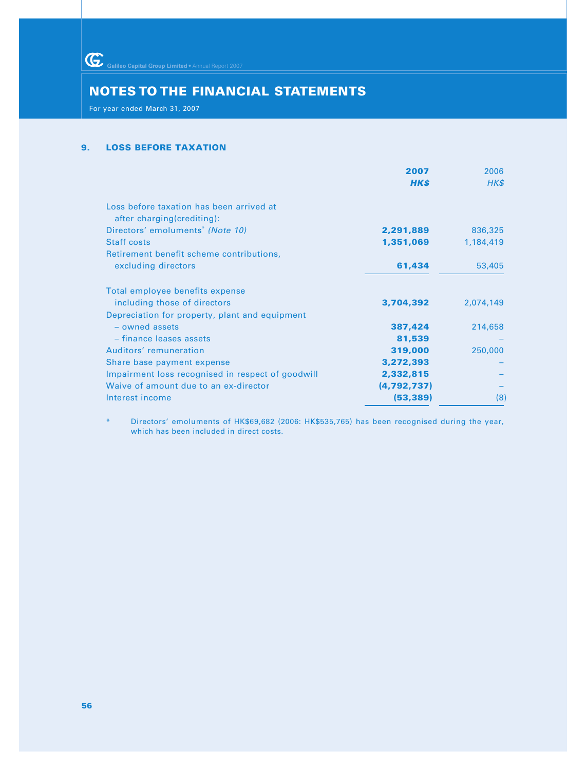Galileo Capital Group Limited • Annual Report 2007

# **NOTES TO THE FINANCIAL STATEMENTS**

For year ended March 31, 2007

## **9. LOSS BEFORE TAXATION**

|                                                   | 2007          | 2006      |
|---------------------------------------------------|---------------|-----------|
|                                                   | <b>HK\$</b>   | HK\$      |
| Loss before taxation has been arrived at          |               |           |
| after charging(crediting):                        |               |           |
| Directors' emoluments <sup>*</sup> (Note 10)      | 2,291,889     | 836,325   |
| <b>Staff costs</b>                                | 1,351,069     | 1,184,419 |
| Retirement benefit scheme contributions,          |               |           |
| excluding directors                               | 61,434        | 53,405    |
| Total employee benefits expense                   |               |           |
| including those of directors                      | 3,704,392     | 2,074,149 |
| Depreciation for property, plant and equipment    |               |           |
| $-$ owned assets                                  | 387,424       | 214,658   |
| - finance leases assets                           | 81,539        |           |
| Auditors' remuneration                            | 319,000       | 250,000   |
| Share base payment expense                        | 3,272,393     |           |
| Impairment loss recognised in respect of goodwill | 2,332,815     |           |
| Waive of amount due to an ex-director             | (4, 792, 737) |           |
| Interest income                                   | (53, 389)     | (8)       |

Directors' emoluments of HK\$69,682 (2006: HK\$535,765) has been recognised during the year, which has been included in direct costs.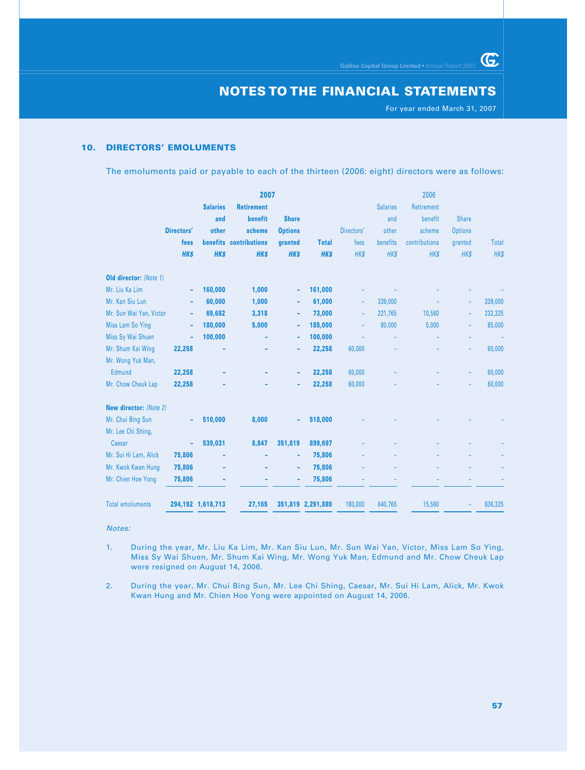For year ended March 31, 2007

 $G$ 

# **10. DIRECTORS' EMOLUMENTS**

The emoluments paid or payable to each of the thirteen (2006: eight) directors were as follows:

|                         |            |                   | 2007                   |                |                   |            |                 | 2006          |                          |         |
|-------------------------|------------|-------------------|------------------------|----------------|-------------------|------------|-----------------|---------------|--------------------------|---------|
|                         |            | <b>Salaries</b>   | <b>Retirement</b>      |                |                   |            | <b>Salaries</b> | Retirement    |                          |         |
|                         |            | and               | benefit                | <b>Share</b>   |                   |            | and             | benefit       | <b>Share</b>             |         |
|                         | Directors' | other             | scheme                 | <b>Options</b> |                   | Directors' | other           | scheme        | <b>Options</b>           |         |
|                         | fees       |                   | benefits contributions | granted        | <b>Total</b>      | fees       | benefits        | contributions | granted                  | Total   |
|                         | <b>HKS</b> | <b>HKS</b>        | <b>HKS</b>             | <b>HK\$</b>    | <b>HKS</b>        | HK\$       | <b>HK\$</b>     | HK\$          | HK\$                     | HK\$    |
| Old director: (Note 1)  |            |                   |                        |                |                   |            |                 |               |                          |         |
| Mr. Liu Ka Lim          | ۰          | 160,000           | 1,000                  | ۰              | 161,000           |            |                 |               |                          |         |
| Mr. Kan Siu Lun         | ۰          | 60,000            | 1,000                  | ۰              | 61,000            | ٠          | 339,000         |               |                          | 339,000 |
| Mr. Sun Wai Yan, Victor | ۰          | 69,682            | 3,318                  | ۰              | 73,000            | ٠          | 221,765         | 10,560        | $\overline{\phantom{a}}$ | 232,325 |
| Miss Lam So Ying        | ۰          | 180,000           | 5,000                  | ٠              | 185,000           | ٠          | 80,000          | 5,000         | ٠                        | 85,000  |
| Miss Sy Wai Shuen       | ä,         | 100,000           |                        | ۰              | 100,000           |            |                 |               |                          |         |
| Mr. Shum Kai Wing       | 22,258     |                   |                        | ٠              | 22,258            | 60,000     |                 |               | ÷                        | 60,000  |
| Mr. Wong Yuk Man,       |            |                   |                        |                |                   |            |                 |               |                          |         |
| Edmund                  | 22,258     |                   |                        | ٠              | 22,258            | 60,000     |                 |               | ۰                        | 60,000  |
| Mr. Chow Cheuk Lap      | 22,258     |                   |                        |                | 22,258            | 60,000     |                 |               |                          | 60,000  |
| New director: (Note 2)  |            |                   |                        |                |                   |            |                 |               |                          |         |
| Mr. Chui Bing Sun       |            | 510,000           | 8,000                  |                | 518,000           |            |                 |               |                          |         |
| Mr. Lee Chi Shing,      |            |                   |                        |                |                   |            |                 |               |                          |         |
| Caesar                  | ÷          | 539,031           | 8,847                  | 351,819        | 899,697           |            |                 |               |                          |         |
| Mr. Sui Hi Lam, Alick   | 75,806     |                   |                        | ۰              | 75,806            |            |                 |               |                          |         |
| Mr. Kwok Kwan Hung      | 75,806     |                   |                        | ٠              | 75,806            |            |                 |               |                          |         |
| Mr. Chien Hoe Yong      | 75,806     |                   |                        |                | 75,806            |            |                 |               |                          |         |
| <b>Total emoluments</b> |            | 294,192 1,618,713 | 27,165                 |                | 351,819 2,291,889 | 180,000    | 640,765         | 15,560        |                          | 836,325 |

Notes:

- 1. During the year, Mr. Liu Ka Lim, Mr. Kan Siu Lun, Mr. Sun Wai Yan, Victor, Miss Lam So Ying, Miss Sy Wai Shuen, Mr. Shum Kai Wing, Mr. Wong Yuk Man, Edmund and Mr. Chow Cheuk Lap were resigned on August 14, 2006.
- 2. During the year, Mr. Chui Bing Sun, Mr. Lee Chi Shing, Caesar, Mr. Sui Hi Lam, Alick, Mr. Kwok Kwan Hung and Mr. Chien Hoe Yong were appointed on August 14, 2006.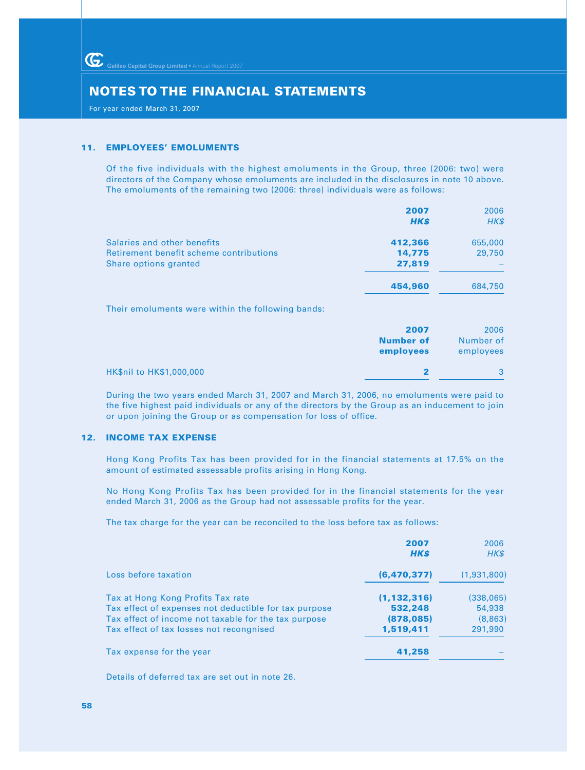For year ended March 31, 2007

#### **11. EMPLOYEES' EMOLUMENTS**

Of the five individuals with the highest emoluments in the Group, three (2006: two) were directors of the Company whose emoluments are included in the disclosures in note 10 above. The emoluments of the remaining two (2006: three) individuals were as follows:

|                                                   | 2007        | 2006    |
|---------------------------------------------------|-------------|---------|
|                                                   | <b>HK\$</b> | HK\$    |
| Salaries and other benefits                       | 412,366     | 655,000 |
| Retirement benefit scheme contributions           | 14,775      | 29,750  |
| Share options granted                             | 27,819      |         |
|                                                   | 454,960     | 684,750 |
| Their emoluments were within the following hands: |             |         |

Their emoluments were within the following bands:

|                          | 2007<br><b>Number of</b><br>employees | 2006<br>Number of<br>employees |
|--------------------------|---------------------------------------|--------------------------------|
| HK\$nil to HK\$1,000,000 |                                       |                                |

During the two years ended March 31, 2007 and March 31, 2006, no emoluments were paid to the five highest paid individuals or any of the directors by the Group as an inducement to join or upon joining the Group or as compensation for loss of office.

# **12. INCOME TAX EXPENSE**

Hong Kong Profits Tax has been provided for in the financial statements at 17.5% on the amount of estimated assessable profits arising in Hong Kong.

No Hong Kong Profits Tax has been provided for in the financial statements for the year ended March 31, 2006 as the Group had not assessable profits for the year.

The tax charge for the year can be reconciled to the loss before tax as follows:

|                                                       | 2007<br><b>HK\$</b> | 2006<br>HK\$ |
|-------------------------------------------------------|---------------------|--------------|
| Loss before taxation                                  | (6, 470, 377)       | (1,931,800)  |
| Tax at Hong Kong Profits Tax rate                     | (1, 132, 316)       | (338,065)    |
| Tax effect of expenses not deductible for tax purpose | 532,248             | 54,938       |
| Tax effect of income not taxable for the tax purpose  | (878, 085)          | (8,863)      |
| Tax effect of tax losses not recongnised              | 1,519,411           | 291,990      |
| Tax expense for the year                              | 41,258              |              |

Details of deferred tax are set out in note 26.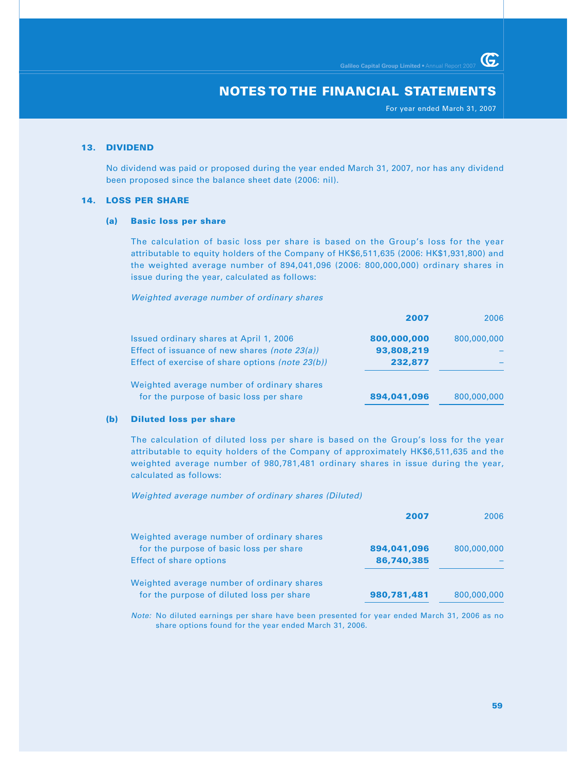For year ended March 31, 2007

G.

## **13. DIVIDEND**

No dividend was paid or proposed during the year ended March 31, 2007, nor has any dividend been proposed since the balance sheet date (2006: nil).

## **14. LOSS PER SHARE**

#### **(a) Basic loss per share**

The calculation of basic loss per share is based on the Group's loss for the year attributable to equity holders of the Company of HK\$6,511,635 (2006: HK\$1,931,800) and the weighted average number of 894,041,096 (2006: 800,000,000) ordinary shares in issue during the year, calculated as follows:

Weighted average number of ordinary shares

|                                                  | 2007        | 2006        |
|--------------------------------------------------|-------------|-------------|
| Issued ordinary shares at April 1, 2006          | 800,000,000 | 800,000,000 |
| Effect of issuance of new shares (note 23(a))    | 93,808,219  |             |
| Effect of exercise of share options (note 23(b)) | 232,877     |             |
| Weighted average number of ordinary shares       |             |             |
| for the purpose of basic loss per share          | 894,041,096 | 800,000,000 |

## **(b) Diluted loss per share**

The calculation of diluted loss per share is based on the Group's loss for the year attributable to equity holders of the Company of approximately HK\$6,511,635 and the weighted average number of 980,781,481 ordinary shares in issue during the year, calculated as follows:

Weighted average number of ordinary shares (Diluted)

|                                            | 2007        | 2006        |
|--------------------------------------------|-------------|-------------|
| Weighted average number of ordinary shares |             |             |
| for the purpose of basic loss per share    | 894,041,096 | 800,000,000 |
| <b>Effect of share options</b>             | 86,740,385  |             |
| Weighted average number of ordinary shares |             |             |
| for the purpose of diluted loss per share  | 980,781,481 | 800,000,000 |

Note: No diluted earnings per share have been presented for year ended March 31, 2006 as no share options found for the year ended March 31, 2006.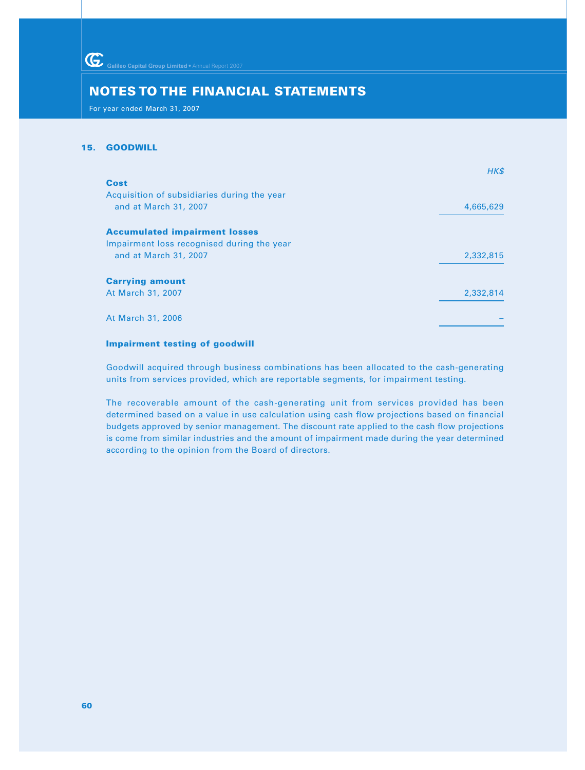For year ended March 31, 2007

## **15. GOODWILL**

| HK\$      |
|-----------|
|           |
|           |
| 4,665,629 |
|           |
|           |
| 2,332,815 |
|           |
|           |
| 2,332,814 |
|           |
|           |
|           |

# **Impairment testing of goodwill**

Goodwill acquired through business combinations has been allocated to the cash-generating units from services provided, which are reportable segments, for impairment testing.

The recoverable amount of the cash-generating unit from services provided has been determined based on a value in use calculation using cash flow projections based on financial budgets approved by senior management. The discount rate applied to the cash flow projections is come from similar industries and the amount of impairment made during the year determined according to the opinion from the Board of directors.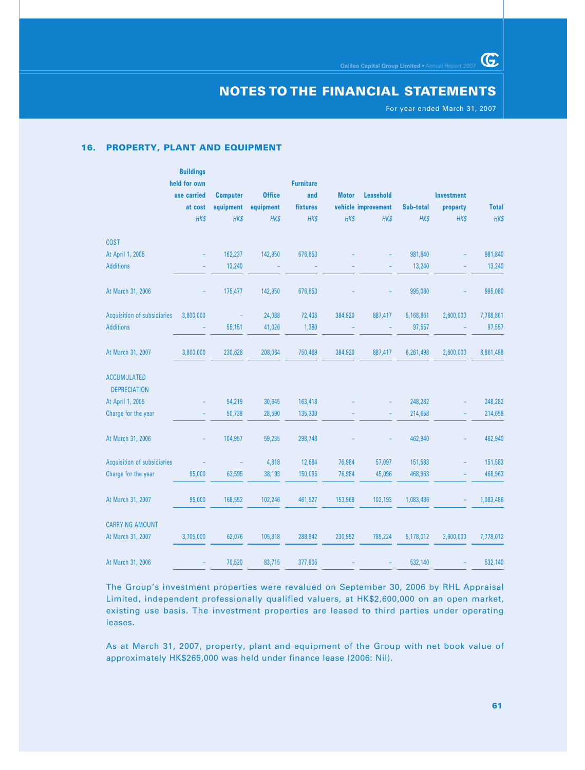For year ended March 31, 2007

 $G$ 

#### **16. PROPERTY, PLANT AND EQUIPMENT**

 **Buildings**

|                                           | <b>Dunaings</b><br>held for own |                 |               | <b>Furniture</b> |              |                     |           |                   |              |
|-------------------------------------------|---------------------------------|-----------------|---------------|------------------|--------------|---------------------|-----------|-------------------|--------------|
|                                           | use carried                     | <b>Computer</b> | <b>Office</b> | and              | <b>Motor</b> | <b>Leasehold</b>    |           | <b>Investment</b> |              |
|                                           | at cost                         | equipment       | equipment     | fixtures         |              | vehicle improvement | Sub-total | property          | <b>Total</b> |
|                                           | HK\$                            | HK\$            | HK\$          | HK\$             | HK\$         | HK\$                | HK\$      | HK\$              | HK\$         |
| <b>COST</b>                               |                                 |                 |               |                  |              |                     |           |                   |              |
| At April 1, 2005                          |                                 | 162,237         | 142,950       | 676,653          |              |                     | 981,840   |                   | 981,840      |
| <b>Additions</b>                          |                                 | 13,240          |               |                  |              |                     | 13,240    |                   | 13,240       |
| At March 31, 2006                         |                                 | 175,477         | 142,950       | 676,653          |              |                     | 995,080   |                   | 995,080      |
| Acquisition of subsidiaries               | 3,800,000                       |                 | 24,088        | 72,436           | 384,920      | 887,417             | 5,168,861 | 2,600,000         | 7,768,861    |
| <b>Additions</b>                          |                                 | 55,151          | 41,026        | 1,380            |              |                     | 97,557    |                   | 97,557       |
| At March 31, 2007                         | 3,800,000                       | 230,628         | 208,064       | 750,469          | 384,920      | 887,417             | 6,261,498 | 2,600,000         | 8,861,498    |
| <b>ACCUMULATED</b><br><b>DEPRECIATION</b> |                                 |                 |               |                  |              |                     |           |                   |              |
| At April 1, 2005                          |                                 | 54,219          | 30,645        | 163,418          |              |                     | 248,282   |                   | 248,282      |
| Charge for the year                       |                                 | 50,738          | 28,590        | 135,330          |              |                     | 214,658   |                   | 214,658      |
| At March 31, 2006                         |                                 | 104,957         | 59,235        | 298,748          |              |                     | 462,940   |                   | 462,940      |
| Acquisition of subsidiaries               |                                 |                 | 4,818         | 12,684           | 76,984       | 57,097              | 151,583   |                   | 151,583      |
| Charge for the year                       | 95,000                          | 63,595          | 38,193        | 150,095          | 76,984       | 45,096              | 468,963   |                   | 468,963      |
| At March 31, 2007                         | 95,000                          | 168,552         | 102,246       | 461,527          | 153,968      | 102,193             | 1,083,486 |                   | 1,083,486    |
| <b>CARRYING AMOUNT</b>                    |                                 |                 |               |                  |              |                     |           |                   |              |
| At March 31, 2007                         | 3,705,000                       | 62,076          | 105,818       | 288,942          | 230,952      | 785,224             | 5,178,012 | 2,600,000         | 7,778,012    |
| At March 31, 2006                         |                                 | 70,520          | 83,715        | 377,905          |              |                     | 532,140   |                   | 532,140      |

The Group's investment properties were revalued on September 30, 2006 by RHL Appraisal Limited, independent professionally qualified valuers, at HK\$2,600,000 on an open market, existing use basis. The investment properties are leased to third parties under operating leases.

As at March 31, 2007, property, plant and equipment of the Group with net book value of approximately HK\$265,000 was held under finance lease (2006: Nil).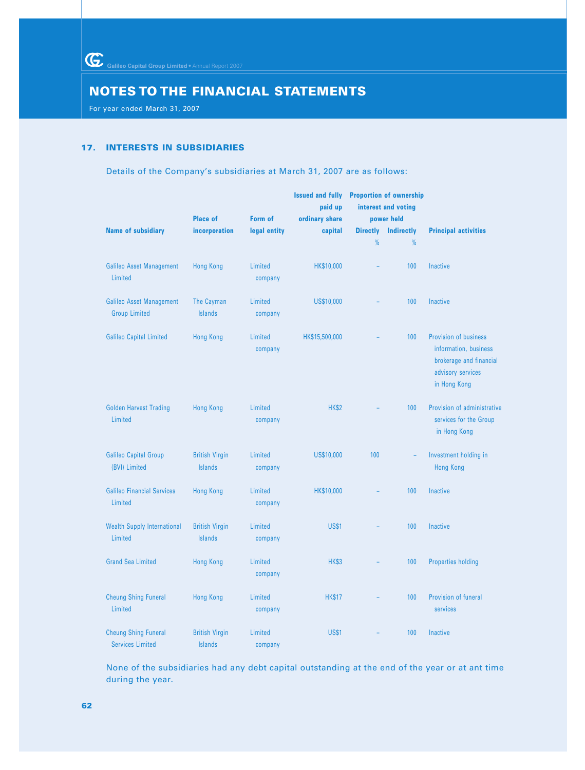For year ended March 31, 2007

## **17. INTERESTS IN SUBSIDIARIES**

Details of the Company's subsidiaries at March 31, 2007 are as follows:

|                                                         | <b>Place of</b>                         | Form of            | <b>Issued and fully</b><br>paid up<br>ordinary share |                 | <b>Proportion of ownership</b><br>interest and voting<br>power held |                                                                                                                |
|---------------------------------------------------------|-----------------------------------------|--------------------|------------------------------------------------------|-----------------|---------------------------------------------------------------------|----------------------------------------------------------------------------------------------------------------|
| <b>Name of subsidiary</b>                               | incorporation                           | legal entity       | capital                                              | <b>Directly</b> | <b>Indirectly</b>                                                   | <b>Principal activities</b>                                                                                    |
|                                                         |                                         |                    |                                                      | $\%$            | $\frac{9}{6}$                                                       |                                                                                                                |
| <b>Galileo Asset Management</b><br>Limited              | <b>Hong Kong</b>                        | Limited<br>company | HK\$10,000                                           |                 | 100                                                                 | Inactive                                                                                                       |
| <b>Galileo Asset Management</b><br><b>Group Limited</b> | The Cayman<br><b>Islands</b>            | Limited<br>company | US\$10,000                                           |                 | 100                                                                 | Inactive                                                                                                       |
| <b>Galileo Capital Limited</b>                          | <b>Hong Kong</b>                        | Limited<br>company | HK\$15,500,000                                       |                 | 100                                                                 | Provision of business<br>information, business<br>brokerage and financial<br>advisory services<br>in Hong Kong |
| <b>Golden Harvest Trading</b><br>Limited                | <b>Hong Kong</b>                        | Limited<br>company | <b>HK\$2</b>                                         |                 | 100                                                                 | Provision of administrative<br>services for the Group<br>in Hong Kong                                          |
| <b>Galileo Capital Group</b><br>(BVI) Limited           | <b>British Virgin</b><br><b>Islands</b> | Limited<br>company | US\$10,000                                           | 100             | $\overline{\phantom{a}}$                                            | Investment holding in<br><b>Hong Kong</b>                                                                      |
| <b>Galileo Financial Services</b><br>Limited            | <b>Hong Kong</b>                        | Limited<br>company | HK\$10,000                                           |                 | 100                                                                 | Inactive                                                                                                       |
| <b>Wealth Supply International</b><br>Limited           | <b>British Virgin</b><br><b>Islands</b> | Limited<br>company | <b>US\$1</b>                                         |                 | 100                                                                 | Inactive                                                                                                       |
| <b>Grand Sea Limited</b>                                | <b>Hong Kong</b>                        | Limited<br>company | <b>HK\$3</b>                                         |                 | 100                                                                 | <b>Properties holding</b>                                                                                      |
| <b>Cheung Shing Funeral</b><br>Limited                  | <b>Hong Kong</b>                        | Limited<br>company | <b>HK\$17</b>                                        |                 | 100                                                                 | Provision of funeral<br>services                                                                               |
| <b>Cheung Shing Funeral</b><br><b>Services Limited</b>  | <b>British Virgin</b><br><b>Islands</b> | Limited<br>company | <b>US\$1</b>                                         |                 | 100                                                                 | Inactive                                                                                                       |

None of the subsidiaries had any debt capital outstanding at the end of the year or at ant time during the year.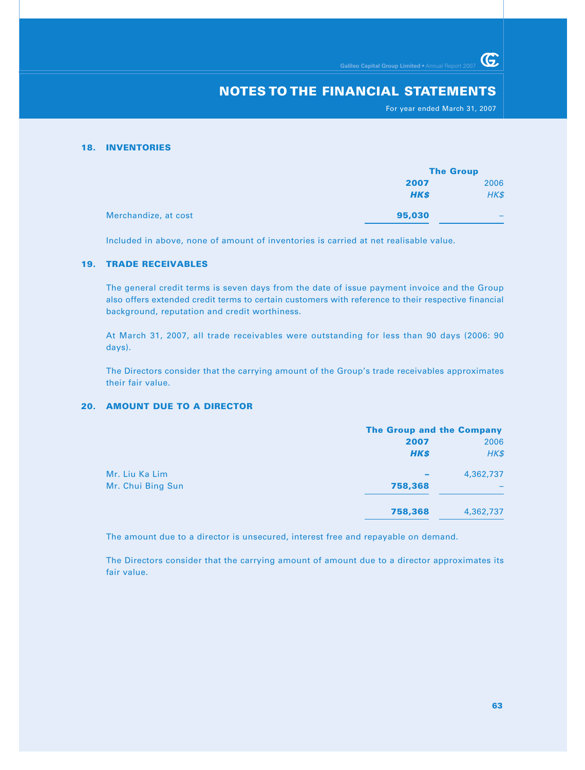For year ended March 31, 2007

G

#### **18. INVENTORIES**

|                      |             | <b>The Group</b> |  |
|----------------------|-------------|------------------|--|
|                      | 2007        | 2006             |  |
|                      | <b>HK\$</b> | HK\$             |  |
| Merchandize, at cost | 95,030      | -                |  |

Included in above, none of amount of inventories is carried at net realisable value.

## **19. TRADE RECEIVABLES**

The general credit terms is seven days from the date of issue payment invoice and the Group also offers extended credit terms to certain customers with reference to their respective financial background, reputation and credit worthiness.

At March 31, 2007, all trade receivables were outstanding for less than 90 days (2006: 90 days).

The Directors consider that the carrying amount of the Group's trade receivables approximates their fair value.

## **20. AMOUNT DUE TO A DIRECTOR**

|                   | <b>The Group and the Company</b> |           |  |
|-------------------|----------------------------------|-----------|--|
|                   | 2007                             | 2006      |  |
|                   | <b>HK\$</b>                      | HK\$      |  |
| Mr. Liu Ka Lim    | $\overline{\phantom{a}}$         | 4,362,737 |  |
| Mr. Chui Bing Sun | 758,368                          |           |  |
|                   | 758,368                          | 4,362,737 |  |

The amount due to a director is unsecured, interest free and repayable on demand.

The Directors consider that the carrying amount of amount due to a director approximates its fair value.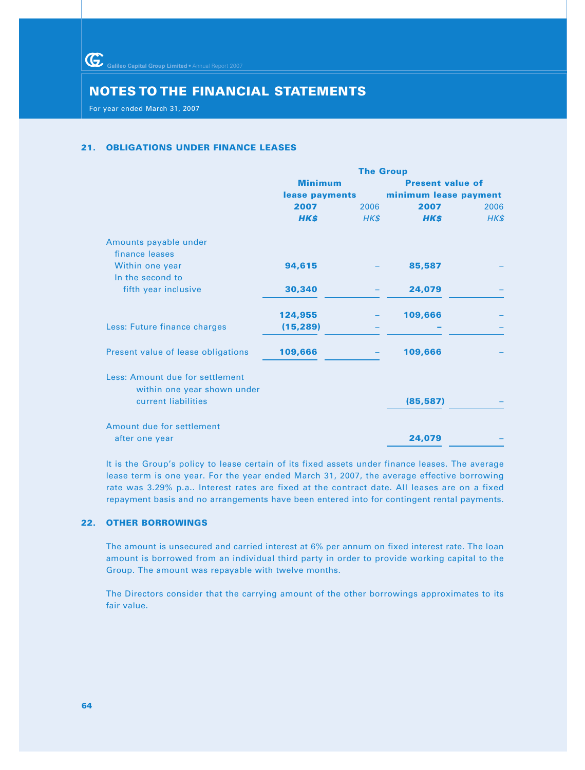Galileo Capital Group Limited • Annual Report 2007

# **NOTES TO THE FINANCIAL STATEMENTS**

For year ended March 31, 2007

## **21. OBLIGATIONS UNDER FINANCE LEASES**

|                                                                | <b>The Group</b> |      |                         |      |  |
|----------------------------------------------------------------|------------------|------|-------------------------|------|--|
|                                                                | <b>Minimum</b>   |      | <b>Present value of</b> |      |  |
|                                                                | lease payments   |      | minimum lease payment   |      |  |
|                                                                | 2007             | 2006 | 2007                    | 2006 |  |
|                                                                | <b>HK\$</b>      | HK\$ | <b>HK\$</b>             | HK\$ |  |
| Amounts payable under<br>finance leases                        |                  |      |                         |      |  |
| Within one year<br>In the second to                            | 94,615           |      | 85,587                  |      |  |
| fifth year inclusive                                           | 30,340           |      | 24,079                  |      |  |
|                                                                | 124,955          |      | 109,666                 |      |  |
| Less: Future finance charges                                   | (15, 289)        |      |                         |      |  |
| Present value of lease obligations                             | 109,666          |      | 109,666                 |      |  |
| Less: Amount due for settlement<br>within one year shown under |                  |      |                         |      |  |
| current liabilities                                            |                  |      | (85, 587)               |      |  |
| Amount due for settlement                                      |                  |      |                         |      |  |
| after one year                                                 |                  |      | 24,079                  |      |  |

It is the Group's policy to lease certain of its fixed assets under finance leases. The average lease term is one year. For the year ended March 31, 2007, the average effective borrowing rate was 3.29% p.a.. Interest rates are fixed at the contract date. All leases are on a fixed repayment basis and no arrangements have been entered into for contingent rental payments.

# **22. OTHER BORROWINGS**

The amount is unsecured and carried interest at 6% per annum on fixed interest rate. The loan amount is borrowed from an individual third party in order to provide working capital to the Group. The amount was repayable with twelve months.

The Directors consider that the carrying amount of the other borrowings approximates to its fair value.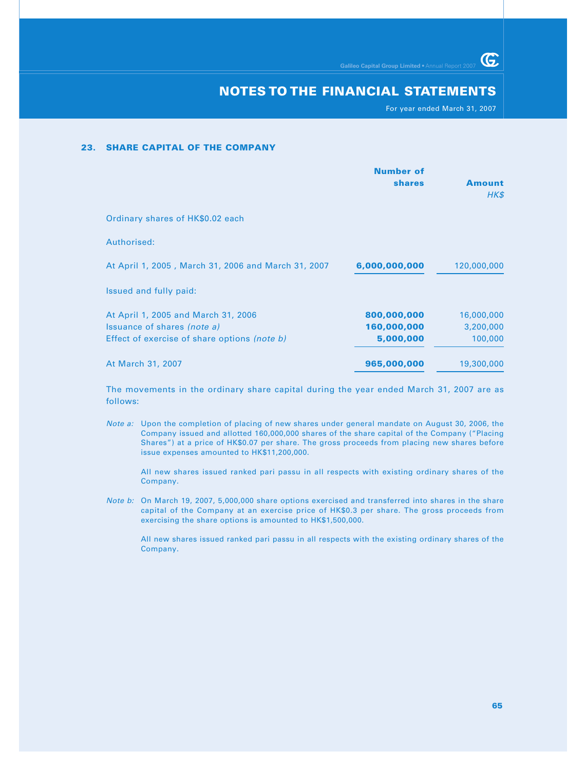For year ended March 31, 2007

G.

#### **23. SHARE CAPITAL OF THE COMPANY**

|                                                     | <b>Number of</b><br><b>shares</b> | Amount<br>HK\$ |
|-----------------------------------------------------|-----------------------------------|----------------|
| Ordinary shares of HK\$0.02 each                    |                                   |                |
| Authorised:                                         |                                   |                |
| At April 1, 2005, March 31, 2006 and March 31, 2007 | 6,000,000,000                     | 120,000,000    |
| Issued and fully paid:                              |                                   |                |
| At April 1, 2005 and March 31, 2006                 | 800,000,000                       | 16,000,000     |
| <i>s</i> uance of shares <i>(note a)</i>            | 160,000,000                       | 3,200,000      |
| Effect of exercise of share options (note b)        | 5,000,000                         | 100,000        |
| At March 31, 2007                                   | 965,000,000                       | 19,300,000     |

The movements in the ordinary share capital during the year ended March 31, 2007 are as follows:

Note a: Upon the completion of placing of new shares under general mandate on August 30, 2006, the Company issued and allotted 160,000,000 shares of the share capital of the Company ("Placing Shares") at a price of HK\$0.07 per share. The gross proceeds from placing new shares before issue expenses amounted to HK\$11,200,000.

All new shares issued ranked pari passu in all respects with existing ordinary shares of the Company.

Note b: On March 19, 2007, 5,000,000 share options exercised and transferred into shares in the share capital of the Company at an exercise price of HK\$0.3 per share. The gross proceeds from exercising the share options is amounted to HK\$1,500,000.

All new shares issued ranked pari passu in all respects with the existing ordinary shares of the Company.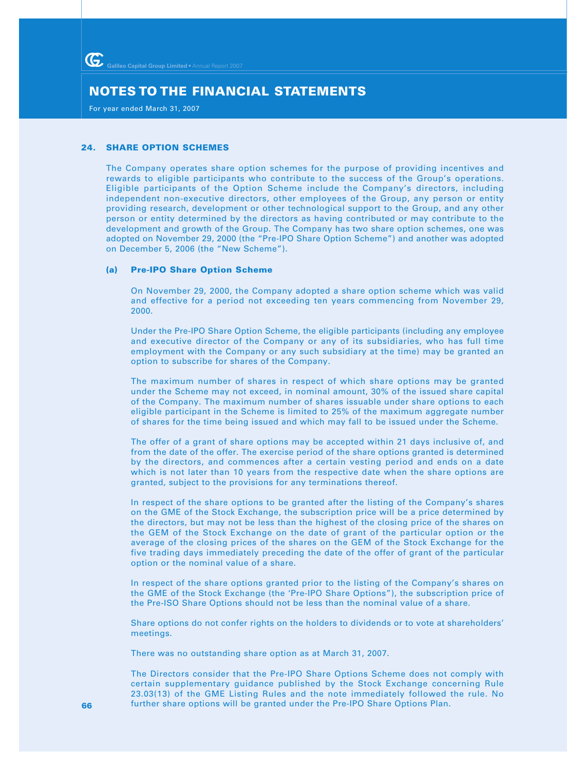For year ended March 31, 2007

## **24. SHARE OPTION SCHEMES**

The Company operates share option schemes for the purpose of providing incentives and rewards to eligible participants who contribute to the success of the Group's operations. Eligible participants of the Option Scheme include the Company's directors, including independent non-executive directors, other employees of the Group, any person or entity providing research, development or other technological support to the Group, and any other person or entity determined by the directors as having contributed or may contribute to the development and growth of the Group. The Company has two share option schemes, one was adopted on November 29, 2000 (the "Pre-IPO Share Option Scheme") and another was adopted on December 5, 2006 (the "New Scheme").

#### **(a) Pre-IPO Share Option Scheme**

On November 29, 2000, the Company adopted a share option scheme which was valid and effective for a period not exceeding ten years commencing from November 29, 2000.

Under the Pre-IPO Share Option Scheme, the eligible participants (including any employee and executive director of the Company or any of its subsidiaries, who has full time employment with the Company or any such subsidiary at the time) may be granted an option to subscribe for shares of the Company.

The maximum number of shares in respect of which share options may be granted under the Scheme may not exceed, in nominal amount, 30% of the issued share capital of the Company. The maximum number of shares issuable under share options to each eligible participant in the Scheme is limited to 25% of the maximum aggregate number of shares for the time being issued and which may fall to be issued under the Scheme.

The offer of a grant of share options may be accepted within 21 days inclusive of, and from the date of the offer. The exercise period of the share options granted is determined by the directors, and commences after a certain vesting period and ends on a date which is not later than 10 years from the respective date when the share options are granted, subject to the provisions for any terminations thereof.

In respect of the share options to be granted after the listing of the Company's shares on the GME of the Stock Exchange, the subscription price will be a price determined by the directors, but may not be less than the highest of the closing price of the shares on the GEM of the Stock Exchange on the date of grant of the particular option or the average of the closing prices of the shares on the GEM of the Stock Exchange for the five trading days immediately preceding the date of the offer of grant of the particular option or the nominal value of a share.

In respect of the share options granted prior to the listing of the Company's shares on the GME of the Stock Exchange (the 'Pre-IPO Share Options"), the subscription price of the Pre-ISO Share Options should not be less than the nominal value of a share.

Share options do not confer rights on the holders to dividends or to vote at shareholders' meetings.

There was no outstanding share option as at March 31, 2007.

The Directors consider that the Pre-IPO Share Options Scheme does not comply with certain supplementary guidance published by the Stock Exchange concerning Rule 23.03(13) of the GME Listing Rules and the note immediately followed the rule. No further share options will be granted under the Pre-IPO Share Options Plan.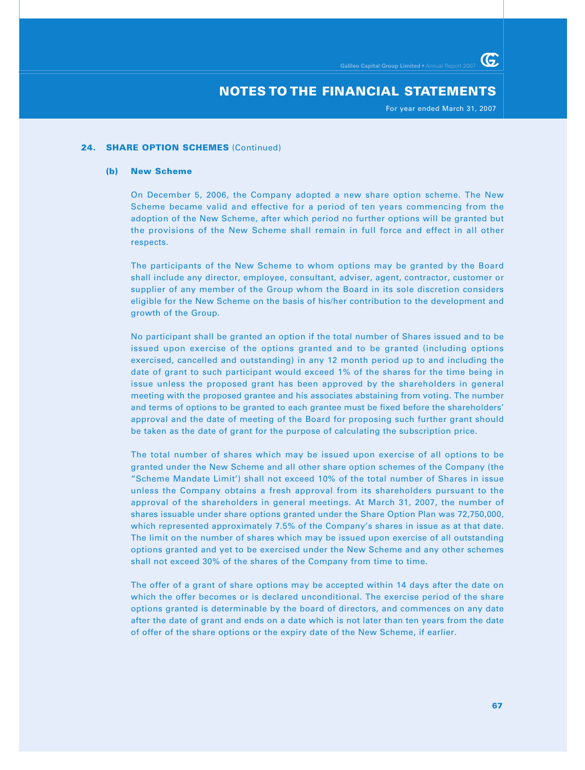For year ended March 31, 2007

## **24. SHARE OPTION SCHEMES** (Continued)

#### **(b) New Scheme**

On December 5, 2006, the Company adopted a new share option scheme. The New Scheme became valid and effective for a period of ten years commencing from the adoption of the New Scheme, after which period no further options will be granted but the provisions of the New Scheme shall remain in full force and effect in all other respects.

The participants of the New Scheme to whom options may be granted by the Board shall include any director, employee, consultant, adviser, agent, contractor, customer or supplier of any member of the Group whom the Board in its sole discretion considers eligible for the New Scheme on the basis of his/her contribution to the development and growth of the Group.

No participant shall be granted an option if the total number of Shares issued and to be issued upon exercise of the options granted and to be granted (including options exercised, cancelled and outstanding) in any 12 month period up to and including the date of grant to such participant would exceed 1% of the shares for the time being in issue unless the proposed grant has been approved by the shareholders in general meeting with the proposed grantee and his associates abstaining from voting. The number and terms of options to be granted to each grantee must be fixed before the shareholders' approval and the date of meeting of the Board for proposing such further grant should be taken as the date of grant for the purpose of calculating the subscription price.

The total number of shares which may be issued upon exercise of all options to be granted under the New Scheme and all other share option schemes of the Company (the "Scheme Mandate Limit') shall not exceed 10% of the total number of Shares in issue unless the Company obtains a fresh approval from its shareholders pursuant to the approval of the shareholders in general meetings. At March 31, 2007, the number of shares issuable under share options granted under the Share Option Plan was 72,750,000, which represented approximately 7.5% of the Company's shares in issue as at that date. The limit on the number of shares which may be issued upon exercise of all outstanding options granted and yet to be exercised under the New Scheme and any other schemes shall not exceed 30% of the shares of the Company from time to time.

The offer of a grant of share options may be accepted within 14 days after the date on which the offer becomes or is declared unconditional. The exercise period of the share options granted is determinable by the board of directors, and commences on any date after the date of grant and ends on a date which is not later than ten years from the date of offer of the share options or the expiry date of the New Scheme, if earlier.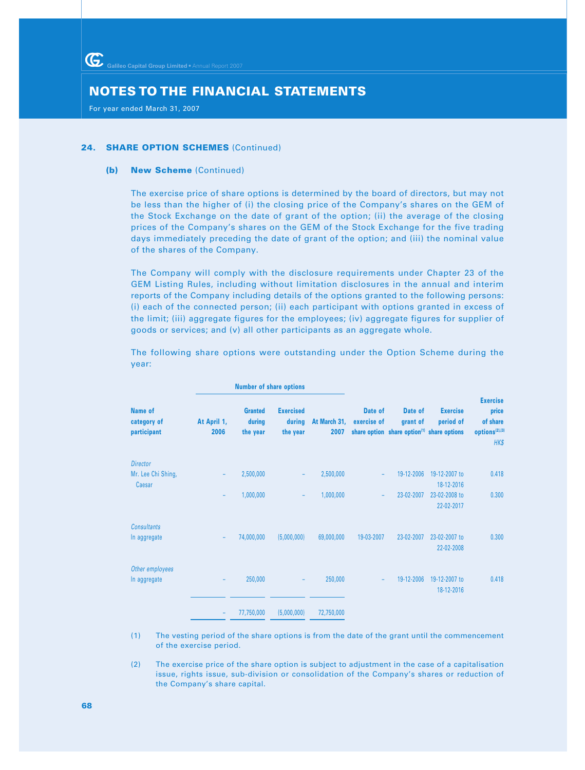For year ended March 31, 2007

## **24. SHARE OPTION SCHEMES (Continued)**

#### **(b) New Scheme** (Continued)

The exercise price of share options is determined by the board of directors, but may not be less than the higher of (i) the closing price of the Company's shares on the GEM of the Stock Exchange on the date of grant of the option; (ii) the average of the closing prices of the Company's shares on the GEM of the Stock Exchange for the five trading days immediately preceding the date of grant of the option; and (iii) the nominal value of the shares of the Company.

The Company will comply with the disclosure requirements under Chapter 23 of the GEM Listing Rules, including without limitation disclosures in the annual and interim reports of the Company including details of the options granted to the following persons: (i) each of the connected person; (ii) each participant with options granted in excess of the limit; (iii) aggregate figures for the employees; (iv) aggregate figures for supplier of goods or services; and (v) all other participants as an aggregate whole.

The following share options were outstanding under the Option Scheme during the year:

|                                       |                     | <b>Number of share options</b>       |                                        |                      |                        |                                                                   |                              |                                                                            |
|---------------------------------------|---------------------|--------------------------------------|----------------------------------------|----------------------|------------------------|-------------------------------------------------------------------|------------------------------|----------------------------------------------------------------------------|
| Name of<br>category of<br>participant | At April 1,<br>2006 | <b>Granted</b><br>during<br>the year | <b>Exercised</b><br>during<br>the year | At March 31,<br>2007 | Date of<br>exercise of | Date of<br>grant of<br>share option share option(1) share options | <b>Exercise</b><br>period of | <b>Exercise</b><br>price<br>of share<br>options <sup>(2),(3)</sup><br>HK\$ |
| <b>Director</b>                       |                     |                                      |                                        |                      |                        |                                                                   |                              |                                                                            |
| Mr. Lee Chi Shing,                    |                     | 2,500,000                            | ۰                                      | 2,500,000            |                        | 19-12-2006                                                        | 19-12-2007 to<br>18-12-2016  | 0.418                                                                      |
| Caesar                                |                     | 1,000,000                            | ۰                                      | 1,000,000            |                        | 23-02-2007                                                        | 23-02-2008 to<br>22-02-2017  | 0.300                                                                      |
| <b>Consultants</b>                    |                     |                                      |                                        |                      |                        |                                                                   |                              |                                                                            |
| In aggregate                          | ۰                   | 74,000,000                           | (5,000,000)                            | 69,000,000           | 19-03-2007             | 23-02-2007                                                        | 23-02-2007 to<br>22-02-2008  | 0.300                                                                      |
| Other employees                       |                     |                                      |                                        |                      |                        |                                                                   |                              |                                                                            |
| In aggregate                          |                     | 250,000                              |                                        | 250,000              |                        | 19-12-2006                                                        | 19-12-2007 to<br>18-12-2016  | 0.418                                                                      |
|                                       |                     | 77,750,000                           | (5,000,000)                            | 72,750,000           |                        |                                                                   |                              |                                                                            |

- (1) The vesting period of the share options is from the date of the grant until the commencement of the exercise period.
- (2) The exercise price of the share option is subject to adjustment in the case of a capitalisation issue, rights issue, sub-division or consolidation of the Company's shares or reduction of the Company's share capital.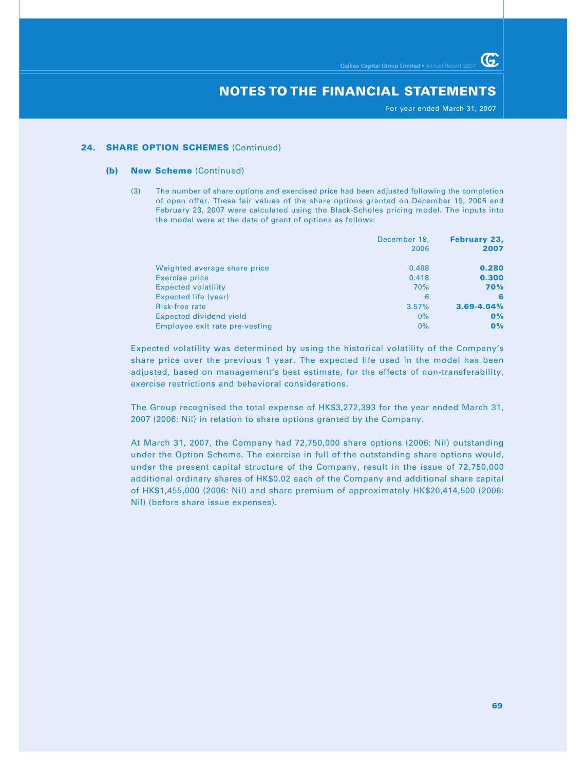For year ended March 31, 2007

G

#### **24. SHARE OPTION SCHEMES (Continued)**

#### **(b) New Scheme** (Continued)

(3) The number of share options and exercised price had been adjusted following the completion of open offer. These fair values of the share options granted on December 19, 2006 and February 23, 2007 were calculated using the Black-Scholes pricing model. The inputs into the model were at the date of grant of options as follows:

|                                | December 19, | <b>February 23,</b> |  |
|--------------------------------|--------------|---------------------|--|
|                                | 2006         | 2007                |  |
| Weighted average share price   | 0.408        | 0.280               |  |
| Exercise price                 | 0.418        | 0.300               |  |
| <b>Expected volatility</b>     | 70%          | <b>70%</b>          |  |
| Expected life (year)           | 6            | 6                   |  |
| Risk-free rate                 | 3.57%        | $3.69 - 4.04%$      |  |
| Expected dividend yield        | $0\%$        | 0%                  |  |
| Employee exit rate pre-vesting | $0\%$        | 0%                  |  |

Expected volatility was determined by using the historical volatility of the Company's share price over the previous 1 year. The expected life used in the model has been adjusted, based on management's best estimate, for the effects of non-transferability, exercise restrictions and behavioral considerations.

The Group recognised the total expense of HK\$3,272,393 for the year ended March 31, 2007 (2006: Nil) in relation to share options granted by the Company.

At March 31, 2007, the Company had 72,750,000 share options (2006: Nil) outstanding under the Option Scheme. The exercise in full of the outstanding share options would, under the present capital structure of the Company, result in the issue of 72,750,000 additional ordinary shares of HK\$0.02 each of the Company and additional share capital of HK\$1,455,000 (2006: Nil) and share premium of approximately HK\$20,414,500 (2006: Nil) (before share issue expenses).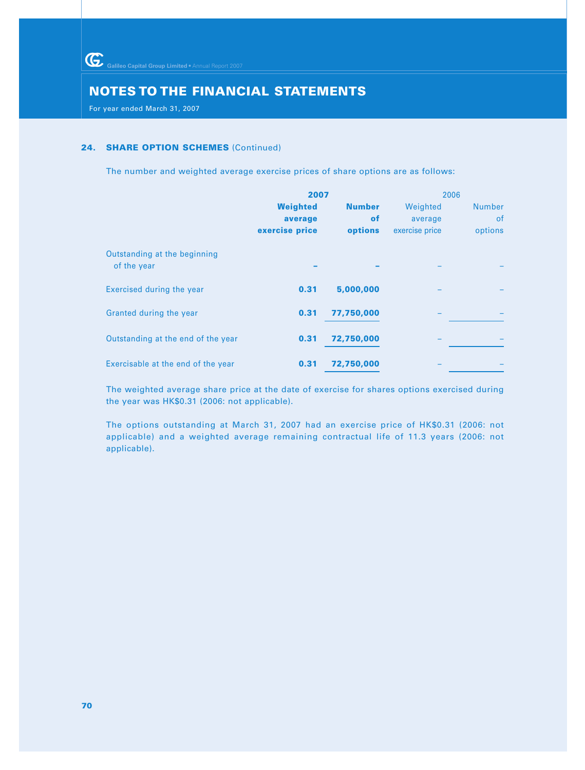Galileo Capital Group Limited • Annual Report 2007

# **NOTES TO THE FINANCIAL STATEMENTS**

For year ended March 31, 2007

## **24. SHARE OPTION SCHEMES** (Continued)

The number and weighted average exercise prices of share options are as follows:

|                                             | 2007           |               | 2006           |               |
|---------------------------------------------|----------------|---------------|----------------|---------------|
|                                             | Weighted       | <b>Number</b> | Weighted       | <b>Number</b> |
|                                             | average        | <b>of</b>     | average        | <b>of</b>     |
|                                             | exercise price | options       | exercise price | options       |
| Outstanding at the beginning<br>of the year |                |               |                |               |
| Exercised during the year                   | 0.31           | 5,000,000     |                |               |
| Granted during the year                     | 0.31           | 77,750,000    |                |               |
| Outstanding at the end of the year          | 0.31           | 72,750,000    |                |               |
| Exercisable at the end of the year          | 0.31           | 72,750,000    |                |               |

The weighted average share price at the date of exercise for shares options exercised during the year was HK\$0.31 (2006: not applicable).

The options outstanding at March 31, 2007 had an exercise price of HK\$0.31 (2006: not applicable) and a weighted average remaining contractual life of 11.3 years (2006: not applicable).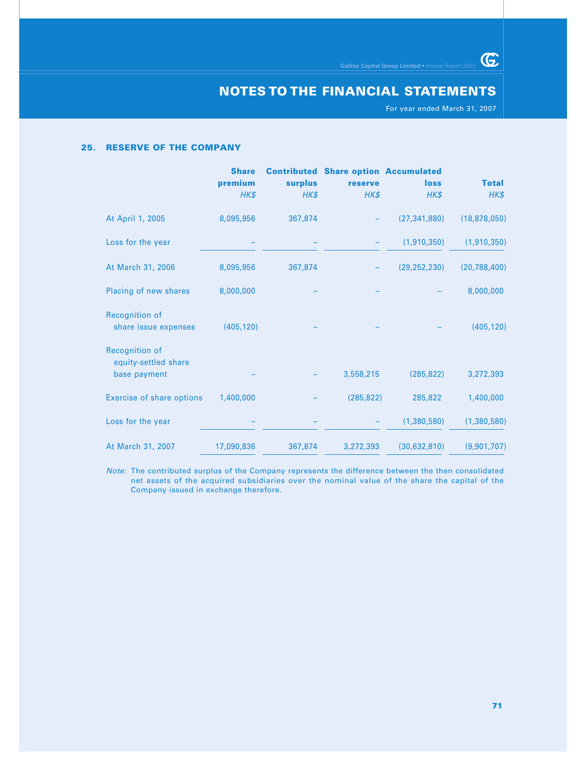For year ended March 31, 2007

 $G$ 

#### **25. RESERVE OF THE COMPANY**

|                                                        | <b>Share</b><br>premium<br>HK\$ | <b>surplus</b><br>HK\$ | <b>Contributed Share option Accumulated</b><br>reserve<br>HK\$ | <b>loss</b><br>HK\$ | <b>Total</b><br>HK\$ |
|--------------------------------------------------------|---------------------------------|------------------------|----------------------------------------------------------------|---------------------|----------------------|
| At April 1, 2005                                       | 8,095,956                       | 367,874                |                                                                | (27, 341, 880)      | (18, 878, 050)       |
| Loss for the year                                      |                                 |                        |                                                                | (1,910,350)         | (1,910,350)          |
| At March 31, 2006                                      | 8,095,956                       | 367,874                |                                                                | (29, 252, 230)      | (20, 788, 400)       |
| Placing of new shares                                  | 8,000,000                       |                        |                                                                |                     | 8,000,000            |
| Recognition of<br>share issue expenses                 | (405, 120)                      |                        |                                                                |                     | (405, 120)           |
| Recognition of<br>equity-settled share<br>base payment |                                 |                        | 3,558,215                                                      | (285, 822)          | 3,272,393            |
| <b>Exercise of share options</b>                       | 1,400,000                       |                        | (285, 822)                                                     | 285,822             | 1,400,000            |
| Loss for the year                                      |                                 |                        |                                                                | (1,380,580)         | (1,380,580)          |
| At March 31, 2007                                      | 17,090,836                      | 367,874                | 3,272,393                                                      | (30, 632, 810)      | (9,901,707)          |

Note: The contributed surplus of the Company represents the difference between the then consolidated net assets of the acquired subsidiaries over the nominal value of the share the capital of the Company issued in exchange therefore.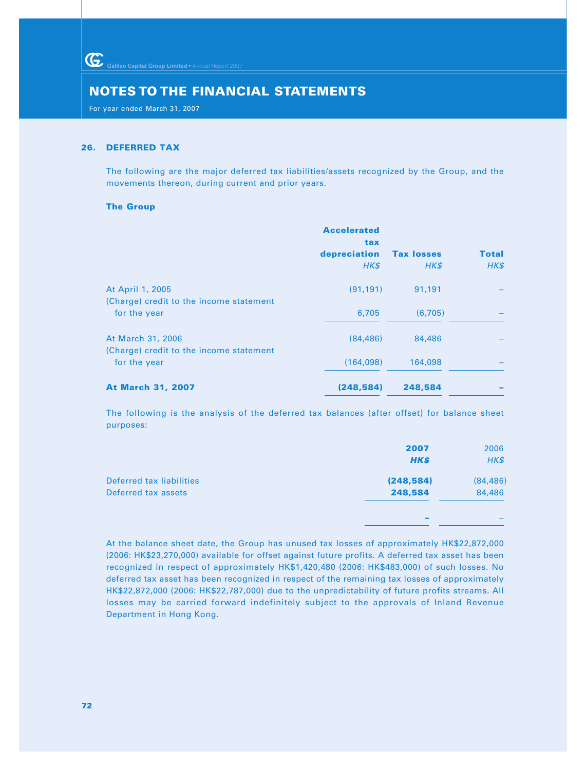For year ended March 31, 2007

#### **26. DEFERRED TAX**

The following are the major deferred tax liabilities/assets recognized by the Group, and the movements thereon, during current and prior years.

#### **The Group**

|                                                              | <b>Accelerated</b><br>tax |                           |                      |
|--------------------------------------------------------------|---------------------------|---------------------------|----------------------|
|                                                              | depreciation<br>HK\$      | <b>Tax losses</b><br>HK\$ | <b>Total</b><br>HK\$ |
| At April 1, 2005                                             | (91, 191)                 | 91,191                    |                      |
| (Charge) credit to the income statement<br>for the year      | 6,705                     | (6,705)                   |                      |
| At March 31, 2006<br>(Charge) credit to the income statement | (84, 486)                 | 84,486                    |                      |
| for the year                                                 | (164,098)                 | 164,098                   |                      |
| <b>At March 31, 2007</b>                                     | (248, 584)                | 248,584                   |                      |

The following is the analysis of the deferred tax balances (after offset) for balance sheet purposes:

| <b>HK\$</b><br>(248, 584)<br>Deferred tax liabilities | HK\$      |
|-------------------------------------------------------|-----------|
|                                                       |           |
|                                                       | (84, 486) |
| Deferred tax assets<br>248,584                        | 84,486    |

At the balance sheet date, the Group has unused tax losses of approximately HK\$22,872,000 (2006: HK\$23,270,000) available for offset against future profits. A deferred tax asset has been recognized in respect of approximately HK\$1,420,480 (2006: HK\$483,000) of such losses. No deferred tax asset has been recognized in respect of the remaining tax losses of approximately HK\$22,872,000 (2006: HK\$22,787,000) due to the unpredictability of future profits streams. All losses may be carried forward indefinitely subject to the approvals of Inland Revenue Department in Hong Kong.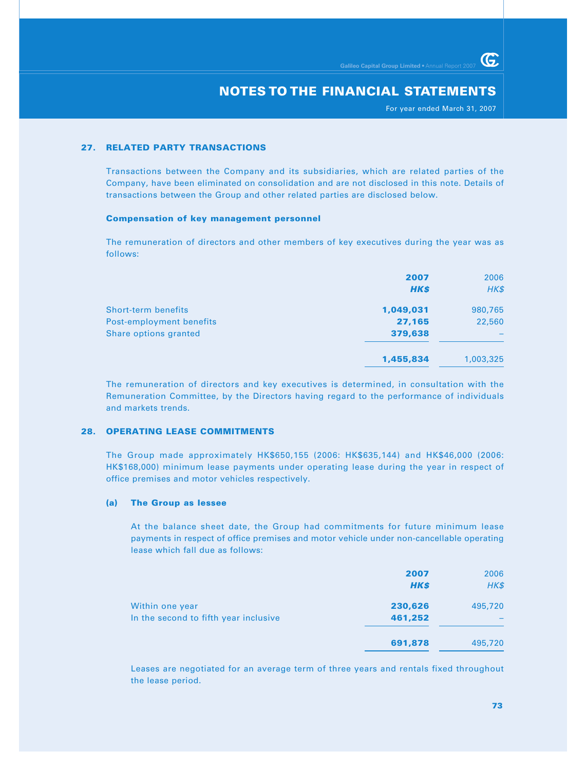For year ended March 31, 2007

G.

#### **27. RELATED PARTY TRANSACTIONS**

Transactions between the Company and its subsidiaries, which are related parties of the Company, have been eliminated on consolidation and are not disclosed in this note. Details of transactions between the Group and other related parties are disclosed below.

#### **Compensation of key management personnel**

The remuneration of directors and other members of key executives during the year was as follows:

|                            | 2007<br><b>HK\$</b> | 2006<br>HK\$ |
|----------------------------|---------------------|--------------|
| <b>Short-term benefits</b> | 1,049,031           | 980,765      |
| Post-employment benefits   | 27,165              | 22,560       |
| Share options granted      | 379,638             |              |
|                            | 1,455,834           | 1,003,325    |

The remuneration of directors and key executives is determined, in consultation with the Remuneration Committee, by the Directors having regard to the performance of individuals and markets trends.

#### **28. OPERATING LEASE COMMITMENTS**

The Group made approximately HK\$650,155 (2006: HK\$635,144) and HK\$46,000 (2006: HK\$168,000) minimum lease payments under operating lease during the year in respect of office premises and motor vehicles respectively.

#### **(a) The Group as lessee**

At the balance sheet date, the Group had commitments for future minimum lease payments in respect of office premises and motor vehicle under non-cancellable operating lease which fall due as follows:

|                                       | 2007<br><b>HK\$</b> | 2006<br>HK\$ |
|---------------------------------------|---------------------|--------------|
| Within one year                       | 230,626             | 495,720      |
| In the second to fifth year inclusive | 461,252             |              |
|                                       | 691,878             | 495,720      |

Leases are negotiated for an average term of three years and rentals fixed throughout the lease period.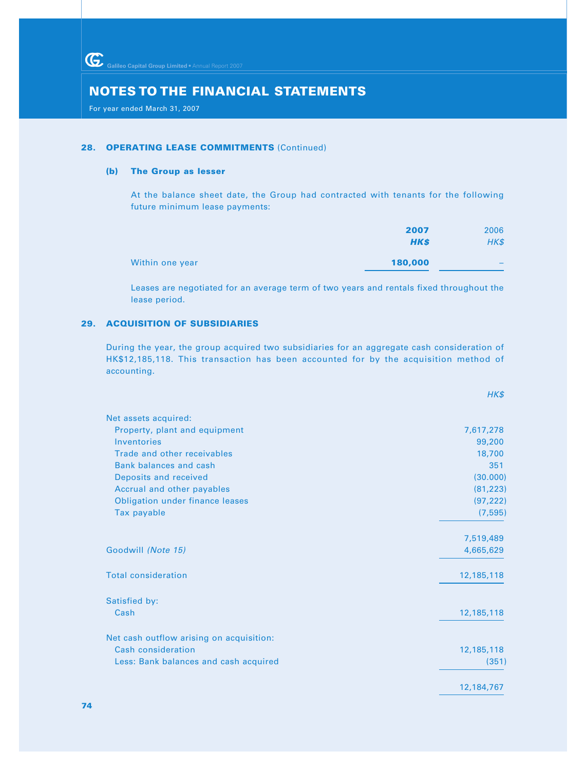For year ended March 31, 2007

#### **28. OPERATING LEASE COMMITMENTS (Continued)**

#### **(b) The Group as lesser**

At the balance sheet date, the Group had contracted with tenants for the following future minimum lease payments:

|                 | 2007        | 2006 |
|-----------------|-------------|------|
|                 | <b>HK\$</b> | HK\$ |
| Within one year | 180,000     |      |

Leases are negotiated for an average term of two years and rentals fixed throughout the lease period.

## **29. ACQUISITION OF SUBSIDIARIES**

During the year, the group acquired two subsidiaries for an aggregate cash consideration of HK\$12,185,118. This transaction has been accounted for by the acquisition method of accounting.

|                                          | HK\$       |
|------------------------------------------|------------|
| Net assets acquired:                     |            |
| Property, plant and equipment            | 7,617,278  |
| Inventories                              | 99,200     |
| Trade and other receivables              | 18,700     |
| Bank balances and cash                   | 351        |
| Deposits and received                    | (30.000)   |
| Accrual and other payables               | (81, 223)  |
| <b>Obligation under finance leases</b>   | (97, 222)  |
| Tax payable                              | (7, 595)   |
|                                          | 7,519,489  |
| Goodwill (Note 15)                       | 4,665,629  |
| <b>Total consideration</b>               | 12,185,118 |
| Satisfied by:                            |            |
| Cash                                     | 12,185,118 |
| Net cash outflow arising on acquisition: |            |
| <b>Cash consideration</b>                | 12,185,118 |
| Less: Bank balances and cash acquired    | (351)      |
|                                          | 12,184,767 |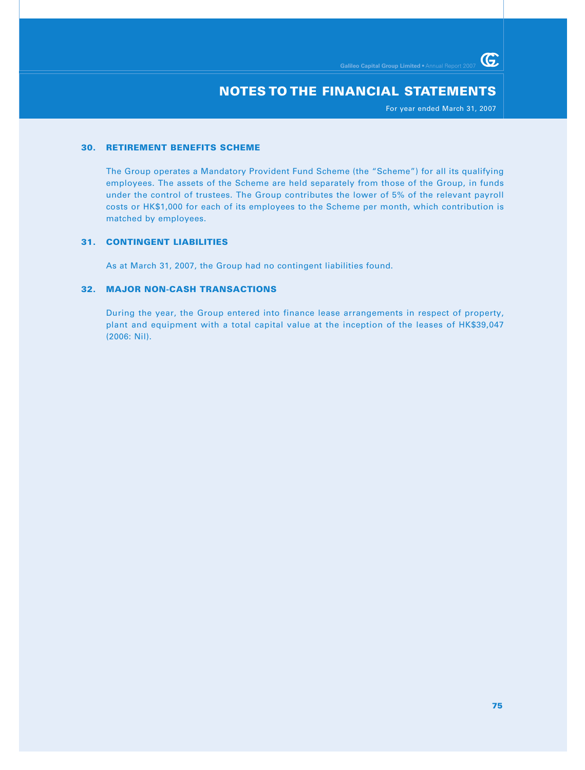For year ended March 31, 2007

 $G$ 

#### **30. RETIREMENT BENEFITS SCHEME**

The Group operates a Mandatory Provident Fund Scheme (the "Scheme") for all its qualifying employees. The assets of the Scheme are held separately from those of the Group, in funds under the control of trustees. The Group contributes the lower of 5% of the relevant payroll costs or HK\$1,000 for each of its employees to the Scheme per month, which contribution is matched by employees.

### **31. CONTINGENT LIABILITIES**

As at March 31, 2007, the Group had no contingent liabilities found.

### **32. MAJOR NON-CASH TRANSACTIONS**

During the year, the Group entered into finance lease arrangements in respect of property, plant and equipment with a total capital value at the inception of the leases of HK\$39,047 (2006: Nil).